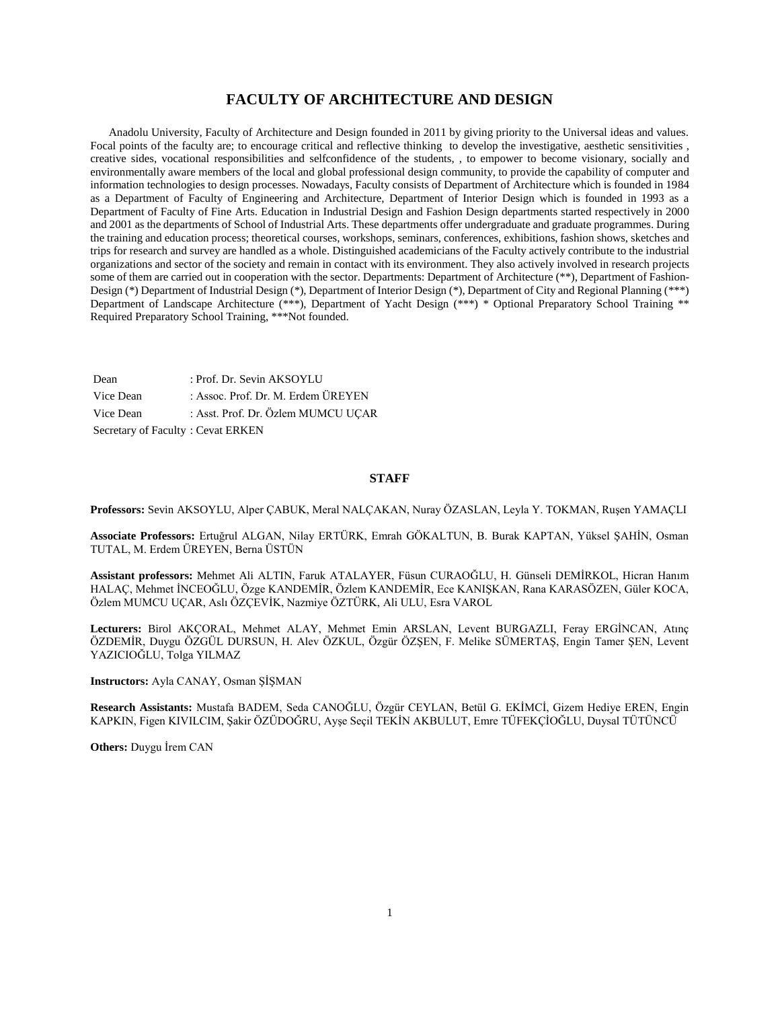## **FACULTY OF ARCHITECTURE AND DESIGN**

 Anadolu University, Faculty of Architecture and Design founded in 2011 by giving priority to the Universal ideas and values. Focal points of the faculty are; to encourage critical and reflective thinking to develop the investigative, aesthetic sensitivities , creative sides, vocational responsibilities and selfconfidence of the students, , to empower to become visionary, socially and environmentally aware members of the local and global professional design community, to provide the capability of computer and information technologies to design processes. Nowadays, Faculty consists of Department of Architecture which is founded in 1984 as a Department of Faculty of Engineering and Architecture, Department of Interior Design which is founded in 1993 as a Department of Faculty of Fine Arts. Education in Industrial Design and Fashion Design departments started respectively in 2000 and 2001 as the departments of School of Industrial Arts. These departments offer undergraduate and graduate programmes. During the training and education process; theoretical courses, workshops, seminars, conferences, exhibitions, fashion shows, sketches and trips for research and survey are handled as a whole. Distinguished academicians of the Faculty actively contribute to the industrial organizations and sector of the society and remain in contact with its environment. They also actively involved in research projects some of them are carried out in cooperation with the sector. Departments: Department of Architecture (\*\*), Department of Fashion-Design (\*) Department of Industrial Design (\*), Department of Interior Design (\*), Department of City and Regional Planning (\*\*\*) Department of Landscape Architecture (\*\*\*), Department of Yacht Design (\*\*\*) \* Optional Preparatory School Training \*\* Required Preparatory School Training, \*\*\*Not founded.

Dean : Prof. Dr. Sevin AKSOYLU Vice Dean : Assoc. Prof. Dr. M. Erdem ÜREYEN Vice Dean : Asst. Prof. Dr. Özlem MUMCU UÇAR Secretary of Faculty : Cevat ERKEN

#### **STAFF**

**Professors:** Sevin AKSOYLU, Alper ÇABUK, Meral NALÇAKAN, Nuray ÖZASLAN, Leyla Y. TOKMAN, Ruşen YAMAÇLI

**Associate Professors:** Ertuğrul ALGAN, Nilay ERTÜRK, Emrah GÖKALTUN, B. Burak KAPTAN, Yüksel ŞAHİN, Osman TUTAL, M. Erdem ÜREYEN, Berna ÜSTÜN

**Assistant professors:** Mehmet Ali ALTIN, Faruk ATALAYER, Füsun CURAOĞLU, H. Günseli DEMİRKOL, Hicran Hanım HALAÇ, Mehmet İNCEOĞLU, Özge KANDEMİR, Özlem KANDEMİR, Ece KANIŞKAN, Rana KARASÖZEN, Güler KOCA, Özlem MUMCU UÇAR, Aslı ÖZÇEVİK, Nazmiye ÖZTÜRK, Ali ULU, Esra VAROL

**Lecturers:** Birol AKÇORAL, Mehmet ALAY, Mehmet Emin ARSLAN, Levent BURGAZLI, Feray ERGİNCAN, Atınç ÖZDEMİR, Duygu ÖZGÜL DURSUN, H. Alev ÖZKUL, Özgür ÖZŞEN, F. Melike SÜMERTAŞ, Engin Tamer ŞEN, Levent YAZICIOĞLU, Tolga YILMAZ

**Instructors:** Ayla CANAY, Osman ŞİŞMAN

**Research Assistants:** Mustafa BADEM, Seda CANOĞLU, Özgür CEYLAN, Betül G. EKİMCİ, Gizem Hediye EREN, Engin KAPKIN, Figen KIVILCIM, Şakir ÖZÜDOĞRU, Ayşe Seçil TEKİN AKBULUT, Emre TÜFEKÇİOĞLU, Duysal TÜTÜNCÜ

**Others:** Duygu İrem CAN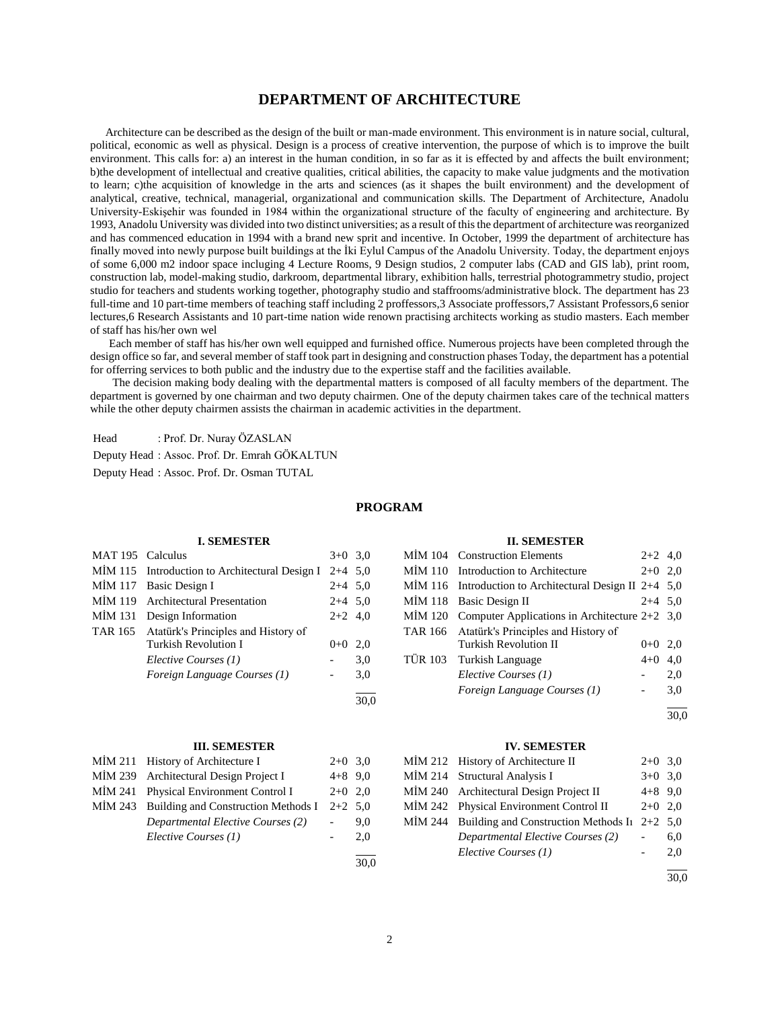## **DEPARTMENT OF ARCHITECTURE**

 Architecture can be described as the design of the built or man-made environment. This environment is in nature social, cultural, political, economic as well as physical. Design is a process of creative intervention, the purpose of which is to improve the built environment. This calls for: a) an interest in the human condition, in so far as it is effected by and affects the built environment; b)the development of intellectual and creative qualities, critical abilities, the capacity to make value judgments and the motivation to learn; c)the acquisition of knowledge in the arts and sciences (as it shapes the built environment) and the development of analytical, creative, technical, managerial, organizational and communication skills. The Department of Architecture, Anadolu University-Eskişehir was founded in 1984 within the organizational structure of the faculty of engineering and architecture. By 1993, Anadolu University was divided into two distinct universities; as a result of this the department of architecture was reorganized and has commenced education in 1994 with a brand new sprit and incentive. In October, 1999 the department of architecture has finally moved into newly purpose built buildings at the İki Eylul Campus of the Anadolu University. Today, the department enjoys of some 6,000 m2 indoor space incluging 4 Lecture Rooms, 9 Design studios, 2 computer labs (CAD and GIS lab), print room, construction lab, model-making studio, darkroom, departmental library, exhibition halls, terrestrial photogrammetry studio, project studio for teachers and students working together, photography studio and staffrooms/administrative block. The department has 23 full-time and 10 part-time members of teaching staff including 2 proffessors,3 Associate proffessors,7 Assistant Professors,6 senior lectures,6 Research Assistants and 10 part-time nation wide renown practising architects working as studio masters. Each member of staff has his/her own wel

 Each member of staff has his/her own well equipped and furnished office. Numerous projects have been completed through the design office so far, and several member of staff took part in designing and construction phases Today, the department has a potential for offerring services to both public and the industry due to the expertise staff and the facilities available.

 The decision making body dealing with the departmental matters is composed of all faculty members of the department. The department is governed by one chairman and two deputy chairmen. One of the deputy chairmen takes care of the technical matters while the other deputy chairmen assists the chairman in academic activities in the department.

Head : Prof. Dr. Nuray ÖZASLAN

Deputy Head : Assoc. Prof. Dr. Emrah GÖKALTUN

Deputy Head : Assoc. Prof. Dr. Osman TUTAL

#### **PROGRAM**

#### **I. SEMESTER**

| MAT 195 Calculus |                                                | $3+0$ 3.0 |     |
|------------------|------------------------------------------------|-----------|-----|
|                  | MİM 115 Introduction to Architectural Design I | $2+4$ 5,0 |     |
| <b>MIM 117</b>   | Basic Design I                                 | $2+4$ 5,0 |     |
| MİM 119          | <b>Architectural Presentation</b>              | $2+4$ 5,0 |     |
| <b>MIM 131</b>   | Design Information                             | $2+2$ 4,0 |     |
| TAR 165          | Atatürk's Principles and History of            |           |     |
|                  | <b>Turkish Revolution I</b>                    | $0 + 0$   | 2,0 |
|                  | Elective Courses (1)                           |           | 3,0 |
|                  | Foreign Language Courses (1)                   |           | 3,0 |
|                  |                                                |           |     |

#### **III. SEMESTER**

| MIM 211 History of Architecture I           | $2+0$ 3.0 |     |
|---------------------------------------------|-----------|-----|
| MIM 239 Architectural Design Project I      | $4+8$ 9.0 |     |
| MIM 241 Physical Environment Control I      | $2+0$ 2.0 |     |
| MIM 243 Building and Construction Methods I | $2+2$ 5.0 |     |
| Departmental Elective Courses (2)           |           | 9.0 |
| Elective Courses (1)                        |           | 2.0 |
|                                             |           |     |

30,0

#### **II. SEMESTER**

| MİM 104 Construction Elements                             | $2+2$ 4,0 |     |
|-----------------------------------------------------------|-----------|-----|
| MIM 110 Introduction to Architecture                      | $2+0$ 2,0 |     |
| MIM 116 Introduction to Architectural Design II $2+4$ 5,0 |           |     |
| MIM 118 Basic Design II                                   | $2+4$ 5,0 |     |
| MİM 120 Computer Applications in Architecture $2+2$ 3,0   |           |     |
| TAR 166 Atatürk's Principles and History of               |           |     |
| <b>Turkish Revolution II</b>                              | $0+0$ 2,0 |     |
| TÜR 103 Turkish Language                                  | $4 + 0$   | 4.0 |
| Elective Courses (1)                                      |           | 2,0 |
| Foreign Language Courses (1)                              |           | 3,0 |
|                                                           |           |     |

 $\frac{1}{30.0}$ 

#### **IV. SEMESTER**

| MIM 212 History of Architecture II                     | $2+0$ 3,0 |     |
|--------------------------------------------------------|-----------|-----|
| MIM 214 Structural Analysis I                          | $3+0$ 3.0 |     |
| MIM 240 Architectural Design Project II                | $4+8$ 9.0 |     |
| MİM 242 Physical Environment Control II                | $2+0$ 2.0 |     |
| MİM 244 Building and Construction Methods In $2+2$ 5,0 |           |     |
| Departmental Elective Courses (2)                      |           | 6,0 |
| Elective Courses (1)                                   |           | 2,0 |
|                                                        |           |     |

30,0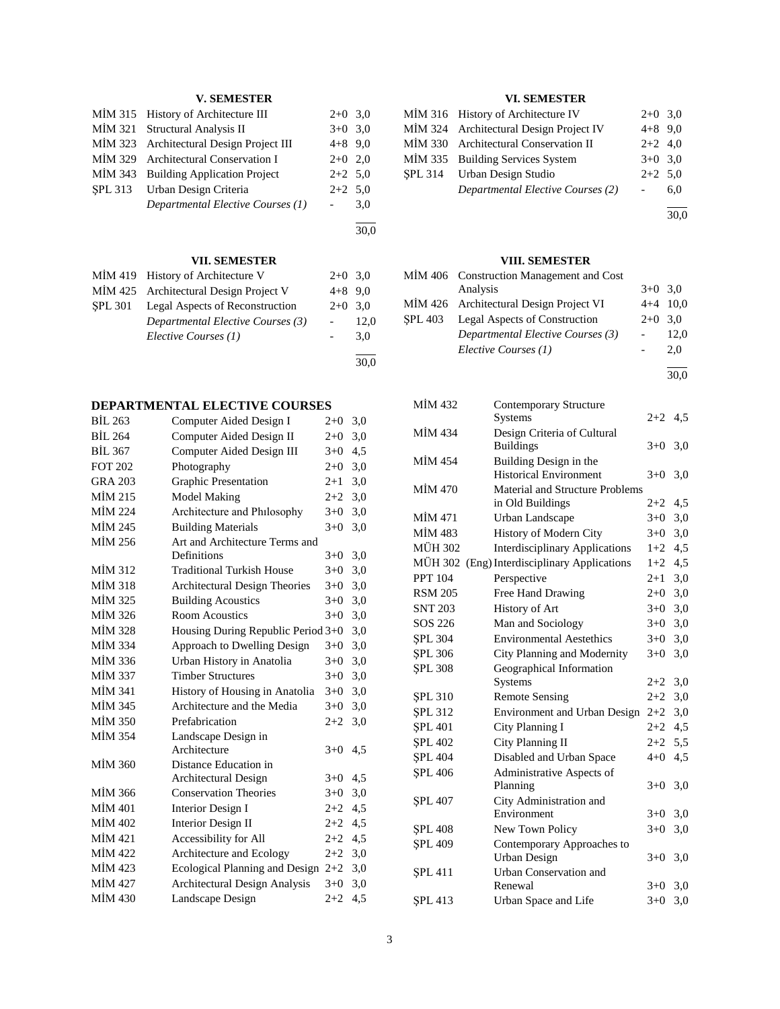## **V. SEMESTER**

| MIM 315 History of Architecture III      | $2+0$ 3,0 |     |
|------------------------------------------|-----------|-----|
| MIM 321 Structural Analysis II           | $3+0$ 3,0 |     |
| MIM 323 Architectural Design Project III | $4+8$ 9,0 |     |
| MİM 329 Architectural Conservation I     | $2+0$ 2,0 |     |
| MIM 343 Building Application Project     | $2+2$ 5,0 |     |
| SPL 313 Urban Design Criteria            | $2+2$ 5,0 |     |
| Departmental Elective Courses (1)        |           | 3,0 |
|                                          |           |     |

30,0

30,0

## **VII. SEMESTER**

|         | MİM 419 History of Architecture V      | $2+0$ 3.0                |      | N. |
|---------|----------------------------------------|--------------------------|------|----|
|         | MIM 425 Architectural Design Project V | $4+8$ 9.0                |      |    |
| SPL 301 | Legal Aspects of Reconstruction        | $2+0$ 3.0                |      | N. |
|         | Departmental Elective Courses (3)      | $\overline{\phantom{a}}$ | 12.0 | Ş. |
|         | Elective Courses (1)                   |                          | 3.0  |    |
|         |                                        |                          |      |    |

## **DEPARTMENTAL ELECTIVE COURSES**

| <b>BİL 263</b> | Computer Aided Design I            | $2+0$   | 3,0 |
|----------------|------------------------------------|---------|-----|
| <b>BIL 264</b> | Computer Aided Design II           | $2+0$   | 3,0 |
| <b>BIL 367</b> | Computer Aided Design III          | $3+0$   | 4,5 |
| <b>FOT 202</b> | Photography                        | $2+0$   | 3,0 |
| <b>GRA 203</b> | <b>Graphic Presentation</b>        | $2 + 1$ | 3,0 |
| MİM 215        | <b>Model Making</b>                | $2+2$   | 3,0 |
| <b>MİM 224</b> | Architecture and Philosophy        | $3+0$   | 3,0 |
| MİM 245        | <b>Building Materials</b>          | $3+0$   | 3,0 |
| MİM 256        | Art and Architecture Terms and     |         |     |
|                | Definitions                        | $3+0$   | 3,0 |
| MİM 312        | <b>Traditional Turkish House</b>   | $3+0$   | 3,0 |
| <b>MİM 318</b> | Architectural Design Theories      | $3+0$   | 3,0 |
| MİM 325        | <b>Building Acoustics</b>          | $3+0$   | 3,0 |
| MİM 326        | <b>Room Acoustics</b>              | $3+0$   | 3,0 |
| <b>MİM 328</b> | Housing During Republic Period 3+0 |         | 3,0 |
| MİM 334        | Approach to Dwelling Design        | $3+0$   | 3,0 |
| MİM 336        | Urban History in Anatolia          | $3 + 0$ | 3,0 |
| <b>MİM 337</b> | <b>Timber Structures</b>           | $3+0$   | 3,0 |
| <b>MİM 341</b> | History of Housing in Anatolia     | $3+0$   | 3,0 |
| MİM 345        | Architecture and the Media         | $3+0$   | 3,0 |
| <b>MİM 350</b> | Prefabrication                     | $2 + 2$ | 3,0 |
| <b>MİM 354</b> | Landscape Design in                |         |     |
|                | Architecture                       | $3+0$   | 4,5 |
| <b>MİM 360</b> | Distance Education in              |         |     |
|                | Architectural Design               | $3+0$   | 4,5 |
| MİM 366        | <b>Conservation Theories</b>       | $3+0$   | 3,0 |
| <b>MİM 401</b> | <b>Interior Design I</b>           | $2+2$   | 4,5 |
| MİM 402        | <b>Interior Design II</b>          | $2 + 2$ | 4,5 |
| MİM 421        | Accessibility for All              | $2 + 2$ | 4,5 |
| MIM 422        | Architecture and Ecology           | $2 + 2$ | 3,0 |
| MİM 423        | Ecological Planning and Design     | $2+2$   | 3,0 |
| <b>MİM 427</b> | Architectural Design Analysis      | $3+0$   | 3,0 |
| <b>MİM 430</b> | Landscape Design                   | $2 + 2$ | 4,5 |
|                |                                    |         |     |

## **VI. SEMESTER**

| MIM 316 History of Architecture IV      | $2+0$ 3,0 |     |
|-----------------------------------------|-----------|-----|
| MIM 324 Architectural Design Project IV | $4+8$ 9.0 |     |
| MIM 330 Architectural Conservation II   | $2+2$ 4,0 |     |
| MIM 335 Building Services System        | $3+0$ 3,0 |     |
| SPL 314 Urban Design Studio             | $2+2$ 5,0 |     |
| Departmental Elective Courses (2)       |           | 6.0 |
|                                         |           |     |

30,0

## **VIII. SEMESTER**

| MİM 406 Construction Management and Cost |           |            |  |  |
|------------------------------------------|-----------|------------|--|--|
| Analysis                                 | $3+0$ 3.0 |            |  |  |
| MIM 426 Architectural Design Project VI  |           | $4+4$ 10,0 |  |  |
| SPL 403 Legal Aspects of Construction    |           | $2+0$ 3,0  |  |  |
| Departmental Elective Courses (3)        |           | 12,0       |  |  |
| Elective Courses (1)                     |           | 2.0        |  |  |
|                                          |           |            |  |  |

30,0

| MİM 432        | Contemporary Structure                 |           |     |
|----------------|----------------------------------------|-----------|-----|
|                | Systems                                | $2+2$ 4,5 |     |
| MIM 434        | Design Criteria of Cultural            |           |     |
|                | <b>Buildings</b>                       | $3+0$     | 3,0 |
| <b>MIM 454</b> | Building Design in the                 |           |     |
|                | <b>Historical Environment</b>          | $3+0$     | 3,0 |
| <b>MİM 470</b> | <b>Material and Structure Problems</b> |           |     |
|                | in Old Buildings                       | $2+2$     | 4,5 |
| MİM 471        | Urban Landscape                        | $3+0$     | 3,0 |
| <b>MİM 483</b> | History of Modern City                 | $3+0$     | 3,0 |
| <b>MÜH 302</b> | <b>Interdisciplinary Applications</b>  | $1+2$     | 4,5 |
| <b>MÜH 302</b> | (Eng) Interdisciplinary Applications   | $1+2$     | 4,5 |
| <b>PPT 104</b> | Perspective                            | $2+1$     | 3,0 |
| <b>RSM 205</b> | Free Hand Drawing                      | $2 + 0$   | 3,0 |
| <b>SNT 203</b> | History of Art                         | $3+0$ 3,0 |     |
| SOS 226        | Man and Sociology                      | $3+0$ 3,0 |     |
| <b>SPL 304</b> | <b>Environmental Aestethics</b>        | $3+0$     | 3,0 |
| <b>SPL 306</b> | City Planning and Modernity            | $3+0$     | 3,0 |
| <b>SPL 308</b> | Geographical Information               |           |     |
|                | Systems                                | $2+2$     | 3,0 |
| <b>SPL 310</b> | <b>Remote Sensing</b>                  | $2 + 2$   | 3,0 |
| <b>SPL 312</b> | Environment and Urban Design           | $2+2$     | 3,0 |
| <b>SPL 401</b> | City Planning I                        | $2+2$     | 4,5 |
| <b>SPL 402</b> | City Planning II                       | $2 + 2$   | 5,5 |
| <b>SPL 404</b> | Disabled and Urban Space               | $4 + 0$   | 4,5 |
| <b>SPL 406</b> | Administrative Aspects of              |           |     |
|                | Planning                               | $3+0$     | 3,0 |
| <b>SPL 407</b> | City Administration and                |           |     |
|                | Environment                            | $3+0$     | 3,0 |
| <b>SPL 408</b> | New Town Policy                        | $3+0$     | 3,0 |
| <b>SPL 409</b> | Contemporary Approaches to             |           |     |
|                | <b>Urban Design</b>                    | $3+0$     | 3,0 |
| <b>SPL 411</b> | Urban Conservation and                 |           |     |
|                | Renewal                                | $3+0$     | 3,0 |
| <b>SPL 413</b> | Urban Space and Life                   | $3+0$     | 3,0 |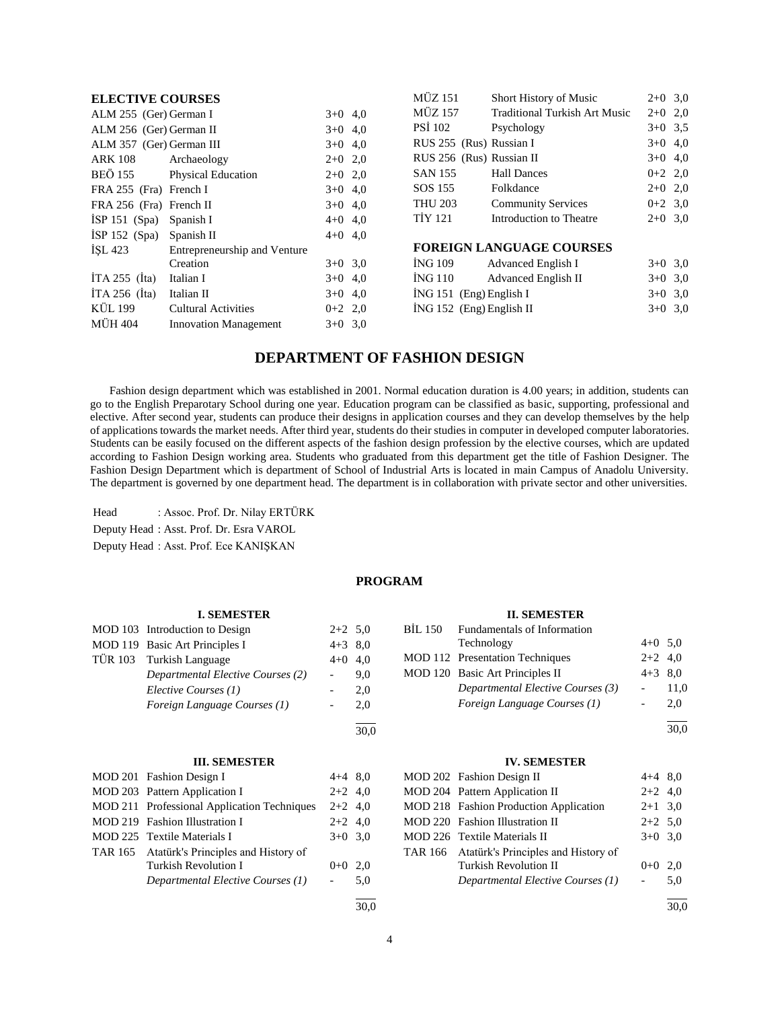| <b>ELECTIVE COURSES</b>            |                              |           | <b>MÜZ 151</b>             | <b>Short History of Music</b>        | $2+0$ 3,0 |  |
|------------------------------------|------------------------------|-----------|----------------------------|--------------------------------------|-----------|--|
| ALM 255 (Ger) German I             |                              | $3+0$ 4,0 | <b>MÜZ 157</b>             | <b>Traditional Turkish Art Music</b> | $2+0$ 2,0 |  |
| ALM 256 (Ger) German II            |                              | $3+0$ 4.0 | <b>PSI</b> 102             | Psychology                           | $3+0$ 3.5 |  |
| ALM 357 (Ger) German III           |                              | $3+0$ 4,0 | RUS 255 (Rus) Russian I    |                                      | $3+0$ 4,0 |  |
| <b>ARK 108</b>                     | Archaeology                  | $2+0$ 2,0 | RUS 256 (Rus) Russian II   |                                      | $3+0$ 4,0 |  |
| BEÖ 155                            | <b>Physical Education</b>    | $2+0$ 2,0 | <b>SAN 155</b>             | <b>Hall Dances</b>                   | $0+2$ 2,0 |  |
| FRA 255 (Fra) French I             |                              | $3+0$ 4,0 | SOS 155                    | Folkdance                            | $2+0$ 2,0 |  |
| FRA 256 (Fra) French II            |                              | $3+0$ 4,0 | <b>THU 203</b>             | <b>Community Services</b>            | $0+2$ 3.0 |  |
| $ISP 151$ (Spa)                    | Spanish I                    | $4+0$ 4.0 | <b>TIY 121</b>             | Introduction to Theatre              | $2+0$ 3.0 |  |
| $ISP 152$ (Spa)                    | Spanish II                   | $4+0$ 4.0 |                            |                                      |           |  |
| ISL 423                            | Entrepreneurship and Venture |           |                            | <b>FOREIGN LANGUAGE COURSES</b>      |           |  |
|                                    | Creation                     | $3+0$ 3.0 | ING 109                    | Advanced English I                   | $3+0$ 3.0 |  |
| $\text{ITA } 255$ ( $\text{Ita}$ ) | Italian I                    | $3+0$ 4,0 | ING 110                    | <b>Advanced English II</b>           | $3+0$ 3.0 |  |
| $ITA 256$ (Ita)                    | Italian II                   | $3+0$ 4,0 | $ING 151$ (Eng) English I  |                                      | $3+0$ 3,0 |  |
| KÜL 199                            | <b>Cultural Activities</b>   | $0+2$ 2,0 | $ING 152$ (Eng) English II |                                      | $3+0$ 3,0 |  |
| <b>MÜH 404</b>                     | <b>Innovation Management</b> | $3+0$ 3.0 |                            |                                      |           |  |
|                                    |                              |           |                            |                                      |           |  |

## **DEPARTMENT OF FASHION DESIGN**

 Fashion design department which was established in 2001. Normal education duration is 4.00 years; in addition, students can go to the English Preparotary School during one year. Education program can be classified as basic, supporting, professional and elective. After second year, students can produce their designs in application courses and they can develop themselves by the help of applications towards the market needs. After third year, students do their studies in computer in developed computer laboratories. Students can be easily focused on the different aspects of the fashion design profession by the elective courses, which are updated according to Fashion Design working area. Students who graduated from this department get the title of Fashion Designer. The Fashion Design Department which is department of School of Industrial Arts is located in main Campus of Anadolu University. The department is governed by one department head. The department is in collaboration with private sector and other universities.

Head : Assoc. Prof. Dr. Nilay ERTÜRK

Deputy Head : Asst. Prof. Dr. Esra VAROL

Deputy Head : Asst. Prof. Ece KANIŞKAN

#### **PROGRAM**

 $\frac{1}{30.0}$ 

#### **I. SEMESTER**

| MOD 103 Introduction to Design    | $2+2$ 5,0 |     |
|-----------------------------------|-----------|-----|
| MOD 119 Basic Art Principles I    | $4+3$ 8,0 |     |
| TÜR 103 Turkish Language          | $4+0$ 4,0 |     |
| Departmental Elective Courses (2) |           | 9.0 |
| Elective Courses (1)              |           | 2.0 |
| Foreign Language Courses (1)      |           | 2.0 |
|                                   |           |     |

## **III. SEMESTER**

| MOD 201 Fashion Design I                    | $4+4$ 8,0 |     |
|---------------------------------------------|-----------|-----|
| MOD 203 Pattern Application I               | $2+2$ 4,0 |     |
| MOD 211 Professional Application Techniques | $2+2$ 4.0 |     |
| MOD 219 Fashion Illustration I              | $2+2$ 4,0 |     |
| MOD 225 Textile Materials I                 | $3+0$ 3.0 |     |
| TAR 165 Atatürk's Principles and History of |           |     |
| Turkish Revolution I                        | $0 + 0$   | 2.0 |
| Departmental Elective Courses (1)           |           | 5.0 |
|                                             |           |     |

| BIL 150 Fundamentals of Information |                 |      |
|-------------------------------------|-----------------|------|
| Technology                          | $4+0$ 5,0       |      |
| MOD 112 Presentation Techniques     | $2+2$ 4.0       |      |
| MOD 120 Basic Art Principles II     | $4+3$ 8.0       |      |
| Departmental Elective Courses (3)   |                 | 11,0 |
| Foreign Language Courses (1)        | $\sim$ 10 $\pm$ | 2.0  |
|                                     |                 |      |

**II. SEMESTER**

30,0

#### **IV. SEMESTER**

| MOD 202 Fashion Design II                     | $4+4$ 8.0  |     |
|-----------------------------------------------|------------|-----|
| MOD 204 Pattern Application II                | $2+2$ 4,0  |     |
| <b>MOD 218</b> Fashion Production Application | $2+1$ 3,0  |     |
| MOD 220 Fashion Illustration II               | $2+2$ 5,0  |     |
| MOD 226 Textile Materials II                  | $3+0$ 3.0  |     |
| TAR 166 Atatürk's Principles and History of   |            |     |
| <b>Turkish Revolution II</b>                  | $0 + 0$    | 2.0 |
| Departmental Elective Courses (1)             | $\sim 100$ | 5.0 |
|                                               |            |     |

30,0

30,0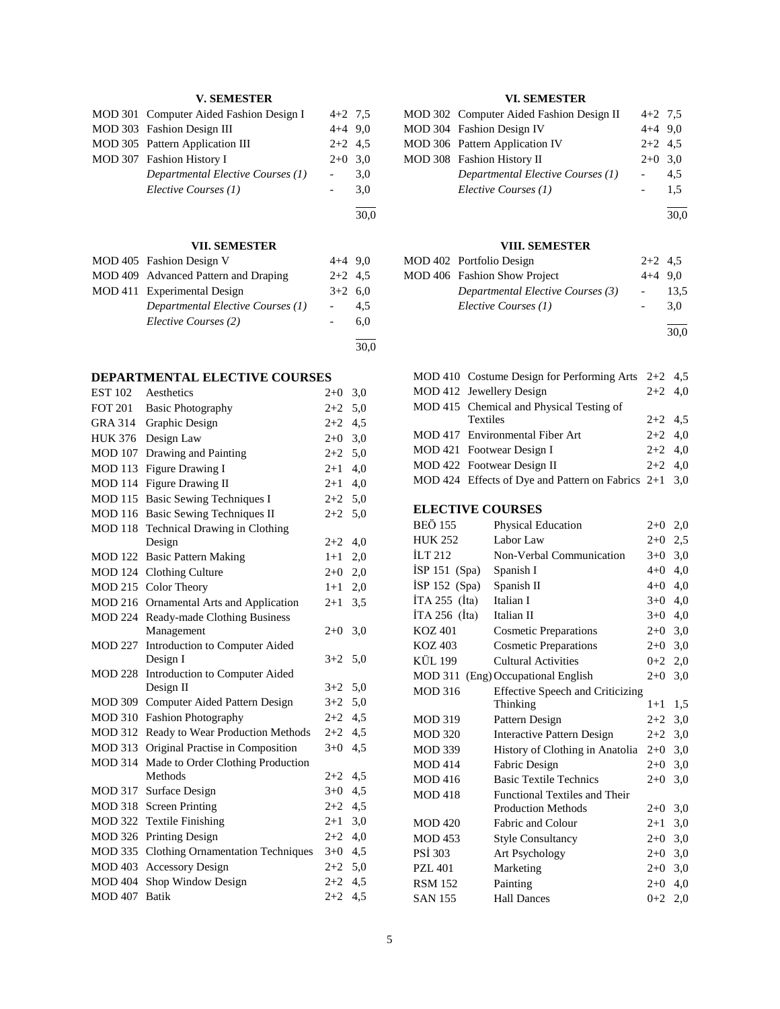## **V. SEMESTER**

| MOD 301 Computer Aided Fashion Design I | $4+2$ 7.5 |     |
|-----------------------------------------|-----------|-----|
| MOD 303 Fashion Design III              | $4+4$ 9.0 |     |
| MOD 305 Pattern Application III         | $2+2$ 4.5 |     |
| MOD 307 Fashion History I               | $2+0$ 3.0 |     |
| Departmental Elective Courses (1)       |           | 3,0 |
| Elective Courses (1)                    |           | 3.0 |
|                                         |           |     |

30,0

## **VII. SEMESTER**

| MOD 405 Fashion Design V             | $4+4$ 9.0 |     |
|--------------------------------------|-----------|-----|
| MOD 409 Advanced Pattern and Draping | $2+2$ 4.5 |     |
| MOD 411 Experimental Design          | $3+2$ 6,0 |     |
| Departmental Elective Courses (1)    |           | 4.5 |
| Elective Courses (2)                 |           | 6.0 |
|                                      |           |     |

30,0

#### **DEPARTMENTAL ELECTIVE COURSES**

| <b>EST 102</b> | Aesthetics                                   | $2 + 0$ | 3,0 |
|----------------|----------------------------------------------|---------|-----|
| <b>FOT 201</b> | <b>Basic Photography</b>                     | $2+2$   | 5,0 |
| <b>GRA 314</b> | Graphic Design                               | $2 + 2$ | 4,5 |
| <b>HUK 376</b> | Design Law                                   | $2+0$   | 3,0 |
| <b>MOD 107</b> | Drawing and Painting                         | $2+2$   | 5,0 |
| <b>MOD 113</b> | Figure Drawing I                             | $2 + 1$ | 4,0 |
| <b>MOD 114</b> | <b>Figure Drawing II</b>                     | $2 + 1$ | 4,0 |
| <b>MOD 115</b> | <b>Basic Sewing Techniques I</b>             | $2 + 2$ | 5,0 |
| <b>MOD 116</b> | <b>Basic Sewing Techniques II</b>            | $2 + 2$ | 5,0 |
| <b>MOD 118</b> | <b>Technical Drawing in Clothing</b>         |         |     |
|                | Design                                       | $2+2$   | 4,0 |
| <b>MOD 122</b> | <b>Basic Pattern Making</b>                  | $1+1$   | 2,0 |
| <b>MOD</b> 124 | <b>Clothing Culture</b>                      | $2+0$   | 2,0 |
| <b>MOD 215</b> | Color Theory                                 | $1+1$   | 2,0 |
| <b>MOD 216</b> | Ornamental Arts and Application              | $2 + 1$ | 3,5 |
| <b>MOD 224</b> | Ready-made Clothing Business                 |         |     |
|                | Management                                   | $2+0$   | 3,0 |
| MOD 227        | Introduction to Computer Aided               |         |     |
|                | Design I                                     | $3 + 2$ | 5,0 |
| <b>MOD 228</b> | Introduction to Computer Aided               |         |     |
|                | Design II                                    | $3+2$   | 5,0 |
| <b>MOD 309</b> | Computer Aided Pattern Design                | $3+2$   | 5,0 |
| <b>MOD 310</b> | <b>Fashion Photography</b>                   | $2 + 2$ | 4,5 |
| <b>MOD 312</b> | Ready to Wear Production Methods             | $2+2$   | 4,5 |
| <b>MOD 313</b> | Original Practise in Composition             | $3+0$   | 4,5 |
| <b>MOD 314</b> | Made to Order Clothing Production<br>Methods | $2+2$   | 4,5 |
| <b>MOD 317</b> | Surface Design                               | $3+0$   | 4,5 |
| <b>MOD 318</b> | <b>Screen Printing</b>                       | $2+2$   | 4,5 |
| <b>MOD 322</b> | <b>Textile Finishing</b>                     | $2 + 1$ | 3,0 |
| <b>MOD 326</b> |                                              | $2 + 2$ |     |
| <b>MOD 335</b> | <b>Printing Design</b>                       | $3 + 0$ | 4,0 |
|                | <b>Clothing Ornamentation Techniques</b>     |         | 4,5 |
| <b>MOD 403</b> | <b>Accessory Design</b>                      | $2 + 2$ | 5,0 |
| <b>MOD 404</b> | Shop Window Design                           | $2+2$   | 4,5 |
| <b>MOD 407</b> | <b>Batik</b>                                 | $2 + 2$ | 4,5 |

## **VI. SEMESTER**

| MOD 302 Computer Aided Fashion Design II | $4+2$ 7.5 |               |
|------------------------------------------|-----------|---------------|
| MOD 304 Fashion Design IV                | $4+4$ 9.0 |               |
| MOD 306 Pattern Application IV           | $2+2$ 4.5 |               |
| MOD 308 Fashion History II               | $2+0$ 3.0 |               |
| Departmental Elective Courses (1)        |           | 4.5           |
| Elective Courses (1)                     |           | $1.5^{\circ}$ |
|                                          |           |               |

30,0

## **VIII. SEMESTER**

| MOD 402 Portfolio Design          | $2+2$ 4.5 |      |
|-----------------------------------|-----------|------|
| MOD 406 Fashion Show Project      | $4+4$ 9.0 |      |
| Departmental Elective Courses (3) |           | 13.5 |
| Elective Courses (1)              |           | 3.0  |
|                                   |           |      |

30,0

| MOD 410 Costume Design for Performing Arts $2+2$ 4,5    |           |  |
|---------------------------------------------------------|-----------|--|
| MOD 412 Jewellery Design                                | $2+2$ 4.0 |  |
| MOD 415 Chemical and Physical Testing of                |           |  |
| <b>Textiles</b>                                         | $2+2$ 4.5 |  |
| MOD 417 Environmental Fiber Art                         | $2+2$ 4.0 |  |
| MOD 421 Footwear Design I                               | $2+2$ 4.0 |  |
| MOD 422 Footwear Design II                              | $2+2$ 4.0 |  |
| MOD 424 Effects of Dye and Pattern on Fabrics $2+1$ 3,0 |           |  |
|                                                         |           |  |

## **ELECTIVE COURSES**

| <b>BEÖ</b> 155      | Physical Education                      | $2+0$     | 2,0 |
|---------------------|-----------------------------------------|-----------|-----|
| <b>HUK 252</b>      | Labor Law                               | $2+0$     | 2,5 |
| ILT $212$           | Non-Verbal Communication                | $3+0$     | 3,0 |
| İSP 151 (Spa)       | Spanish I                               | $4 + 0$   | 4,0 |
| $ISP 152$ (Spa)     | Spanish II                              | $4 + 0$   | 4,0 |
| ITA 255 $(Ita)$     | Italian I                               | $3+0$     | 4,0 |
| $ITA 256$ ( $ita$ ) | Italian II                              | $3+0$     | 4,0 |
| <b>KOZ 401</b>      | <b>Cosmetic Preparations</b>            | $2+0$ 3,0 |     |
| KOZ 403             | <b>Cosmetic Preparations</b>            | $2+0$     | 3,0 |
| <b>KÜL 199</b>      | <b>Cultural Activities</b>              | $0 + 2$   | 2,0 |
|                     | MOD 311 (Eng) Occupational English      | $2+0$     | 3,0 |
| <b>MOD 316</b>      | <b>Effective Speech and Criticizing</b> |           |     |
|                     | Thinking                                | $1 + 1$   | 1,5 |
| <b>MOD 319</b>      | Pattern Design                          | $2+2$     | 3,0 |
| <b>MOD 320</b>      | <b>Interactive Pattern Design</b>       | $2+2$     | 3,0 |
| <b>MOD 339</b>      | History of Clothing in Anatolia         | $2+0$     | 3,0 |
| <b>MOD 414</b>      | Fabric Design                           | $2+0$     | 3,0 |
| <b>MOD 416</b>      | <b>Basic Textile Technics</b>           | $2+0$     | 3,0 |
| <b>MOD 418</b>      | Functional Textiles and Their           |           |     |
|                     | <b>Production Methods</b>               | $2+0$     | 3,0 |
| <b>MOD 420</b>      | Fabric and Colour                       | $2 + 1$   | 3,0 |
| <b>MOD 453</b>      | <b>Style Consultancy</b>                | $2+0$     | 3,0 |
| <b>PSI 303</b>      | Art Psychology                          | $2+0$     | 3,0 |
| <b>PZL 401</b>      | Marketing                               | $2+0$     | 3,0 |
| <b>RSM 152</b>      | Painting                                | $2+0$     | 4,0 |
| <b>SAN 155</b>      | <b>Hall Dances</b>                      | $0 + 2$   | 2,0 |
|                     |                                         |           |     |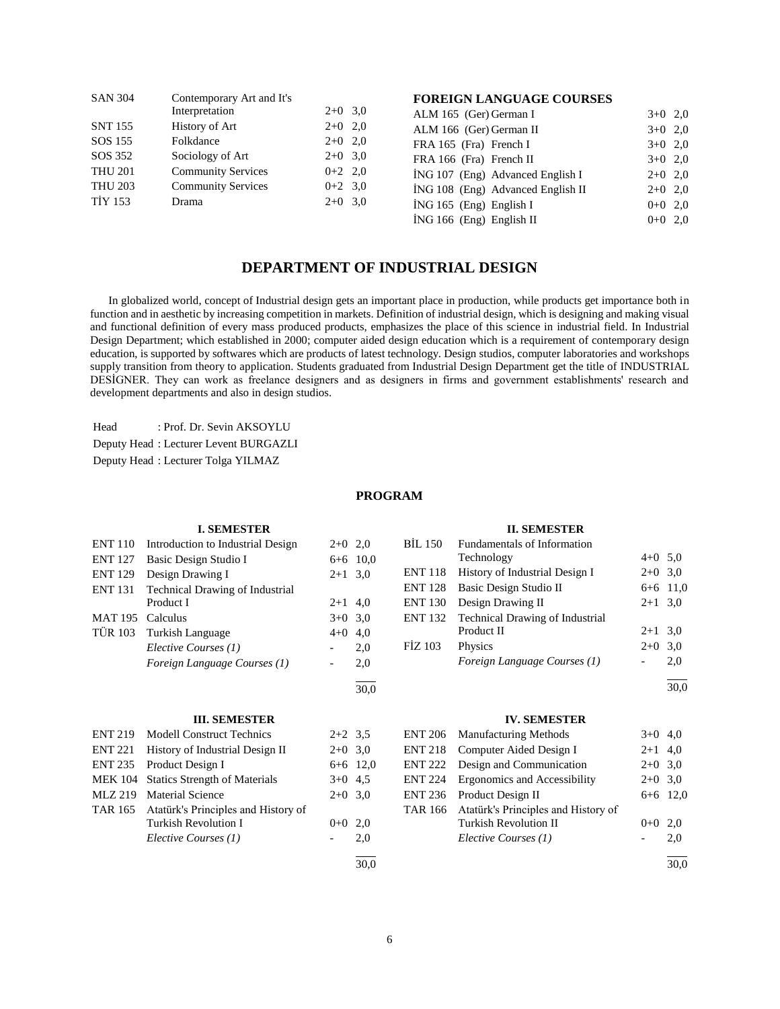| <b>SAN 304</b> | Contemporary Art and It's |           |     |
|----------------|---------------------------|-----------|-----|
|                | Interpretation            | $2+0$ 3.0 |     |
| <b>SNT 155</b> | History of Art            | $2+0$ 2,0 |     |
| SOS 155        | Folkdance                 | $2+0$ 2.0 |     |
| SOS 352        | Sociology of Art          | $2+0$ 3.0 |     |
| <b>THU 201</b> | <b>Community Services</b> | $0+2$ 2.0 |     |
| <b>THU 203</b> | <b>Community Services</b> | $0+2$ 3.0 |     |
| <b>TİY 153</b> | Drama                     | $2+0$     | 3.0 |
|                |                           |           |     |

## **FOREIGN LANGUAGE COURSES**

| ALM 165 (Ger) German I            | $3+0$ 2.0 |  |
|-----------------------------------|-----------|--|
| ALM 166 (Ger) German II           | $3+0$ 2.0 |  |
| FRA 165 (Fra) French I            | $3+0$ 2.0 |  |
| FRA 166 (Fra) French II           | $3+0$ 2.0 |  |
| ING 107 (Eng) Advanced English I  | $2+0$ 2.0 |  |
| ING 108 (Eng) Advanced English II | $2+0$ 2,0 |  |
| $ING 165$ (Eng) English I         | $0+0$ 2.0 |  |
| İNG 166 (Eng) English II          | $0+0$ 2.0 |  |

## **DEPARTMENT OF INDUSTRIAL DESIGN**

 In globalized world, concept of Industrial design gets an important place in production, while products get importance both in function and in aesthetic by increasing competition in markets. Definition of industrial design, which is designing and making visual and functional definition of every mass produced products, emphasizes the place of this science in industrial field. In Industrial Design Department; which established in 2000; computer aided design education which is a requirement of contemporary design education, is supported by softwares which are products of latest technology. Design studios, computer laboratories and workshops supply transition from theory to application. Students graduated from Industrial Design Department get the title of INDUSTRIAL DESİGNER. They can work as freelance designers and as designers in firms and government establishments' research and development departments and also in design studios.

Head : Prof. Dr. Sevin AKSOYLU

Deputy Head : Lecturer Levent BURGAZLI

Deputy Head : Lecturer Tolga YILMAZ

#### **PROGRAM**

|                | <b>I. SEMESTER</b>                   |                          |            |                | <b>II. SEMESTER</b>                 |           |            |
|----------------|--------------------------------------|--------------------------|------------|----------------|-------------------------------------|-----------|------------|
| <b>ENT 110</b> | Introduction to Industrial Design    | $2+0$ 2,0                |            | <b>BIL 150</b> | Fundamentals of Information         |           |            |
| <b>ENT 127</b> | Basic Design Studio I                |                          | $6+6$ 10.0 |                | Technology                          | $4+0$ 5,0 |            |
| <b>ENT 129</b> | Design Drawing I                     | $2+1$ 3.0                |            | <b>ENT 118</b> | History of Industrial Design I      | $2+0$ 3,0 |            |
| <b>ENT 131</b> | Technical Drawing of Industrial      |                          |            | <b>ENT 128</b> | Basic Design Studio II              |           | $6+6$ 11,0 |
|                | Product I                            | $2+1$ 4,0                |            | <b>ENT 130</b> | Design Drawing II                   | $2+1$ 3,0 |            |
| <b>MAT 195</b> | Calculus                             | $3+0$ 3,0                |            | <b>ENT 132</b> | Technical Drawing of Industrial     |           |            |
| <b>TÜR 103</b> | <b>Turkish Language</b>              | $4 + 0$                  | 4,0        |                | Product II                          | $2+1$ 3,0 |            |
|                | Elective Courses (1)                 |                          | 2,0        | FİZ 103        | Physics                             | $2+0$ 3,0 |            |
|                | Foreign Language Courses (1)         | $\overline{\phantom{a}}$ | 2,0        |                | Foreign Language Courses (1)        |           | 2,0        |
|                |                                      |                          | 30,0       |                |                                     |           | 30,0       |
|                | <b>III. SEMESTER</b>                 |                          |            |                | <b>IV. SEMESTER</b>                 |           |            |
| <b>ENT 219</b> | <b>Modell Construct Technics</b>     | $2+2$ 3,5                |            | <b>ENT 206</b> | <b>Manufacturing Methods</b>        | $3+0$ 4,0 |            |
| <b>ENT 221</b> | History of Industrial Design II      | $2+0$ 3,0                |            | <b>ENT 218</b> | Computer Aided Design I             | $2+1$ 4,0 |            |
| <b>ENT 235</b> | Product Design I                     |                          | $6+6$ 12,0 | <b>ENT 222</b> | Design and Communication            | $2+0$ 3,0 |            |
| <b>MEK 104</b> | <b>Statics Strength of Materials</b> | $3+0$ 4,5                |            | <b>ENT 224</b> | Ergonomics and Accessibility        | $2+0$ 3,0 |            |
| <b>MLZ 219</b> | <b>Material Science</b>              | $2+0$ 3,0                |            | <b>ENT 236</b> | Product Design II                   |           | $6+6$ 12,0 |
| <b>TAR 165</b> | Atatürk's Principles and History of  |                          |            | <b>TAR 166</b> | Atatürk's Principles and History of |           |            |
|                | <b>Turkish Revolution I</b>          | $0+0$ 2,0                |            |                | <b>Turkish Revolution II</b>        | $0+0$ 2,0 |            |
|                | Elective Courses (1)                 | $\overline{\phantom{a}}$ | 2,0        |                | Elective Courses (1)                |           | 2,0        |
|                |                                      |                          |            |                |                                     |           |            |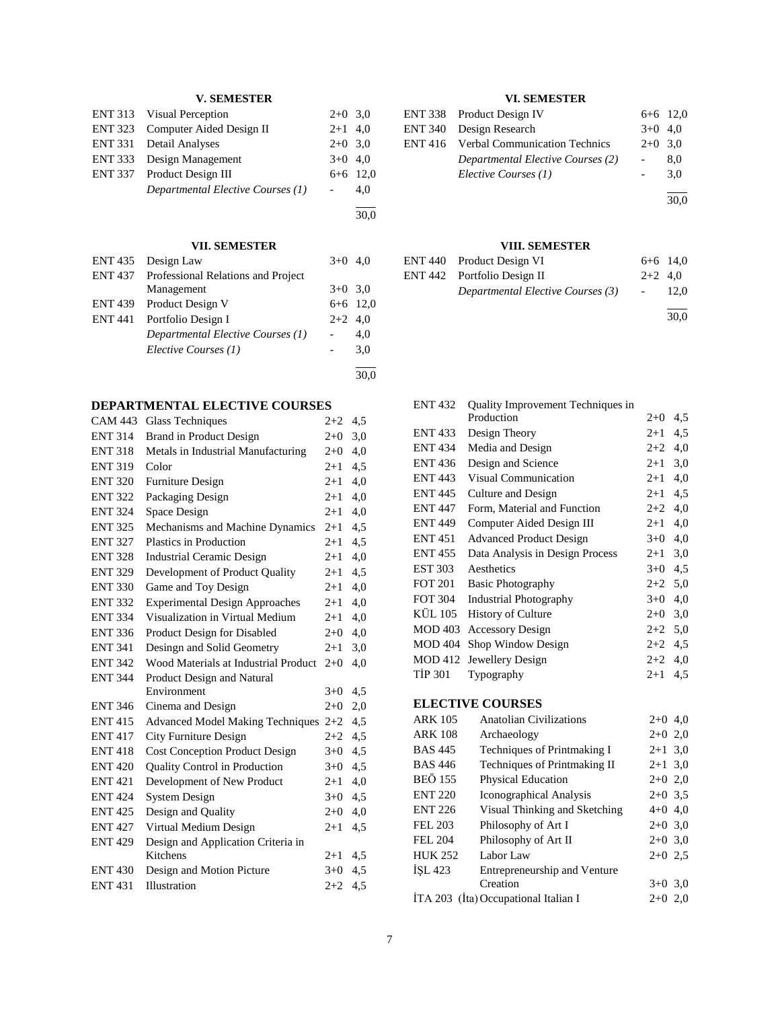## **V. SEMESTER**

| ENT 313 Visual Perception         | $2+0$ 3.0 |            |
|-----------------------------------|-----------|------------|
| ENT 323 Computer Aided Design II  | $2+1$ 4,0 |            |
| ENT 331 Detail Analyses           | $2+0$ 3.0 |            |
| ENT 333 Design Management         | $3+0$ 4,0 |            |
| ENT 337 Product Design III        |           | $6+6$ 12,0 |
| Departmental Elective Courses (1) |           | 4.0        |
|                                   |           |            |

30,0

## **VII. SEMESTER**

| ENT 435 Design Law                         | $3+0$ 4.0 |            |
|--------------------------------------------|-----------|------------|
| ENT 437 Professional Relations and Project |           |            |
| Management                                 | $3+0$ 3.0 |            |
| ENT 439 Product Design V                   |           | $6+6$ 12,0 |
| ENT 441 Portfolio Design I                 | $2+2$ 4,0 |            |
| Departmental Elective Courses (1)          |           | 4,0        |
| Elective Courses (1)                       |           | 3,0        |
|                                            |           | 30,0       |

## **DEPARTMENTAL ELECTIVE COURSES**

| <b>CAM 443</b> | <b>Glass Techniques</b>                 | $2 + 2$ | 4,5 |
|----------------|-----------------------------------------|---------|-----|
| <b>ENT 314</b> | Brand in Product Design                 | $2+0$   | 3,0 |
| <b>ENT 318</b> | Metals in Industrial Manufacturing      | $2+0$   | 4,0 |
| <b>ENT 319</b> | Color                                   | $2 + 1$ | 4,5 |
| <b>ENT 320</b> | Furniture Design                        | $2 + 1$ | 4,0 |
| <b>ENT 322</b> | Packaging Design                        | $2+1$   | 4,0 |
| <b>ENT 324</b> | Space Design                            | $2 + 1$ | 4,0 |
| <b>ENT 325</b> | Mechanisms and Machine Dynamics         | $2 + 1$ | 4,5 |
| <b>ENT 327</b> | Plastics in Production                  | $2+1$   | 4,5 |
| <b>ENT 328</b> | <b>Industrial Ceramic Design</b>        | $2 + 1$ | 4,0 |
| <b>ENT 329</b> | Development of Product Quality          | $2 + 1$ | 4,5 |
| <b>ENT 330</b> | Game and Toy Design                     | $2 + 1$ | 4,0 |
| <b>ENT 332</b> | <b>Experimental Design Approaches</b>   | $2 + 1$ | 4,0 |
| <b>ENT 334</b> | Visualization in Virtual Medium         | $2 + 1$ | 4,0 |
| <b>ENT 336</b> | Product Design for Disabled             | $2+0$   | 4,0 |
| <b>ENT 341</b> | Desingn and Solid Geometry              | $2+1$   | 3,0 |
| <b>ENT 342</b> | Wood Materials at Industrial Product    | $2+0$   | 4,0 |
| <b>ENT 344</b> | Product Design and Natural              |         |     |
|                | Environment                             | $3+0$   | 4,5 |
| <b>ENT 346</b> | Cinema and Design                       | $2+0$   | 2,0 |
| <b>ENT 415</b> | <b>Advanced Model Making Techniques</b> | $2+2$   | 4,5 |
| <b>ENT 417</b> | City Furniture Design                   | $2 + 2$ | 4,5 |
| <b>ENT418</b>  | <b>Cost Conception Product Design</b>   | $3+0$   | 4,5 |
| <b>ENT 420</b> | Quality Control in Production           | $3+0$   | 4,5 |
| <b>ENT 421</b> | Development of New Product              | $2 + 1$ | 4,0 |
| <b>ENT 424</b> | <b>System Design</b>                    | $3+0$   | 4,5 |
| <b>ENT 425</b> | Design and Quality                      | $2+0$   | 4,0 |
| <b>ENT 427</b> | Virtual Medium Design                   | $2+1$   | 4,5 |
| <b>ENT 429</b> | Design and Application Criteria in      |         |     |
|                | Kitchens                                | $2+1$   | 4,5 |
| <b>ENT 430</b> | Design and Motion Picture               | $3+0$   | 4,5 |
| <b>ENT 431</b> | Illustration                            | $2+2$   | 4,5 |
|                |                                         |         |     |

## **VI. SEMESTER**

| ENT 338 Product Design IV                    |           | $6+6$ 12,0 |
|----------------------------------------------|-----------|------------|
| ENT 340 Design Research                      | $3+0$ 4.0 |            |
| <b>ENT 416</b> Verbal Communication Technics | $2+0$ 3.0 |            |
| Departmental Elective Courses (2)            |           | 8.0        |
| Elective Courses (1)                         |           | 3.0        |
|                                              |           | 30,0       |

**VIII. SEMESTER**

| ENT 440 Product Design VI         | $6+6$ 14,0 |      |
|-----------------------------------|------------|------|
| ENT 442 Portfolio Design II       | $2+2$ 4.0  |      |
| Departmental Elective Courses (3) | $\sim$     | 12.0 |
|                                   |            | 30.0 |

| <b>ENT 432</b> | Quality Improvement Techniques in |             |     |
|----------------|-----------------------------------|-------------|-----|
|                | Production                        | $2+0$       | 4,5 |
| <b>ENT433</b>  | Design Theory                     | $2 + 1$     | 4,5 |
| <b>ENT 434</b> | Media and Design                  | $2+2$       | 4,0 |
| <b>ENT 436</b> | Design and Science                | $2 + 1$     | 3,0 |
| <b>ENT 443</b> | <b>Visual Communication</b>       | $2+1$       | 4,0 |
| <b>ENT 445</b> | Culture and Design                | $2+1$       | 4,5 |
| <b>ENT 447</b> | Form, Material and Function       | $2+2$       | 4,0 |
| <b>ENT 449</b> | Computer Aided Design III         | $2+1$       | 4,0 |
| <b>ENT451</b>  | <b>Advanced Product Design</b>    | $3+0$       | 4,0 |
| <b>ENT 455</b> | Data Analysis in Design Process   | $2 + 1$     | 3,0 |
| <b>EST 303</b> | Aesthetics                        | $3+0$       | 4,5 |
| <b>FOT 201</b> | <b>Basic Photography</b>          | $2+2$       | 5,0 |
| <b>FOT 304</b> | <b>Industrial Photography</b>     | $3+0$       | 4,0 |
| KÜL 105        | <b>History of Culture</b>         | $2 + 0$     | 3,0 |
| <b>MOD 403</b> | <b>Accessory Design</b>           | $2+2$       | 5,0 |
| <b>MOD 404</b> | Shop Window Design                | $2+2$ 4,5   |     |
| <b>MOD 412</b> | Jewellery Design                  | $2 + 2$     | 4,0 |
| <b>TIP 301</b> | Typography                        | $2 + 1$     | 4,5 |
|                | <b>ELECTIVE COURSES</b>           |             |     |
| <b>ARK 105</b> | <b>Anatolian Civilizations</b>    | $2+0, 4, 0$ |     |
| <b>ARK 108</b> | Archaeology                       | $2+0$ 2,0   |     |
| <b>BAS 445</b> | Techniques of Printmaking I       | $2 + 1$     | 3,0 |
| <b>BAS 446</b> | Techniques of Printmaking II      | $2 + 1$     | 3,0 |
| <b>BEÖ 155</b> | Physical Education                | $2+0$ 2,0   |     |
| <b>ENT 220</b> | Iconographical Analysis           | $2+0$ 3,5   |     |
| <b>ENT 226</b> | Visual Thinking and Sketching     | $4+0$ 4,0   |     |
| <b>FEL 203</b> | Philosophy of Art I               | $2+0$ 3,0   |     |
| <b>FEL 204</b> | Philosophy of Art II              | $2+0$ 3,0   |     |
| <b>HUK 252</b> | Labor Law                         | $2+0$ 2,5   |     |
| <b>ISL 423</b> | Entrepreneurship and Venture      |             |     |

Creation  $3+0$  3,0

İTA 203 (İta) Occupational Italian I 2+0 2,0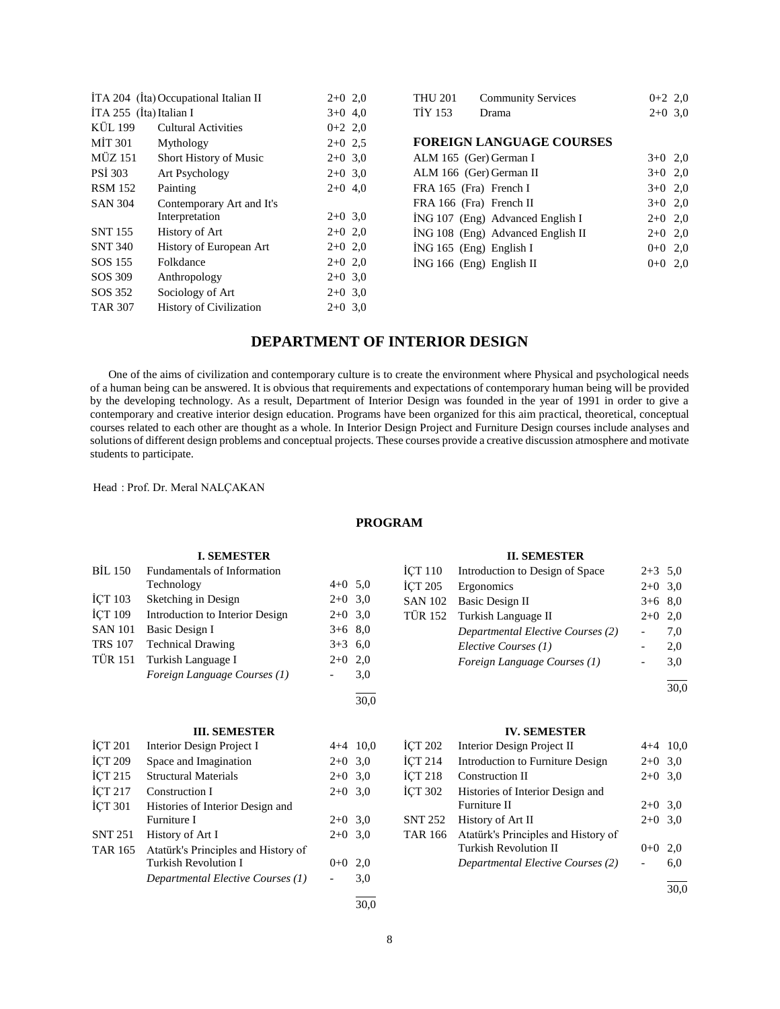|                           | İTA 204 (İta) Occupational Italian II | $2+0$ 2,0 |  |
|---------------------------|---------------------------------------|-----------|--|
| $ITA 255$ (Ita) Italian I |                                       | $3+0$ 4,0 |  |
| KÜL 199                   | <b>Cultural Activities</b>            | $0+2$ 2,0 |  |
| <b>MIT 301</b>            | Mythology                             | $2+0$ 2.5 |  |
| MÜZ 151                   | Short History of Music                | $2+0$ 3,0 |  |
| <b>PSI 303</b>            | Art Psychology                        | $2+0$ 3.0 |  |
| <b>RSM 152</b>            | Painting                              | $2+0$ 4,0 |  |
| <b>SAN 304</b>            | Contemporary Art and It's             |           |  |
|                           | Interpretation                        | $2+0$ 3.0 |  |
| <b>SNT 155</b>            | History of Art                        | $2+0$ 2,0 |  |
| <b>SNT 340</b>            | History of European Art               | $2+0$ 2,0 |  |
| SOS 155                   | Folkdance                             | $2+0$ 2,0 |  |
| SOS 309                   | Anthropology                          | $2+0$ 3.0 |  |
| SOS 352                   | Sociology of Art                      | $2+0$ 3.0 |  |
| <b>TAR 307</b>            | <b>History of Civilization</b>        | $2+0$ 3.0 |  |
|                           |                                       |           |  |

| <b>THU 201</b>            | <b>Community Services</b>         | $0+2$ 2,0 |     |
|---------------------------|-----------------------------------|-----------|-----|
| <b>TIY 153</b>            | Drama                             | $2+0$ 3,0 |     |
|                           |                                   |           |     |
|                           | <b>FOREIGN LANGUAGE COURSES</b>   |           |     |
| ALM 165 (Ger) German I    |                                   | $3+0$ 2.0 |     |
| ALM 166 (Ger) German II   |                                   | $3+0$ 2,0 |     |
| FRA 165 (Fra) French I    |                                   | $3+0$ 2,0 |     |
| FRA 166 (Fra) French II   |                                   | $3+0$ 2,0 |     |
|                           | ING 107 (Eng) Advanced English I  | $2+0$ 2,0 |     |
|                           | ING 108 (Eng) Advanced English II | $2+0$ 2,0 |     |
| $ING 165$ (Eng) English I |                                   | $0+0$ 2,0 |     |
| ING 166 (Eng) English II  |                                   | $0 + 0$   | 2.0 |
|                           |                                   |           |     |

## **DEPARTMENT OF INTERIOR DESIGN**

 One of the aims of civilization and contemporary culture is to create the environment where Physical and psychological needs of a human being can be answered. It is obvious that requirements and expectations of contemporary human being will be provided by the developing technology. As a result, Department of Interior Design was founded in the year of 1991 in order to give a contemporary and creative interior design education. Programs have been organized for this aim practical, theoretical, conceptual courses related to each other are thought as a whole. In Interior Design Project and Furniture Design courses include analyses and solutions of different design problems and conceptual projects. These courses provide a creative discussion atmosphere and motivate students to participate.

Head : Prof. Dr. Meral NALÇAKAN

#### **PROGRAM**

|                | <b>I. SEMESTER</b>                  |                          |            |                    | <b>II. SEMESTER</b>                 |           |            |
|----------------|-------------------------------------|--------------------------|------------|--------------------|-------------------------------------|-----------|------------|
| <b>BIL 150</b> | Fundamentals of Information         |                          |            | İÇT 110            | Introduction to Design of Space     | $2+3$ 5,0 |            |
|                | Technology                          | $4+0$ 5,0                |            | <b>İCT 205</b>     | Ergonomics                          | $2+0$ 3,0 |            |
| ICT 103        | Sketching in Design                 | $2+0$ 3,0                |            | <b>SAN 102</b>     | Basic Design II                     | $3+6$ 8,0 |            |
| İÇT 109        | Introduction to Interior Design     | $2+0$                    | 3,0        | <b>TÜR 152</b>     | Turkish Language II                 | $2+0$     | 2,0        |
| <b>SAN 101</b> | Basic Design I                      | $3+6$ 8,0                |            |                    | Departmental Elective Courses (2)   |           | 7,0        |
| <b>TRS 107</b> | <b>Technical Drawing</b>            | $3 + 3$                  | 6,0        |                    | Elective Courses (1)                |           | 2,0        |
| <b>TÜR 151</b> | Turkish Language I                  | $2+0$                    | 2,0        |                    | Foreign Language Courses (1)        |           | 3,0        |
|                | Foreign Language Courses (1)        | $\overline{\phantom{a}}$ | 3,0        |                    |                                     |           |            |
|                |                                     |                          |            |                    |                                     |           | 30,0       |
|                |                                     |                          | 30,0       |                    |                                     |           |            |
|                | <b>III. SEMESTER</b>                |                          |            |                    | <b>IV. SEMESTER</b>                 |           |            |
| ICT 201        | Interior Design Project I           |                          | $4+4$ 10,0 | <b>ICT 202</b>     | Interior Design Project II          |           | $4+4$ 10,0 |
| <b>ICT 209</b> | Space and Imagination               | $2+0$ 3,0                |            | ICT <sub>214</sub> | Introduction to Furniture Design    | $2+0$ 3,0 |            |
| İÇT 215        | <b>Structural Materials</b>         | $2+0$ 3,0                |            | <b>ICT 218</b>     | <b>Construction II</b>              | $2+0$ 3,0 |            |
| <b>İCT 217</b> | Construction I                      | $2+0$                    | 3,0        | <b>ICT 302</b>     | Histories of Interior Design and    |           |            |
| İÇT 301        | Histories of Interior Design and    |                          |            |                    | Furniture II                        | $2+0$ 3,0 |            |
|                | Furniture I                         | $2+0$ 3,0                |            | <b>SNT 252</b>     | History of Art II                   | $2+0$ 3,0 |            |
| <b>SNT 251</b> | History of Art I                    | $2+0$ 3,0                |            | <b>TAR 166</b>     | Atatürk's Principles and History of |           |            |
| <b>TAR 165</b> | Atatürk's Principles and History of |                          |            |                    | <b>Turkish Revolution II</b>        | $0 + 0$   | 2,0        |
|                | <b>Turkish Revolution I</b>         | $0+0$ 2,0                |            |                    | Departmental Elective Courses (2)   |           | 6,0        |
|                | Departmental Elective Courses (1)   | $\overline{\phantom{a}}$ | 3,0        |                    |                                     |           |            |
|                |                                     |                          |            |                    |                                     |           | 30,0       |
|                |                                     |                          | 30,0       |                    |                                     |           |            |

8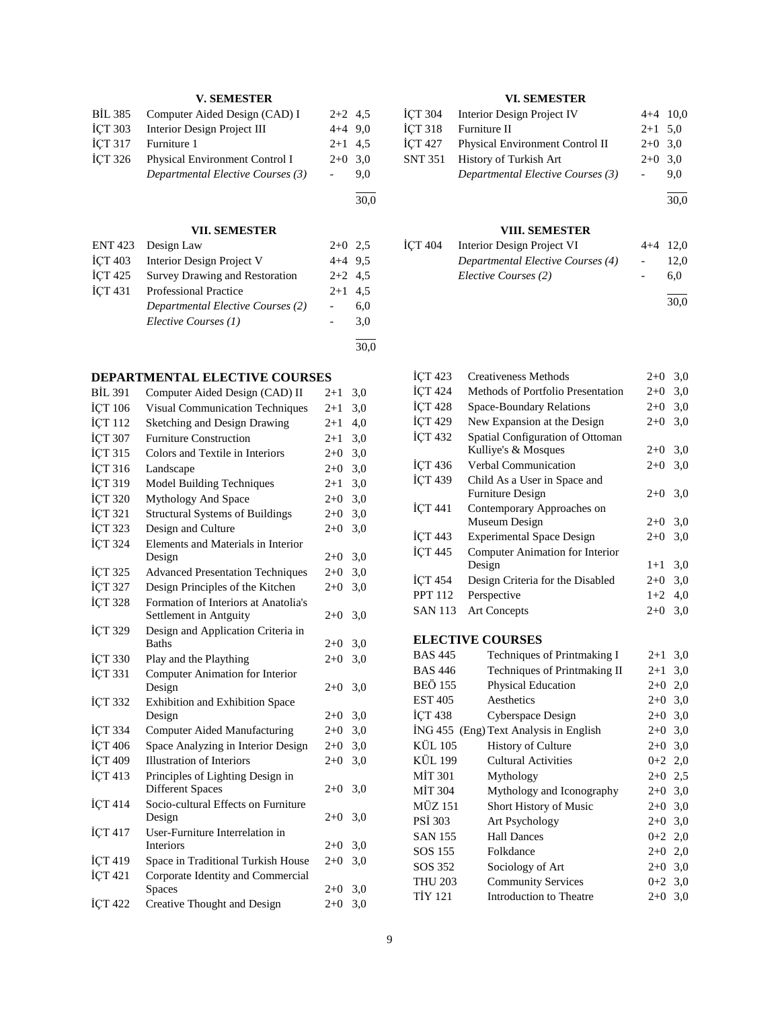## **V. SEMESTER**

| Computer Aided Design (CAD) I     | $2+2$ 4.5      |     |
|-----------------------------------|----------------|-----|
| Interior Design Project III       | $4+4$ 9.0      |     |
| Furniture 1                       | $2+1$ 4.5      |     |
| Physical Environment Control I    | $2+0$ 3.0      |     |
| Departmental Elective Courses (3) | $\sim 10^{-1}$ | 9.0 |
|                                   |                |     |

#### **VII. SEMESTER**

|                | ENT 423 Design Law                | $2+0$ 2.5 |     |
|----------------|-----------------------------------|-----------|-----|
| <b>ICT 403</b> | Interior Design Project V         | $4+4$ 9.5 |     |
| <b>İCT 425</b> | Survey Drawing and Restoration    | $2+2$ 4.5 |     |
| <b>İCT 431</b> | <b>Professional Practice</b>      | $2+1$ 4.5 |     |
|                | Departmental Elective Courses (2) |           | 6.0 |
|                | Elective Courses (1)              |           | 3.0 |
|                |                                   |           |     |

30,0

l 30,0

## **DEPARTMENTAL ELECTIVE COURSES**

| <b>BİL 391</b> | Computer Aided Design (CAD) II                                 | $2 + 1$ | 3,0 |
|----------------|----------------------------------------------------------------|---------|-----|
| İÇT 106        | <b>Visual Communication Techniques</b>                         | $2 + 1$ | 3,0 |
| İÇT 112        | Sketching and Design Drawing                                   | $2 + 1$ | 4,0 |
| İÇT 307        | <b>Furniture Construction</b>                                  | $2+1$   | 3,0 |
| İÇT 315        | Colors and Textile in Interiors                                | $2+0$   | 3,0 |
| İÇT 316        | Landscape                                                      | $2+0$   | 3,0 |
| İÇT 319        | Model Building Techniques                                      | $2+1$   | 3,0 |
| İÇT 320        | Mythology And Space                                            | $2+0$   | 3,0 |
| İÇT 321        | <b>Structural Systems of Buildings</b>                         | $2+0$   | 3,0 |
| İÇT 323        | Design and Culture                                             | $2+0$   | 3,0 |
| İÇT 324        | Elements and Materials in Interior                             |         |     |
|                | Design                                                         | $2+0$   | 3,0 |
| İÇT 325        | <b>Advanced Presentation Techniques</b>                        | $2+0$   | 3,0 |
| İÇT 327        | Design Principles of the Kitchen                               | $2+0$   | 3,0 |
| <b>İÇT 328</b> | Formation of Interiors at Anatolia's                           |         |     |
|                | Settlement in Antguity                                         | $2+0$   | 3,0 |
| İÇT 329        | Design and Application Criteria in                             |         |     |
|                | <b>Baths</b>                                                   | $2+0$   | 3,0 |
| <b>İÇT 330</b> | Play and the Plaything                                         | $2+0$   | 3,0 |
| İÇT 331        | Computer Animation for Interior                                |         |     |
|                | Design                                                         | $2+0$   | 3,0 |
| ICT 332        | Exhibition and Exhibition Space                                |         |     |
|                | Design                                                         | $2+0$   | 3,0 |
| İÇT 334        | <b>Computer Aided Manufacturing</b>                            | $2 + 0$ | 3,0 |
| İÇT 406        | Space Analyzing in Interior Design                             | $2+0$   | 3,0 |
| İÇT 409        | <b>Illustration of Interiors</b>                               | $2+0$   | 3,0 |
| İÇT 413        | Principles of Lighting Design in                               |         |     |
|                | <b>Different Spaces</b><br>Socio-cultural Effects on Furniture | $2+0$   | 3,0 |
| İÇT 414        | Design                                                         | $2+0$   | 3,0 |
| İÇT 417        | User-Furniture Interrelation in                                |         |     |
|                | Interiors                                                      | $2+0$   | 3,0 |
| İÇT 419        | Space in Traditional Turkish House                             | $2 + 0$ | 3,0 |
| İÇT 421        | Corporate Identity and Commercial                              |         |     |
|                | <b>Spaces</b>                                                  | $2+0$   | 3,0 |
| <b>İÇT 422</b> | Creative Thought and Design                                    | $2 + 0$ | 3,0 |
|                |                                                                |         |     |

## **VI. SEMESTER**

|                | ICT 304 Interior Design Project IV      | $4+4$ 10,0     |     |
|----------------|-----------------------------------------|----------------|-----|
| <b>İCT 318</b> | Furniture II                            | $2+1$ 5.0      |     |
|                | İCT 427 Physical Environment Control II | $2+0$ 3.0      |     |
|                | SNT 351 History of Turkish Art          | $2+0$ 3,0      |     |
|                | Departmental Elective Courses (3)       | $\sim 10^{-1}$ | 9.0 |
|                |                                         |                |     |

30,0

## **VIII. SEMESTER**

| İCT 404 | Interior Design Project VI        | $4+4$ 12,0 |      |
|---------|-----------------------------------|------------|------|
|         | Departmental Elective Courses (4) |            | 12.0 |
|         | Elective Courses (2)              |            | 6.0  |
|         |                                   |            | 30.0 |

| <b>İCT 423</b>       | Creativeness Methods              |           | 3,0 |
|----------------------|-----------------------------------|-----------|-----|
| <b>İCT 424</b>       | Methods of Portfolio Presentation |           | 3,0 |
| <b>ICT 428</b>       | Space-Boundary Relations          | $2+0$     | 3,0 |
| <b>İCT 429</b>       | New Expansion at the Design       | $2+0$     | 3,0 |
| <b>İCT 432</b>       | Spatial Configuration of Ottoman  |           |     |
|                      | Kulliye's & Mosques               | $2+0$     | 3,0 |
| <b>ICT 436</b>       | <b>Verbal Communication</b>       | $2+0$     | 3,0 |
| <b>İCT 439</b>       | Child As a User in Space and      |           |     |
|                      | <b>Furniture Design</b>           | $2+0$ 3,0 |     |
| İÇT 441              | Contemporary Approaches on        |           |     |
|                      | Museum Design                     | $2+0$     | 3,0 |
| $\overline{ICT}$ 443 | <b>Experimental Space Design</b>  | $2+0$     | 3,0 |
| $\overline{ICT}$ 445 | Computer Animation for Interior   |           |     |
|                      | Design                            | $1+1$     | 3,0 |
| <b>ICT 454</b>       | Design Criteria for the Disabled  | $2+0$     | 3,0 |
| <b>PPT 112</b>       | Perspective                       | $1+2$     | 4,0 |
| <b>SAN 113</b>       | <b>Art Concepts</b>               | $2+0$     | 3,0 |
|                      |                                   |           |     |

# **ELECTIVE COURSES**<br>BAS 445 **Techniques** c

| есствение сосмосо |                                        |           |     |
|-------------------|----------------------------------------|-----------|-----|
| BAS 445           | Techniques of Printmaking I            | $2 + 1$   | 3,0 |
| BAS 446           | Techniques of Printmaking II           | $2 + 1$   | 3,0 |
| BEÖ 155           | Physical Education                     | $2+0$     | 2,0 |
| EST 405           | Aesthetics                             | $2+0$     | 3,0 |
| İCT 438           | Cyberspace Design                      | $2+0$     | 3,0 |
|                   | İNG 455 (Eng) Text Analysis in English | $2+0$     | 3,0 |
| KÜL 105           | <b>History of Culture</b>              | $2+0$ 3,0 |     |
| KÜL 199           | <b>Cultural Activities</b>             | $0+2$ 2,0 |     |
| MİT 301           | Mythology                              | $2+0$ 2,5 |     |
| MİT 304           | Mythology and Iconography              | $2+0$     | 3,0 |
| MÜZ 151           | Short History of Music                 | $2+0$     | 3,0 |
| PSI 303           | Art Psychology                         | $2+0$ 3,0 |     |
| <b>SAN 155</b>    | <b>Hall Dances</b>                     | $0+2$ 2,0 |     |
| SOS 155           | Folkdance                              | $2+0$     | 2,0 |
| SOS 352           | Sociology of Art                       | $2+0$     | 3,0 |
| THU 203           | <b>Community Services</b>              | $0+2$ 3,0 |     |
| TİY 121           | Introduction to Theatre                | $2+0$     | 3,0 |
|                   |                                        |           |     |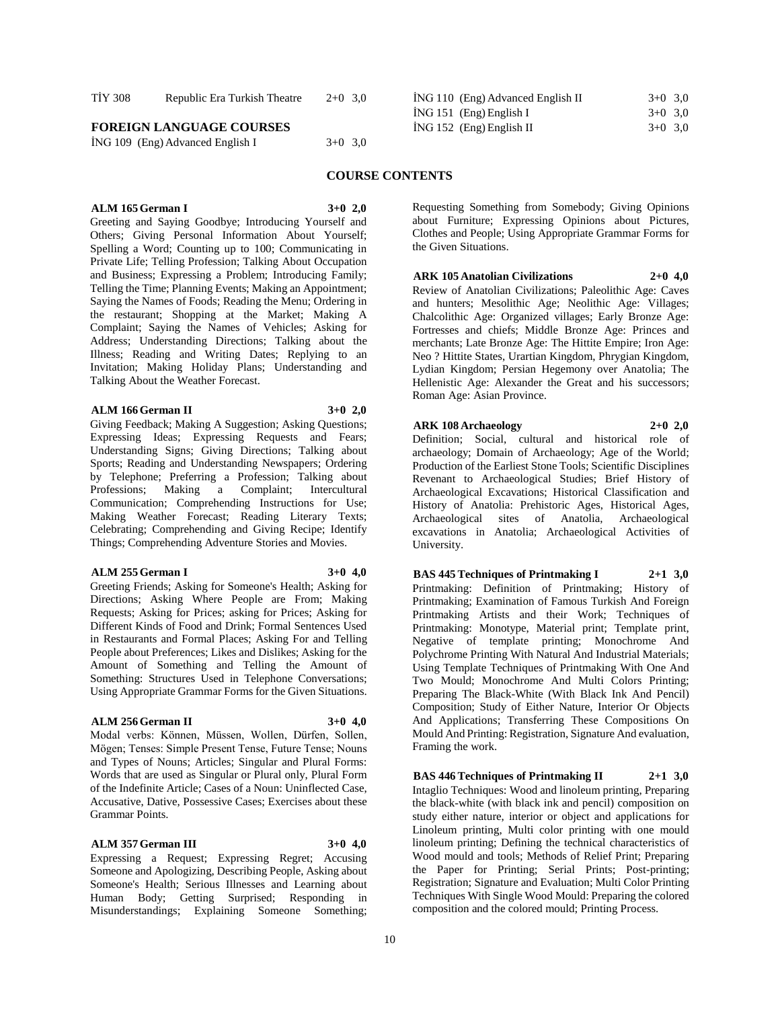| <b>TIY 308</b>                   | Republic Era Turkish Theatre | $2+0$ 3.0 | ING 110 (Eng) Advanced English II | $3+0$ 3.0 |
|----------------------------------|------------------------------|-----------|-----------------------------------|-----------|
|                                  |                              |           | $ING 151$ (Eng) English I         | $3+0$ 3.0 |
| <b>FOREIGN LANGUAGE COURSES</b>  |                              |           | $ING 152$ (Eng) English II        | $3+0$ 3.0 |
| ING 109 (Eng) Advanced English I |                              | $3+0$ 3.0 |                                   |           |
|                                  |                              |           |                                   |           |

#### **COURSE CONTENTS**

**ALM 165 German I 3+0 2,0** Greeting and Saying Goodbye; Introducing Yourself and Others; Giving Personal Information About Yourself; Spelling a Word; Counting up to 100; Communicating in Private Life; Telling Profession; Talking About Occupation and Business; Expressing a Problem; Introducing Family; Telling the Time; Planning Events; Making an Appointment; Saying the Names of Foods; Reading the Menu; Ordering in the restaurant; Shopping at the Market; Making A Complaint; Saying the Names of Vehicles; Asking for Address; Understanding Directions; Talking about the Illness; Reading and Writing Dates; Replying to an Invitation; Making Holiday Plans; Understanding and Talking About the Weather Forecast.

#### **ALM 166 German II 3+0 2,0**

Giving Feedback; Making A Suggestion; Asking Questions; Expressing Ideas; Expressing Requests and Fears; Understanding Signs; Giving Directions; Talking about Sports; Reading and Understanding Newspapers; Ordering by Telephone; Preferring a Profession; Talking about<br>Professions; Making a Complaint; Intercultural Professions; Making a Complaint; Communication; Comprehending Instructions for Use; Making Weather Forecast; Reading Literary Texts; Celebrating; Comprehending and Giving Recipe; Identify Things; Comprehending Adventure Stories and Movies.

#### **ALM 255 German I 3+0 4,0**

Greeting Friends; Asking for Someone's Health; Asking for Directions; Asking Where People are From; Making Requests; Asking for Prices; asking for Prices; Asking for Different Kinds of Food and Drink; Formal Sentences Used in Restaurants and Formal Places; Asking For and Telling People about Preferences; Likes and Dislikes; Asking for the Amount of Something and Telling the Amount of Something: Structures Used in Telephone Conversations; Using Appropriate Grammar Forms for the Given Situations.

#### **ALM 256 German II 3+0 4,0**

Modal verbs: Können, Müssen, Wollen, Dürfen, Sollen, Mögen; Tenses: Simple Present Tense, Future Tense; Nouns and Types of Nouns; Articles; Singular and Plural Forms: Words that are used as Singular or Plural only, Plural Form of the Indefinite Article; Cases of a Noun: Uninflected Case, Accusative, Dative, Possessive Cases; Exercises about these Grammar Points.

#### **ALM 357 German III 3+0 4,0**

Expressing a Request; Expressing Regret; Accusing Someone and Apologizing, Describing People, Asking about Someone's Health; Serious Illnesses and Learning about Human Body; Getting Surprised; Responding in Misunderstandings; Explaining Someone Something;

Requesting Something from Somebody; Giving Opinions about Furniture; Expressing Opinions about Pictures, Clothes and People; Using Appropriate Grammar Forms for the Given Situations.

#### **ARK 105 Anatolian Civilizations 2+0 4,0**

Review of Anatolian Civilizations; Paleolithic Age: Caves and hunters; Mesolithic Age; Neolithic Age: Villages; Chalcolithic Age: Organized villages; Early Bronze Age: Fortresses and chiefs; Middle Bronze Age: Princes and merchants; Late Bronze Age: The Hittite Empire; Iron Age: Neo ? Hittite States, Urartian Kingdom, Phrygian Kingdom, Lydian Kingdom; Persian Hegemony over Anatolia; The Hellenistic Age: Alexander the Great and his successors; Roman Age: Asian Province.

#### **ARK 108 Archaeology 2+0 2,0**

Framing the work.

Definition; Social, cultural and historical role of archaeology; Domain of Archaeology; Age of the World; Production of the Earliest Stone Tools; Scientific Disciplines Revenant to Archaeological Studies; Brief History of Archaeological Excavations; Historical Classification and History of Anatolia: Prehistoric Ages, Historical Ages, Archaeological sites of Anatolia, Archaeological excavations in Anatolia; Archaeological Activities of University.

**BAS 445 Techniques of Printmaking I 2+1 3,0** Printmaking: Definition of Printmaking; History of Printmaking; Examination of Famous Turkish And Foreign Printmaking Artists and their Work; Techniques of Printmaking: Monotype, Material print; Template print, Negative of template printing; Monochrome And Polychrome Printing With Natural And Industrial Materials; Using Template Techniques of Printmaking With One And Two Mould; Monochrome And Multi Colors Printing; Preparing The Black-White (With Black Ink And Pencil) Composition; Study of Either Nature, Interior Or Objects And Applications; Transferring These Compositions On Mould And Printing: Registration, Signature And evaluation,

**BAS 446 Techniques of Printmaking II 2+1 3,0** Intaglio Techniques: Wood and linoleum printing, Preparing the black-white (with black ink and pencil) composition on study either nature, interior or object and applications for Linoleum printing, Multi color printing with one mould linoleum printing; Defining the technical characteristics of Wood mould and tools; Methods of Relief Print; Preparing the Paper for Printing; Serial Prints; Post-printing; Registration; Signature and Evaluation; Multi Color Printing Techniques With Single Wood Mould: Preparing the colored composition and the colored mould; Printing Process.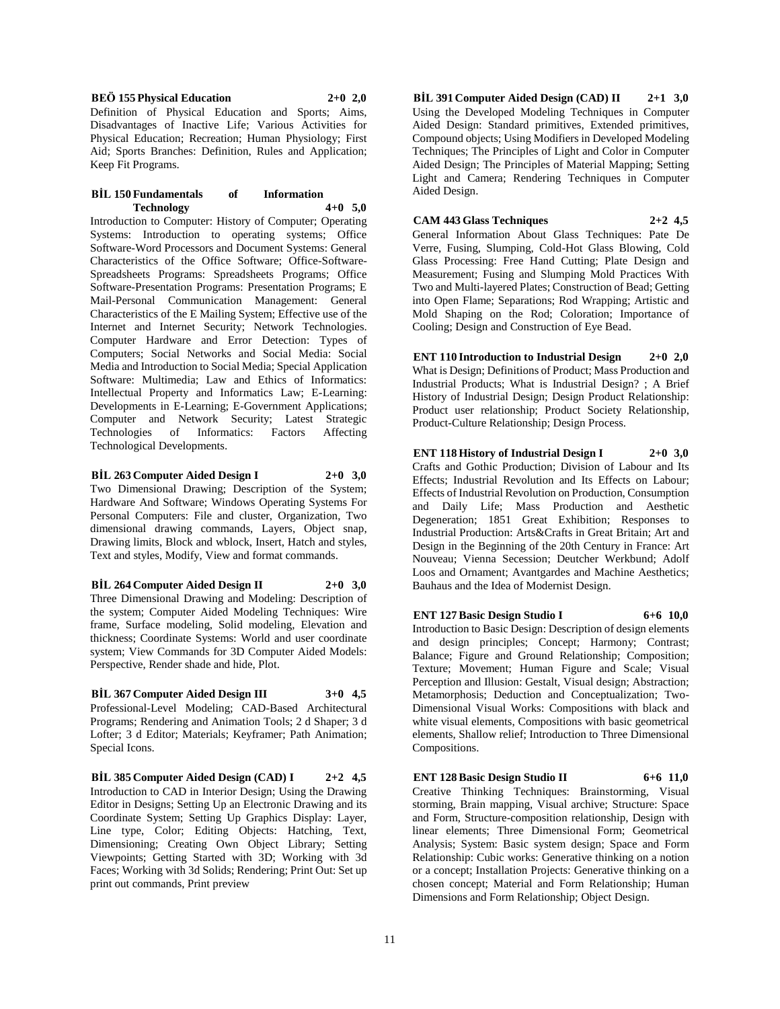**BEÖ 155 Physical Education 2+0 2,0**

Definition of Physical Education and Sports; Aims, Disadvantages of Inactive Life; Various Activities for Physical Education; Recreation; Human Physiology; First Aid; Sports Branches: Definition, Rules and Application; Keep Fit Programs.

#### **BİL 150 Fundamentals of Information Technology 4+0 5,0**

Introduction to Computer: History of Computer; Operating Systems: Introduction to operating systems; Office Software-Word Processors and Document Systems: General Characteristics of the Office Software; Office-Software-Spreadsheets Programs: Spreadsheets Programs; Office Software-Presentation Programs: Presentation Programs; E Mail-Personal Communication Management: General Characteristics of the E Mailing System; Effective use of the Internet and Internet Security; Network Technologies. Computer Hardware and Error Detection: Types of Computers; Social Networks and Social Media: Social Media and Introduction to Social Media; Special Application Software: Multimedia; Law and Ethics of Informatics: Intellectual Property and Informatics Law; E-Learning: Developments in E-Learning; E-Government Applications; Computer and Network Security; Latest Strategic Technologies of Informatics: Factors Affecting Technological Developments.

## **BİL 263 Computer Aided Design I 2+0 3,0**

Two Dimensional Drawing; Description of the System; Hardware And Software; Windows Operating Systems For Personal Computers: File and cluster, Organization, Two dimensional drawing commands, Layers, Object snap, Drawing limits, Block and wblock, Insert, Hatch and styles, Text and styles, Modify, View and format commands.

## **BİL 264 Computer Aided Design II 2+0 3,0**

Three Dimensional Drawing and Modeling: Description of the system; Computer Aided Modeling Techniques: Wire frame, Surface modeling, Solid modeling, Elevation and thickness; Coordinate Systems: World and user coordinate system; View Commands for 3D Computer Aided Models: Perspective, Render shade and hide, Plot.

## **BİL 367 Computer Aided Design III 3+0 4,5**

Professional-Level Modeling; CAD-Based Architectural Programs; Rendering and Animation Tools; 2 d Shaper; 3 d Lofter; 3 d Editor; Materials; Keyframer; Path Animation; Special Icons.

**BİL 385 Computer Aided Design (CAD) I 2+2 4,5** Introduction to CAD in Interior Design; Using the Drawing Editor in Designs; Setting Up an Electronic Drawing and its Coordinate System; Setting Up Graphics Display: Layer, Line type, Color; Editing Objects: Hatching, Text, Dimensioning; Creating Own Object Library; Setting Viewpoints; Getting Started with 3D; Working with 3d Faces; Working with 3d Solids; Rendering; Print Out: Set up print out commands, Print preview

**BİL 391 Computer Aided Design (CAD) II 2+1 3,0** Using the Developed Modeling Techniques in Computer Aided Design: Standard primitives, Extended primitives, Compound objects; Using Modifiers in Developed Modeling Techniques; The Principles of Light and Color in Computer Aided Design; The Principles of Material Mapping; Setting Light and Camera; Rendering Techniques in Computer Aided Design.

## **CAM 443 Glass Techniques 2+2 4,5**

General Information About Glass Techniques: Pate De Verre, Fusing, Slumping, Cold-Hot Glass Blowing, Cold Glass Processing: Free Hand Cutting; Plate Design and Measurement; Fusing and Slumping Mold Practices With Two and Multi-layered Plates; Construction of Bead; Getting into Open Flame; Separations; Rod Wrapping; Artistic and Mold Shaping on the Rod; Coloration; Importance of Cooling; Design and Construction of Eye Bead.

**ENT 110 Introduction to Industrial Design 2+0 2,0** What is Design; Definitions of Product; Mass Production and Industrial Products; What is Industrial Design? ; A Brief History of Industrial Design; Design Product Relationship: Product user relationship; Product Society Relationship, Product-Culture Relationship; Design Process.

## **ENT 118 History of Industrial Design I 2+0 3,0**

Crafts and Gothic Production; Division of Labour and Its Effects; Industrial Revolution and Its Effects on Labour; Effects of Industrial Revolution on Production, Consumption and Daily Life; Mass Production and Aesthetic Degeneration; 1851 Great Exhibition; Responses to Industrial Production: Arts&Crafts in Great Britain; Art and Design in the Beginning of the 20th Century in France: Art Nouveau; Vienna Secession; Deutcher Werkbund; Adolf Loos and Ornament; Avantgardes and Machine Aesthetics; Bauhaus and the Idea of Modernist Design.

## **ENT 127 Basic Design Studio I 6+6 10,0**

Introduction to Basic Design: Description of design elements and design principles; Concept; Harmony; Contrast; Balance; Figure and Ground Relationship; Composition; Texture; Movement; Human Figure and Scale; Visual Perception and Illusion: Gestalt, Visual design; Abstraction; Metamorphosis; Deduction and Conceptualization; Two-Dimensional Visual Works: Compositions with black and white visual elements, Compositions with basic geometrical elements, Shallow relief; Introduction to Three Dimensional Compositions.

**ENT 128 Basic Design Studio II 6+6 11,0** Creative Thinking Techniques: Brainstorming, Visual storming, Brain mapping, Visual archive; Structure: Space and Form, Structure-composition relationship, Design with linear elements; Three Dimensional Form; Geometrical Analysis; System: Basic system design; Space and Form Relationship: Cubic works: Generative thinking on a notion or a concept; Installation Projects: Generative thinking on a chosen concept; Material and Form Relationship; Human Dimensions and Form Relationship; Object Design.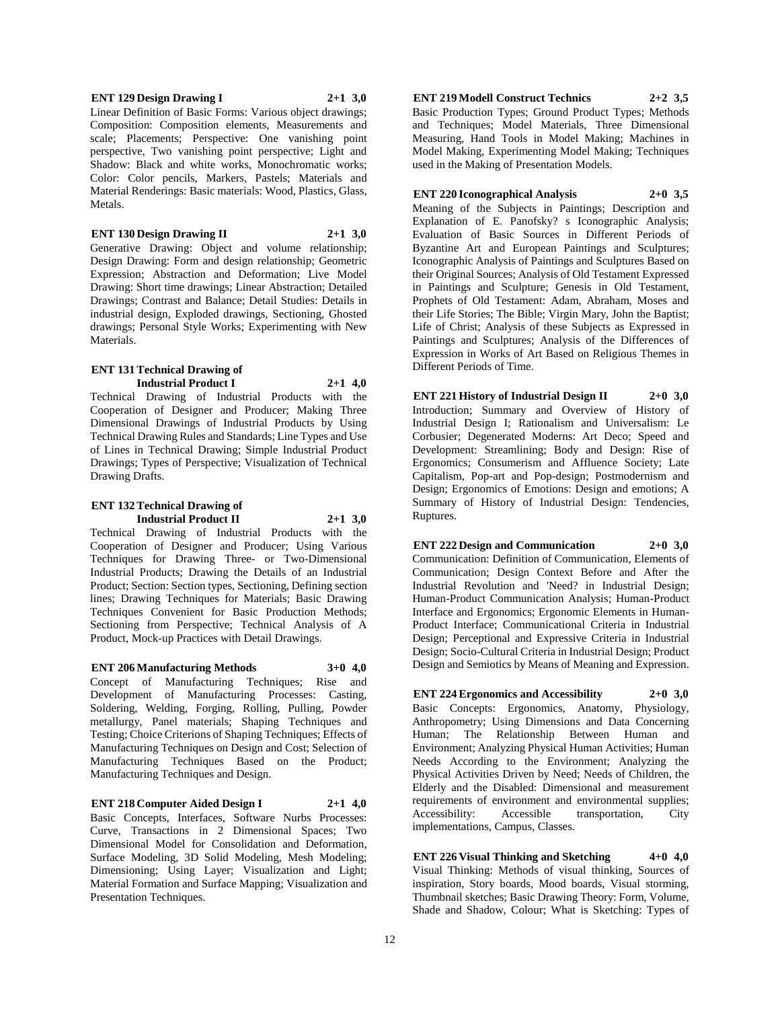Linear Definition of Basic Forms: Various object drawings; Composition: Composition elements, Measurements and scale; Placements; Perspective: One vanishing point perspective, Two vanishing point perspective; Light and Shadow: Black and white works, Monochromatic works; Color: Color pencils, Markers, Pastels; Materials and Material Renderings: Basic materials: Wood, Plastics, Glass, Metals.

## **ENT 130 Design Drawing II 2+1 3,0**

Generative Drawing: Object and volume relationship; Design Drawing: Form and design relationship; Geometric Expression; Abstraction and Deformation; Live Model Drawing: Short time drawings; Linear Abstraction; Detailed Drawings; Contrast and Balance; Detail Studies: Details in industrial design, Exploded drawings, Sectioning, Ghosted drawings; Personal Style Works; Experimenting with New Materials.

#### **ENT 131 Technical Drawing of Industrial Product I 2+1 4,0**

Technical Drawing of Industrial Products with the Cooperation of Designer and Producer; Making Three Dimensional Drawings of Industrial Products by Using Technical Drawing Rules and Standards; Line Types and Use of Lines in Technical Drawing; Simple Industrial Product Drawings; Types of Perspective; Visualization of Technical Drawing Drafts.

#### **ENT 132 Technical Drawing of Industrial Product II 2+1 3,0**

Technical Drawing of Industrial Products with the Cooperation of Designer and Producer; Using Various Techniques for Drawing Three- or Two-Dimensional Industrial Products; Drawing the Details of an Industrial Product; Section: Section types, Sectioning, Defining section lines; Drawing Techniques for Materials; Basic Drawing Techniques Convenient for Basic Production Methods; Sectioning from Perspective; Technical Analysis of A Product, Mock-up Practices with Detail Drawings.

**ENT 206 Manufacturing Methods 3+0 4,0**

Concept of Manufacturing Techniques; Rise and Development of Manufacturing Processes: Casting, Soldering, Welding, Forging, Rolling, Pulling, Powder metallurgy, Panel materials; Shaping Techniques and Testing; Choice Criterions of Shaping Techniques; Effects of Manufacturing Techniques on Design and Cost; Selection of Manufacturing Techniques Based on the Product; Manufacturing Techniques and Design.

**ENT 218 Computer Aided Design I 2+1 4,0**

Basic Concepts, Interfaces, Software Nurbs Processes: Curve, Transactions in 2 Dimensional Spaces; Two Dimensional Model for Consolidation and Deformation, Surface Modeling, 3D Solid Modeling, Mesh Modeling; Dimensioning; Using Layer; Visualization and Light; Material Formation and Surface Mapping; Visualization and Presentation Techniques.

## **ENT 219 Modell Construct Technics 2+2 3,5**

Basic Production Types; Ground Product Types; Methods and Techniques; Model Materials, Three Dimensional Measuring, Hand Tools in Model Making; Machines in Model Making, Experimenting Model Making; Techniques used in the Making of Presentation Models.

## **ENT 220 Iconographical Analysis 2+0 3,5**

Meaning of the Subjects in Paintings; Description and Explanation of E. Panofsky? s Iconographic Analysis; Evaluation of Basic Sources in Different Periods of Byzantine Art and European Paintings and Sculptures; Iconographic Analysis of Paintings and Sculptures Based on their Original Sources; Analysis of Old Testament Expressed in Paintings and Sculpture; Genesis in Old Testament, Prophets of Old Testament: Adam, Abraham, Moses and their Life Stories; The Bible; Virgin Mary, John the Baptist; Life of Christ; Analysis of these Subjects as Expressed in Paintings and Sculptures; Analysis of the Differences of Expression in Works of Art Based on Religious Themes in Different Periods of Time.

**ENT 221 History of Industrial Design II 2+0 3,0** Introduction; Summary and Overview of History of Industrial Design I; Rationalism and Universalism: Le Corbusier; Degenerated Moderns: Art Deco; Speed and Development: Streamlining; Body and Design: Rise of Ergonomics; Consumerism and Affluence Society; Late Capitalism, Pop-art and Pop-design; Postmodernism and Design; Ergonomics of Emotions: Design and emotions; A Summary of History of Industrial Design: Tendencies, Ruptures.

**ENT 222 Design and Communication 2+0 3,0** Communication: Definition of Communication, Elements of Communication; Design Context Before and After the Industrial Revolution and 'Need? in Industrial Design; Human-Product Communication Analysis; Human-Product Interface and Ergonomics; Ergonomic Elements in Human-Product Interface; Communicational Criteria in Industrial Design; Perceptional and Expressive Criteria in Industrial Design; Socio-Cultural Criteria in Industrial Design; Product Design and Semiotics by Means of Meaning and Expression.

**ENT 224 Ergonomics and Accessibility 2+0 3,0** Basic Concepts: Ergonomics, Anatomy, Physiology, Anthropometry; Using Dimensions and Data Concerning Human; The Relationship Between Human and Environment; Analyzing Physical Human Activities; Human Needs According to the Environment; Analyzing the Physical Activities Driven by Need; Needs of Children, the Elderly and the Disabled: Dimensional and measurement requirements of environment and environmental supplies; Accessibility: Accessible transportation, City implementations, Campus, Classes.

**ENT 226 Visual Thinking and Sketching 4+0 4,0** Visual Thinking: Methods of visual thinking, Sources of inspiration, Story boards, Mood boards, Visual storming, Thumbnail sketches; Basic Drawing Theory: Form, Volume, Shade and Shadow, Colour; What is Sketching: Types of

#### **ENT 129 Design Drawing I 2+1 3,0**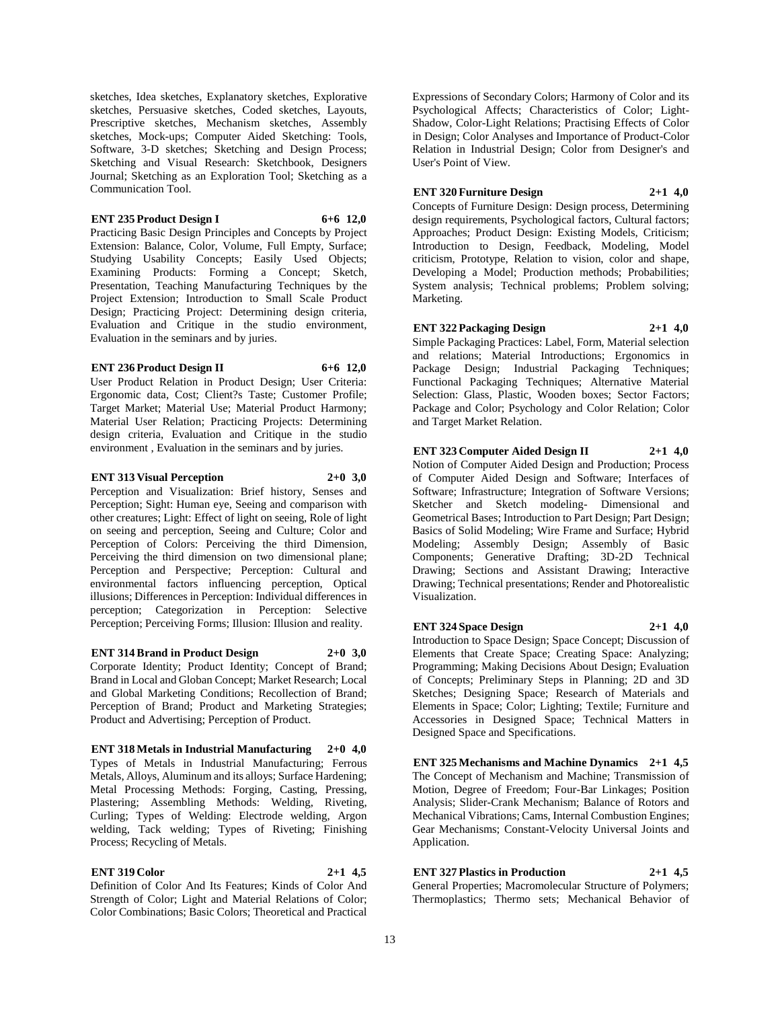sketches, Idea sketches, Explanatory sketches, Explorative sketches, Persuasive sketches, Coded sketches, Layouts, Prescriptive sketches, Mechanism sketches, Assembly sketches, Mock-ups; Computer Aided Sketching: Tools, Software, 3-D sketches; Sketching and Design Process; Sketching and Visual Research: Sketchbook, Designers Journal; Sketching as an Exploration Tool; Sketching as a Communication Tool.

#### **ENT 235 Product Design I 6+6 12,0**

Practicing Basic Design Principles and Concepts by Project Extension: Balance, Color, Volume, Full Empty, Surface; Studying Usability Concepts; Easily Used Objects; Examining Products: Forming a Concept; Sketch, Presentation, Teaching Manufacturing Techniques by the Project Extension; Introduction to Small Scale Product Design; Practicing Project: Determining design criteria, Evaluation and Critique in the studio environment, Evaluation in the seminars and by juries.

#### **ENT 236 Product Design II 6+6 12,0**

User Product Relation in Product Design; User Criteria: Ergonomic data, Cost; Client?s Taste; Customer Profile; Target Market; Material Use; Material Product Harmony; Material User Relation; Practicing Projects: Determining design criteria, Evaluation and Critique in the studio environment , Evaluation in the seminars and by juries.

#### **ENT 313 Visual Perception 2+0 3,0**

Perception and Visualization: Brief history, Senses and Perception; Sight: Human eye, Seeing and comparison with other creatures; Light: Effect of light on seeing, Role of light on seeing and perception, Seeing and Culture; Color and Perception of Colors: Perceiving the third Dimension, Perceiving the third dimension on two dimensional plane; Perception and Perspective; Perception: Cultural and environmental factors influencing perception, Optical illusions; Differences in Perception: Individual differences in perception; Categorization in Perception: Selective Perception; Perceiving Forms; Illusion: Illusion and reality.

#### **ENT 314 Brand in Product Design 2+0 3,0**

Corporate Identity; Product Identity; Concept of Brand; Brand in Local and Globan Concept; Market Research; Local and Global Marketing Conditions; Recollection of Brand; Perception of Brand; Product and Marketing Strategies; Product and Advertising; Perception of Product.

**ENT 318 Metals in Industrial Manufacturing 2+0 4,0** Types of Metals in Industrial Manufacturing; Ferrous Metals, Alloys, Aluminum and its alloys; Surface Hardening; Metal Processing Methods: Forging, Casting, Pressing, Plastering; Assembling Methods: Welding, Riveting, Curling; Types of Welding: Electrode welding, Argon welding, Tack welding; Types of Riveting; Finishing Process; Recycling of Metals.

## **ENT 319 Color 2+1 4,5**

Definition of Color And Its Features; Kinds of Color And Strength of Color; Light and Material Relations of Color; Color Combinations; Basic Colors; Theoretical and Practical

Expressions of Secondary Colors; Harmony of Color and its Psychological Affects; Characteristics of Color; Light-Shadow, Color-Light Relations; Practising Effects of Color in Design; Color Analyses and Importance of Product-Color Relation in Industrial Design; Color from Designer's and User's Point of View.

#### **ENT 320 Furniture Design 2+1 4,0**

Concepts of Furniture Design: Design process, Determining design requirements, Psychological factors, Cultural factors; Approaches; Product Design: Existing Models, Criticism; Introduction to Design, Feedback, Modeling, Model criticism, Prototype, Relation to vision, color and shape, Developing a Model; Production methods; Probabilities; System analysis; Technical problems; Problem solving; Marketing.

#### **ENT 322 Packaging Design 2+1 4,0**

Simple Packaging Practices: Label, Form, Material selection and relations; Material Introductions; Ergonomics in Package Design; Industrial Packaging Techniques; Functional Packaging Techniques; Alternative Material Selection: Glass, Plastic, Wooden boxes; Sector Factors; Package and Color; Psychology and Color Relation; Color and Target Market Relation.

#### **ENT 323 Computer Aided Design II 2+1 4,0**

Notion of Computer Aided Design and Production; Process of Computer Aided Design and Software; Interfaces of Software; Infrastructure; Integration of Software Versions; Sketcher and Sketch modeling- Dimensional and Geometrical Bases; Introduction to Part Design; Part Design; Basics of Solid Modeling; Wire Frame and Surface; Hybrid Modeling; Assembly Design; Assembly of Basic Components; Generative Drafting; 3D-2D Technical Drawing; Sections and Assistant Drawing; Interactive Drawing; Technical presentations; Render and Photorealistic Visualization.

#### **ENT 324 Space Design 2+1 4,0**

Introduction to Space Design; Space Concept; Discussion of Elements that Create Space; Creating Space: Analyzing; Programming; Making Decisions About Design; Evaluation of Concepts; Preliminary Steps in Planning; 2D and 3D Sketches; Designing Space; Research of Materials and Elements in Space; Color; Lighting; Textile; Furniture and Accessories in Designed Space; Technical Matters in Designed Space and Specifications.

**ENT 325 Mechanisms and Machine Dynamics 2+1 4,5** The Concept of Mechanism and Machine; Transmission of Motion, Degree of Freedom; Four-Bar Linkages; Position Analysis; Slider-Crank Mechanism; Balance of Rotors and Mechanical Vibrations; Cams, Internal Combustion Engines; Gear Mechanisms; Constant-Velocity Universal Joints and Application.

## **ENT 327 Plastics in Production 2+1 4,5**

General Properties; Macromolecular Structure of Polymers; Thermoplastics; Thermo sets; Mechanical Behavior of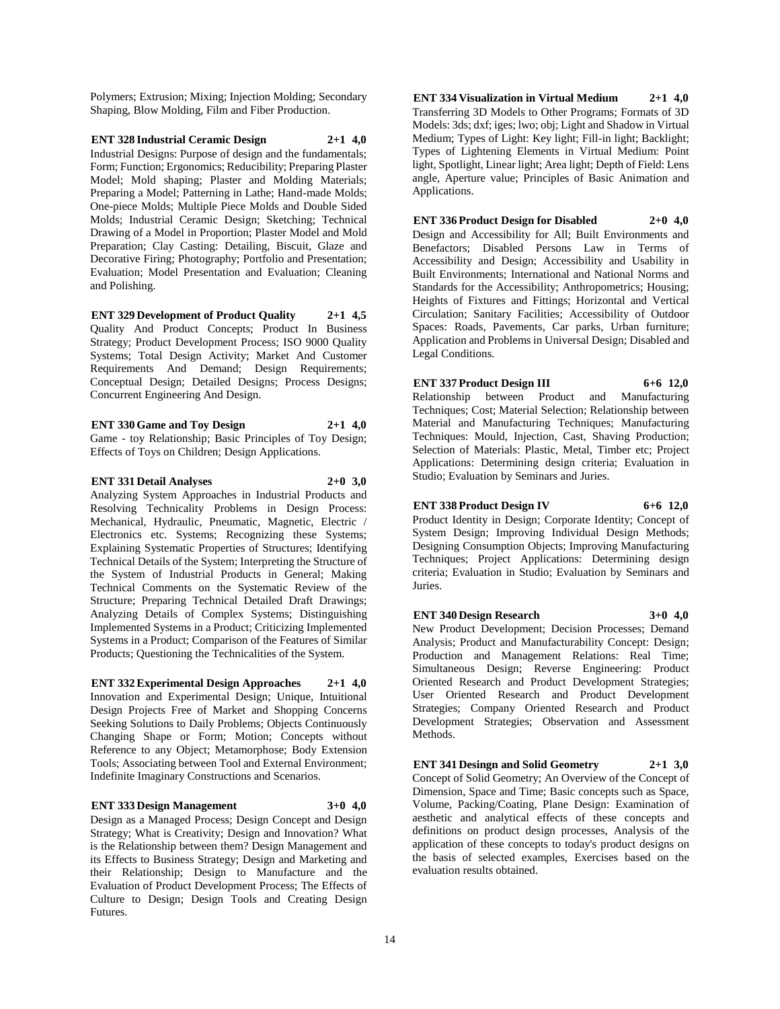Polymers; Extrusion; Mixing; Injection Molding; Secondary Shaping, Blow Molding, Film and Fiber Production.

**ENT 328 Industrial Ceramic Design 2+1 4,0** Industrial Designs: Purpose of design and the fundamentals; Form; Function; Ergonomics; Reducibility; Preparing Plaster Model; Mold shaping; Plaster and Molding Materials; Preparing a Model; Patterning in Lathe; Hand-made Molds; One-piece Molds; Multiple Piece Molds and Double Sided Molds; Industrial Ceramic Design; Sketching; Technical Drawing of a Model in Proportion; Plaster Model and Mold Preparation; Clay Casting: Detailing, Biscuit, Glaze and Decorative Firing; Photography; Portfolio and Presentation; Evaluation; Model Presentation and Evaluation; Cleaning and Polishing.

**ENT 329 Development of Product Quality 2+1 4,5** Quality And Product Concepts; Product In Business Strategy; Product Development Process; ISO 9000 Quality Systems; Total Design Activity; Market And Customer Requirements And Demand; Design Requirements; Conceptual Design; Detailed Designs; Process Designs; Concurrent Engineering And Design.

**ENT 330 Game and Toy Design 2+1 4,0** Game - toy Relationship; Basic Principles of Toy Design; Effects of Toys on Children; Design Applications.

**ENT 331 Detail Analyses 2+0 3,0** Analyzing System Approaches in Industrial Products and Resolving Technicality Problems in Design Process: Mechanical, Hydraulic, Pneumatic, Magnetic, Electric / Electronics etc. Systems; Recognizing these Systems; Explaining Systematic Properties of Structures; Identifying Technical Details of the System; Interpreting the Structure of the System of Industrial Products in General; Making Technical Comments on the Systematic Review of the Structure; Preparing Technical Detailed Draft Drawings; Analyzing Details of Complex Systems; Distinguishing Implemented Systems in a Product; Criticizing Implemented Systems in a Product; Comparison of the Features of Similar Products; Questioning the Technicalities of the System.

**ENT 332 Experimental Design Approaches 2+1 4,0** Innovation and Experimental Design; Unique, Intuitional Design Projects Free of Market and Shopping Concerns Seeking Solutions to Daily Problems; Objects Continuously Changing Shape or Form; Motion; Concepts without Reference to any Object; Metamorphose; Body Extension Tools; Associating between Tool and External Environment; Indefinite Imaginary Constructions and Scenarios.

#### **ENT 333 Design Management 3+0 4,0**

Design as a Managed Process; Design Concept and Design Strategy; What is Creativity; Design and Innovation? What is the Relationship between them? Design Management and its Effects to Business Strategy; Design and Marketing and their Relationship; Design to Manufacture and the Evaluation of Product Development Process; The Effects of Culture to Design; Design Tools and Creating Design Futures.

**ENT 334 Visualization in Virtual Medium 2+1 4,0** Transferring 3D Models to Other Programs; Formats of 3D Models: 3ds; dxf; iges; lwo; obj; Light and Shadow in Virtual Medium; Types of Light: Key light; Fill-in light; Backlight; Types of Lightening Elements in Virtual Medium: Point light, Spotlight, Linear light; Area light; Depth of Field: Lens angle, Aperture value; Principles of Basic Animation and Applications.

**ENT 336 Product Design for Disabled 2+0 4,0**

Design and Accessibility for All; Built Environments and Benefactors; Disabled Persons Law in Terms of Accessibility and Design; Accessibility and Usability in Built Environments; International and National Norms and Standards for the Accessibility; Anthropometrics; Housing; Heights of Fixtures and Fittings; Horizontal and Vertical Circulation; Sanitary Facilities; Accessibility of Outdoor Spaces: Roads, Pavements, Car parks, Urban furniture; Application and Problems in Universal Design; Disabled and Legal Conditions.

#### **ENT 337 Product Design III 6+6 12,0**

Relationship between Product and Manufacturing Techniques; Cost; Material Selection; Relationship between Material and Manufacturing Techniques; Manufacturing Techniques: Mould, Injection, Cast, Shaving Production; Selection of Materials: Plastic, Metal, Timber etc; Project Applications: Determining design criteria; Evaluation in Studio; Evaluation by Seminars and Juries.

#### **ENT 338 Product Design IV 6+6 12,0**

Product Identity in Design; Corporate Identity; Concept of System Design; Improving Individual Design Methods; Designing Consumption Objects; Improving Manufacturing Techniques; Project Applications: Determining design criteria; Evaluation in Studio; Evaluation by Seminars and Juries.

#### **ENT 340 Design Research 3+0 4,0**

New Product Development; Decision Processes; Demand Analysis; Product and Manufacturability Concept: Design; Production and Management Relations: Real Time; Simultaneous Design; Reverse Engineering: Product Oriented Research and Product Development Strategies; User Oriented Research and Product Development Strategies; Company Oriented Research and Product Development Strategies; Observation and Assessment Methods.

**ENT 341 Desingn and Solid Geometry 2+1 3,0** Concept of Solid Geometry; An Overview of the Concept of Dimension, Space and Time; Basic concepts such as Space, Volume, Packing/Coating, Plane Design: Examination of aesthetic and analytical effects of these concepts and definitions on product design processes, Analysis of the application of these concepts to today's product designs on the basis of selected examples, Exercises based on the evaluation results obtained.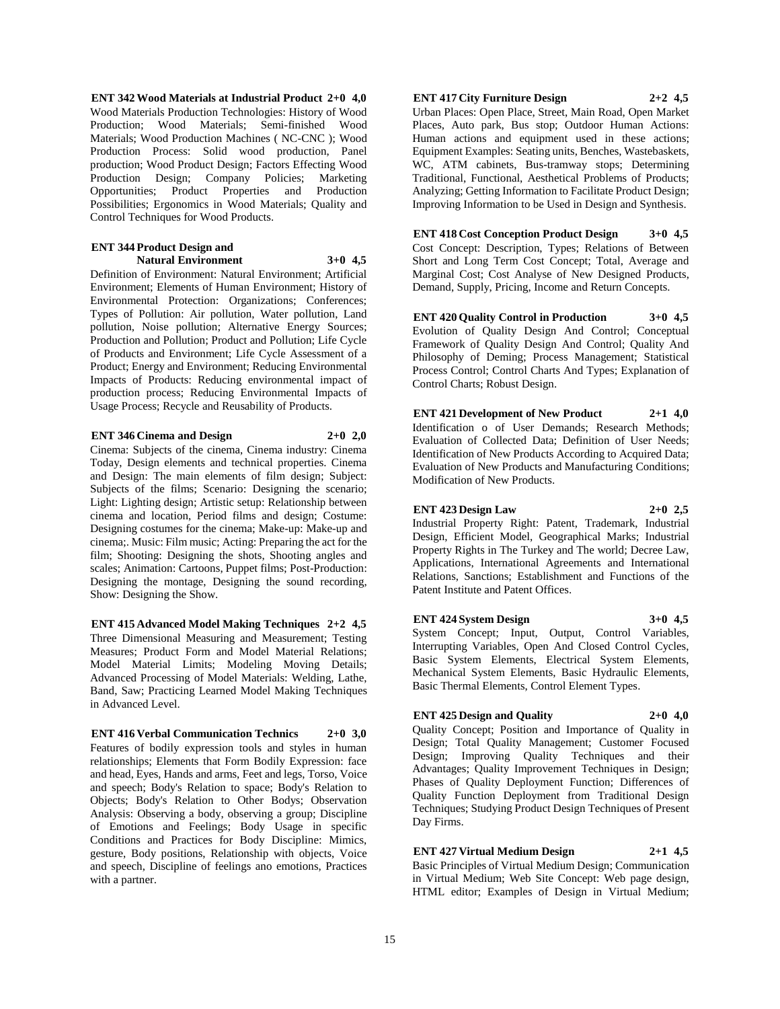**ENT 342 Wood Materials at Industrial Product 2+0 4,0** Wood Materials Production Technologies: History of Wood Production; Wood Materials; Semi-finished Wood Materials; Wood Production Machines ( NC-CNC ); Wood Production Process: Solid wood production, Panel production; Wood Product Design; Factors Effecting Wood Production Design; Company Policies; Marketing Opportunities; Product Properties and Production Possibilities; Ergonomics in Wood Materials; Quality and Control Techniques for Wood Products.

#### **ENT 344 Product Design and Natural Environment 3+0 4,5**

Definition of Environment: Natural Environment; Artificial Environment; Elements of Human Environment; History of Environmental Protection: Organizations; Conferences; Types of Pollution: Air pollution, Water pollution, Land pollution, Noise pollution; Alternative Energy Sources; Production and Pollution; Product and Pollution; Life Cycle of Products and Environment; Life Cycle Assessment of a Product; Energy and Environment; Reducing Environmental Impacts of Products: Reducing environmental impact of production process; Reducing Environmental Impacts of Usage Process; Recycle and Reusability of Products.

#### **ENT 346 Cinema and Design 2+0 2,0**

Cinema: Subjects of the cinema, Cinema industry: Cinema Today, Design elements and technical properties. Cinema and Design: The main elements of film design; Subject: Subjects of the films; Scenario: Designing the scenario; Light: Lighting design; Artistic setup: Relationship between cinema and location, Period films and design; Costume: Designing costumes for the cinema; Make-up: Make-up and cinema;. Music: Film music; Acting: Preparing the act for the film; Shooting: Designing the shots, Shooting angles and scales; Animation: Cartoons, Puppet films; Post-Production: Designing the montage, Designing the sound recording, Show: Designing the Show.

**ENT 415 Advanced Model Making Techniques 2+2 4,5** Three Dimensional Measuring and Measurement; Testing Measures; Product Form and Model Material Relations; Model Material Limits; Modeling Moving Details; Advanced Processing of Model Materials: Welding, Lathe, Band, Saw; Practicing Learned Model Making Techniques in Advanced Level.

**ENT 416 Verbal Communication Technics 2+0 3,0** Features of bodily expression tools and styles in human relationships; Elements that Form Bodily Expression: face and head, Eyes, Hands and arms, Feet and legs, Torso, Voice and speech; Body's Relation to space; Body's Relation to Objects; Body's Relation to Other Bodys; Observation Analysis: Observing a body, observing a group; Discipline of Emotions and Feelings; Body Usage in specific Conditions and Practices for Body Discipline: Mimics, gesture, Body positions, Relationship with objects, Voice and speech, Discipline of feelings ano emotions, Practices with a partner.

#### **ENT 417 City Furniture Design 2+2 4,5**

Urban Places: Open Place, Street, Main Road, Open Market Places, Auto park, Bus stop; Outdoor Human Actions: Human actions and equipment used in these actions; Equipment Examples: Seating units, Benches, Wastebaskets, WC, ATM cabinets, Bus-tramway stops; Determining Traditional, Functional, Aesthetical Problems of Products; Analyzing; Getting Information to Facilitate Product Design; Improving Information to be Used in Design and Synthesis.

**ENT 418 Cost Conception Product Design 3+0 4,5** Cost Concept: Description, Types; Relations of Between Short and Long Term Cost Concept; Total, Average and Marginal Cost; Cost Analyse of New Designed Products, Demand, Supply, Pricing, Income and Return Concepts.

**ENT 420 Quality Control in Production 3+0 4,5** Evolution of Quality Design And Control; Conceptual Framework of Quality Design And Control; Quality And Philosophy of Deming; Process Management; Statistical Process Control; Control Charts And Types; Explanation of Control Charts; Robust Design.

**ENT 421 Development of New Product 2+1 4,0** Identification o of User Demands; Research Methods; Evaluation of Collected Data; Definition of User Needs; Identification of New Products According to Acquired Data; Evaluation of New Products and Manufacturing Conditions; Modification of New Products.

#### **ENT 423 Design Law 2+0 2,5**

Industrial Property Right: Patent, Trademark, Industrial Design, Efficient Model, Geographical Marks; Industrial Property Rights in The Turkey and The world; Decree Law, Applications, International Agreements and International Relations, Sanctions; Establishment and Functions of the Patent Institute and Patent Offices.

#### **ENT 424 System Design 3+0 4,5**

System Concept; Input, Output, Control Variables, Interrupting Variables, Open And Closed Control Cycles, Basic System Elements, Electrical System Elements, Mechanical System Elements, Basic Hydraulic Elements, Basic Thermal Elements, Control Element Types.

#### **ENT 425 Design and Quality 2+0 4,0**

Quality Concept; Position and Importance of Quality in Design; Total Quality Management; Customer Focused Design; Improving Quality Techniques and their Advantages; Quality Improvement Techniques in Design; Phases of Quality Deployment Function; Differences of Quality Function Deployment from Traditional Design Techniques; Studying Product Design Techniques of Present Day Firms.

## **ENT 427 Virtual Medium Design 2+1 4,5**

Basic Principles of Virtual Medium Design; Communication in Virtual Medium; Web Site Concept: Web page design, HTML editor; Examples of Design in Virtual Medium;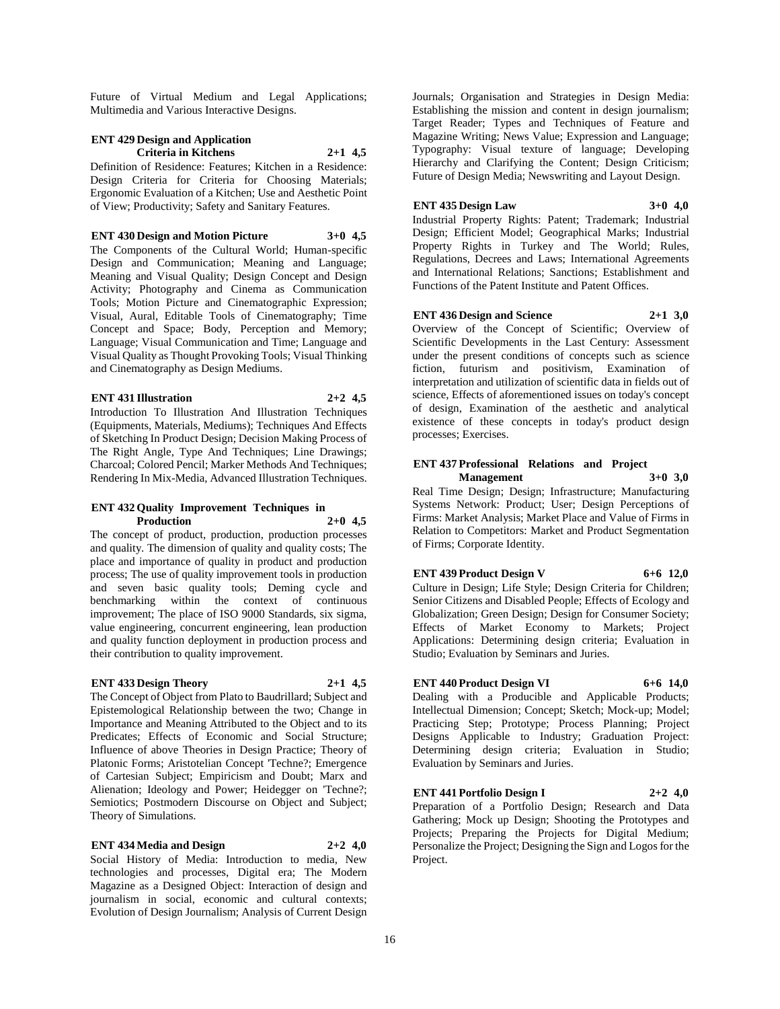Future of Virtual Medium and Legal Applications; Multimedia and Various Interactive Designs.

## **ENT 429 Design and Application Criteria in Kitchens 2+1 4,5**

Definition of Residence: Features; Kitchen in a Residence: Design Criteria for Criteria for Choosing Materials; Ergonomic Evaluation of a Kitchen; Use and Aesthetic Point of View; Productivity; Safety and Sanitary Features.

**ENT 430 Design and Motion Picture 3+0 4,5**

The Components of the Cultural World; Human-specific Design and Communication; Meaning and Language; Meaning and Visual Quality; Design Concept and Design Activity; Photography and Cinema as Communication Tools; Motion Picture and Cinematographic Expression; Visual, Aural, Editable Tools of Cinematography; Time Concept and Space; Body, Perception and Memory; Language; Visual Communication and Time; Language and Visual Quality as Thought Provoking Tools; Visual Thinking and Cinematography as Design Mediums.

### **ENT 431 Illustration 2+2 4,5**

Introduction To Illustration And Illustration Techniques (Equipments, Materials, Mediums); Techniques And Effects of Sketching In Product Design; Decision Making Process of The Right Angle, Type And Techniques; Line Drawings; Charcoal; Colored Pencil; Marker Methods And Techniques; Rendering In Mix-Media, Advanced Illustration Techniques.

#### **ENT 432 Quality Improvement Techniques in Production 2+0 4,5**

The concept of product, production, production processes and quality. The dimension of quality and quality costs; The place and importance of quality in product and production process; The use of quality improvement tools in production and seven basic quality tools; Deming cycle and benchmarking within the context of continuous improvement; The place of ISO 9000 Standards, six sigma, value engineering, concurrent engineering, lean production and quality function deployment in production process and their contribution to quality improvement.

#### **ENT 433 Design Theory 2+1 4,5**

The Concept of Object from Plato to Baudrillard; Subject and Epistemological Relationship between the two; Change in Importance and Meaning Attributed to the Object and to its Predicates; Effects of Economic and Social Structure; Influence of above Theories in Design Practice; Theory of Platonic Forms; Aristotelian Concept 'Techne?; Emergence of Cartesian Subject; Empiricism and Doubt; Marx and Alienation; Ideology and Power; Heidegger on 'Techne?; Semiotics; Postmodern Discourse on Object and Subject; Theory of Simulations.

#### **ENT 434 Media and Design 2+2 4,0**

Social History of Media: Introduction to media, New technologies and processes, Digital era; The Modern Magazine as a Designed Object: Interaction of design and journalism in social, economic and cultural contexts; Evolution of Design Journalism; Analysis of Current Design

Journals; Organisation and Strategies in Design Media: Establishing the mission and content in design journalism; Target Reader; Types and Techniques of Feature and Magazine Writing; News Value; Expression and Language; Typography: Visual texture of language; Developing Hierarchy and Clarifying the Content; Design Criticism; Future of Design Media; Newswriting and Layout Design.

#### **ENT 435 Design Law 3+0 4,0**

Industrial Property Rights: Patent; Trademark; Industrial Design; Efficient Model; Geographical Marks; Industrial Property Rights in Turkey and The World; Rules, Regulations, Decrees and Laws; International Agreements and International Relations; Sanctions; Establishment and Functions of the Patent Institute and Patent Offices.

#### **ENT 436 Design and Science 2+1 3,0**

Overview of the Concept of Scientific; Overview of Scientific Developments in the Last Century: Assessment under the present conditions of concepts such as science fiction, futurism and positivism, Examination of interpretation and utilization of scientific data in fields out of science, Effects of aforementioned issues on today's concept of design, Examination of the aesthetic and analytical existence of these concepts in today's product design processes; Exercises.

#### **ENT 437 Professional Relations and Project Management 3+0 3,0**

Real Time Design; Design; Infrastructure; Manufacturing Systems Network: Product; User; Design Perceptions of Firms: Market Analysis; Market Place and Value of Firms in Relation to Competitors: Market and Product Segmentation of Firms; Corporate Identity.

#### **ENT 439 Product Design V 6+6 12,0**

Culture in Design; Life Style; Design Criteria for Children; Senior Citizens and Disabled People; Effects of Ecology and Globalization; Green Design; Design for Consumer Society; Effects of Market Economy to Markets; Project Applications: Determining design criteria; Evaluation in Studio; Evaluation by Seminars and Juries.

## **ENT 440 Product Design VI 6+6 14,0**

Dealing with a Producible and Applicable Products; Intellectual Dimension; Concept; Sketch; Mock-up; Model; Practicing Step; Prototype; Process Planning; Project Designs Applicable to Industry; Graduation Project: Determining design criteria; Evaluation in Studio; Evaluation by Seminars and Juries.

## **ENT 441 Portfolio Design I 2+2 4,0**

Preparation of a Portfolio Design; Research and Data Gathering; Mock up Design; Shooting the Prototypes and Projects; Preparing the Projects for Digital Medium; Personalize the Project; Designing the Sign and Logos for the Project.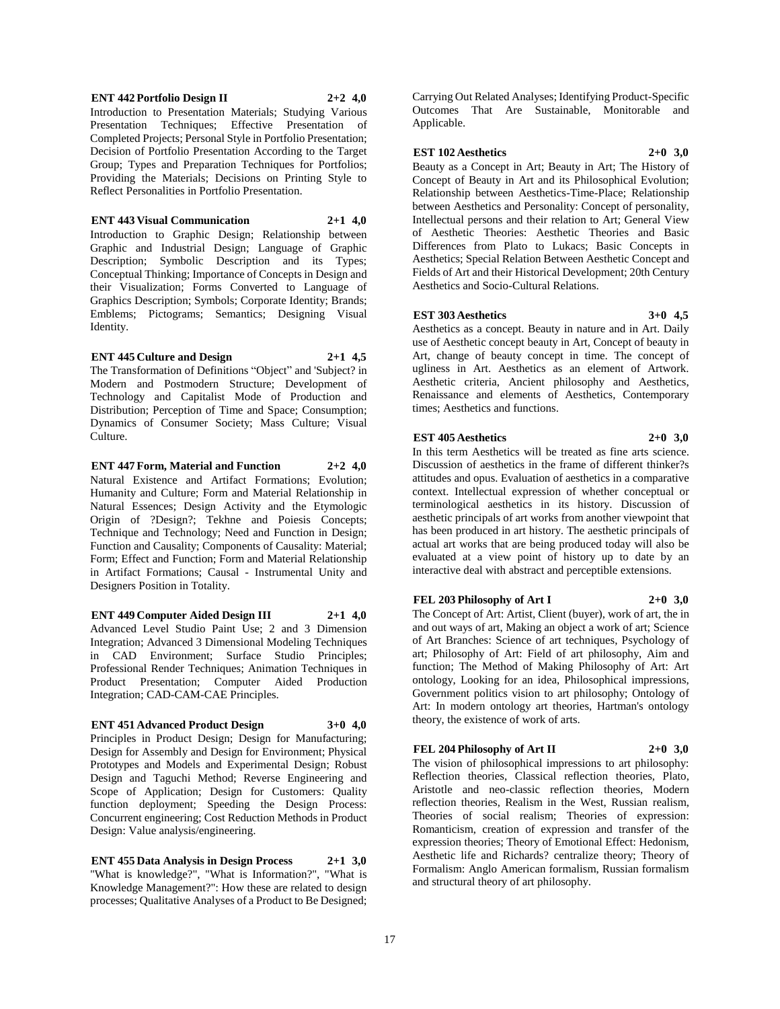#### **ENT 442 Portfolio Design II 2+2 4,0**

Introduction to Presentation Materials; Studying Various Presentation Techniques; Effective Presentation of Completed Projects; Personal Style in Portfolio Presentation; Decision of Portfolio Presentation According to the Target Group; Types and Preparation Techniques for Portfolios; Providing the Materials; Decisions on Printing Style to Reflect Personalities in Portfolio Presentation.

#### **ENT 443 Visual Communication 2+1 4,0**

Introduction to Graphic Design; Relationship between Graphic and Industrial Design; Language of Graphic Description; Symbolic Description and its Types; Conceptual Thinking; Importance of Concepts in Design and their Visualization; Forms Converted to Language of Graphics Description; Symbols; Corporate Identity; Brands; Emblems; Pictograms; Semantics; Designing Visual Identity.

#### **ENT 445 Culture and Design 2+1 4,5**

The Transformation of Definitions "Object" and 'Subject? in Modern and Postmodern Structure; Development of Technology and Capitalist Mode of Production and Distribution; Perception of Time and Space; Consumption; Dynamics of Consumer Society; Mass Culture; Visual Culture.

**ENT 447 Form, Material and Function 2+2 4,0** Natural Existence and Artifact Formations; Evolution; Humanity and Culture; Form and Material Relationship in Natural Essences; Design Activity and the Etymologic Origin of ?Design?; Tekhne and Poiesis Concepts; Technique and Technology; Need and Function in Design; Function and Causality; Components of Causality: Material; Form; Effect and Function; Form and Material Relationship in Artifact Formations; Causal - Instrumental Unity and Designers Position in Totality.

#### **ENT 449 Computer Aided Design III 2+1 4,0**

Advanced Level Studio Paint Use; 2 and 3 Dimension Integration; Advanced 3 Dimensional Modeling Techniques in CAD Environment; Surface Studio Principles; Professional Render Techniques; Animation Techniques in Product Presentation; Computer Aided Production Integration; CAD-CAM-CAE Principles.

#### **ENT 451 Advanced Product Design 3+0 4,0**

Principles in Product Design; Design for Manufacturing; Design for Assembly and Design for Environment; Physical Prototypes and Models and Experimental Design; Robust Design and Taguchi Method; Reverse Engineering and Scope of Application; Design for Customers: Quality function deployment; Speeding the Design Process: Concurrent engineering; Cost Reduction Methods in Product Design: Value analysis/engineering.

**ENT 455 Data Analysis in Design Process 2+1 3,0** "What is knowledge?", "What is Information?", "What is Knowledge Management?": How these are related to design processes; Qualitative Analyses of a Product to Be Designed; Carrying Out Related Analyses; Identifying Product-Specific Outcomes That Are Sustainable, Monitorable and Applicable.

#### **EST 102 Aesthetics 2+0 3,0**

Beauty as a Concept in Art; Beauty in Art; The History of Concept of Beauty in Art and its Philosophical Evolution; Relationship between Aesthetics-Time-Place; Relationship between Aesthetics and Personality: Concept of personality, Intellectual persons and their relation to Art; General View of Aesthetic Theories: Aesthetic Theories and Basic Differences from Plato to Lukacs; Basic Concepts in Aesthetics; Special Relation Between Aesthetic Concept and Fields of Art and their Historical Development; 20th Century Aesthetics and Socio-Cultural Relations.

#### **EST 303 Aesthetics 3+0 4,5**

Aesthetics as a concept. Beauty in nature and in Art. Daily use of Aesthetic concept beauty in Art, Concept of beauty in Art, change of beauty concept in time. The concept of ugliness in Art. Aesthetics as an element of Artwork. Aesthetic criteria, Ancient philosophy and Aesthetics, Renaissance and elements of Aesthetics, Contemporary times; Aesthetics and functions.

#### **EST 405 Aesthetics 2+0 3,0**

In this term Aesthetics will be treated as fine arts science. Discussion of aesthetics in the frame of different thinker?s attitudes and opus. Evaluation of aesthetics in a comparative context. Intellectual expression of whether conceptual or terminological aesthetics in its history. Discussion of aesthetic principals of art works from another viewpoint that has been produced in art history. The aesthetic principals of actual art works that are being produced today will also be evaluated at a view point of history up to date by an interactive deal with abstract and perceptible extensions.

#### **FEL 203 Philosophy of Art I 2+0 3,0**

The Concept of Art: Artist, Client (buyer), work of art, the in and out ways of art, Making an object a work of art; Science of Art Branches: Science of art techniques, Psychology of art; Philosophy of Art: Field of art philosophy, Aim and function; The Method of Making Philosophy of Art: Art ontology, Looking for an idea, Philosophical impressions, Government politics vision to art philosophy; Ontology of Art: In modern ontology art theories, Hartman's ontology theory, the existence of work of arts.

#### **FEL 204 Philosophy of Art II 2+0 3,0**

The vision of philosophical impressions to art philosophy: Reflection theories, Classical reflection theories, Plato, Aristotle and neo-classic reflection theories, Modern reflection theories, Realism in the West, Russian realism, Theories of social realism; Theories of expression: Romanticism, creation of expression and transfer of the expression theories; Theory of Emotional Effect: Hedonism, Aesthetic life and Richards? centralize theory; Theory of Formalism: Anglo American formalism, Russian formalism and structural theory of art philosophy.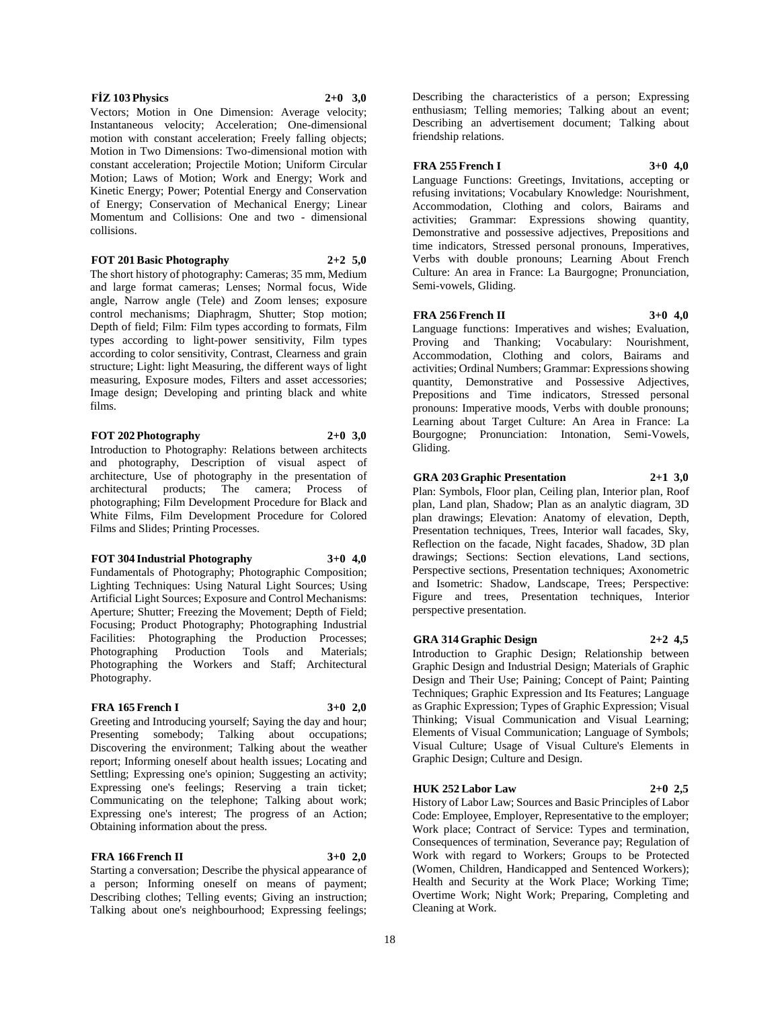#### **FİZ 103 Physics 2+0 3,0**

Vectors; Motion in One Dimension: Average velocity; Instantaneous velocity; Acceleration; One-dimensional motion with constant acceleration; Freely falling objects; Motion in Two Dimensions: Two-dimensional motion with constant acceleration; Projectile Motion; Uniform Circular Motion; Laws of Motion; Work and Energy; Work and Kinetic Energy; Power; Potential Energy and Conservation of Energy; Conservation of Mechanical Energy; Linear Momentum and Collisions: One and two - dimensional collisions.

#### **FOT 201 Basic Photography 2+2 5,0**

The short history of photography: Cameras; 35 mm, Medium and large format cameras; Lenses; Normal focus, Wide angle, Narrow angle (Tele) and Zoom lenses; exposure control mechanisms; Diaphragm, Shutter; Stop motion; Depth of field; Film: Film types according to formats, Film types according to light-power sensitivity, Film types according to color sensitivity, Contrast, Clearness and grain structure; Light: light Measuring, the different ways of light measuring, Exposure modes, Filters and asset accessories; Image design; Developing and printing black and white films.

#### **FOT 202 Photography 2+0 3,0**

Introduction to Photography: Relations between architects and photography, Description of visual aspect of architecture, Use of photography in the presentation of architectural products; The camera; Process of photographing; Film Development Procedure for Black and White Films, Film Development Procedure for Colored Films and Slides; Printing Processes.

#### **FOT 304 Industrial Photography 3+0 4,0**

Fundamentals of Photography; Photographic Composition; Lighting Techniques: Using Natural Light Sources; Using Artificial Light Sources; Exposure and Control Mechanisms: Aperture; Shutter; Freezing the Movement; Depth of Field; Focusing; Product Photography; Photographing Industrial Facilities: Photographing the Production Processes; Photographing Production Tools and Materials; Photographing the Workers and Staff; Architectural Photography.

#### **FRA 165 French I 3+0 2,0**

Greeting and Introducing yourself; Saying the day and hour; Presenting somebody; Talking about occupations; Discovering the environment; Talking about the weather report; Informing oneself about health issues; Locating and Settling; Expressing one's opinion; Suggesting an activity; Expressing one's feelings; Reserving a train ticket; Communicating on the telephone; Talking about work; Expressing one's interest; The progress of an Action; Obtaining information about the press.

#### **FRA 166 French II 3+0 2,0**

Starting a conversation; Describe the physical appearance of a person; Informing oneself on means of payment; Describing clothes; Telling events; Giving an instruction; Talking about one's neighbourhood; Expressing feelings;

Describing the characteristics of a person; Expressing enthusiasm; Telling memories; Talking about an event; Describing an advertisement document; Talking about friendship relations.

#### **FRA 255 French I 3+0 4,0**

Language Functions: Greetings, Invitations, accepting or refusing invitations; Vocabulary Knowledge: Nourishment, Accommodation, Clothing and colors, Bairams and activities; Grammar: Expressions showing quantity, Demonstrative and possessive adjectives, Prepositions and time indicators, Stressed personal pronouns, Imperatives, Verbs with double pronouns; Learning About French Culture: An area in France: La Baurgogne; Pronunciation, Semi-vowels, Gliding.

#### **FRA 256 French II 3+0 4,0**

Language functions: Imperatives and wishes; Evaluation, Proving and Thanking; Vocabulary: Nourishment, Accommodation, Clothing and colors, Bairams and activities; Ordinal Numbers; Grammar: Expressions showing quantity, Demonstrative and Possessive Adjectives, Prepositions and Time indicators, Stressed personal pronouns: Imperative moods, Verbs with double pronouns; Learning about Target Culture: An Area in France: La Bourgogne; Pronunciation: Intonation, Semi-Vowels, Gliding.

#### **GRA 203 Graphic Presentation 2+1 3,0**

Plan: Symbols, Floor plan, Ceiling plan, Interior plan, Roof plan, Land plan, Shadow; Plan as an analytic diagram, 3D plan drawings; Elevation: Anatomy of elevation, Depth, Presentation techniques, Trees, Interior wall facades, Sky, Reflection on the facade, Night facades, Shadow, 3D plan drawings; Sections: Section elevations, Land sections, Perspective sections, Presentation techniques; Axonometric and Isometric: Shadow, Landscape, Trees; Perspective: Figure and trees, Presentation techniques, Interior perspective presentation.

#### **GRA 314 Graphic Design 2+2 4,5**

Introduction to Graphic Design; Relationship between Graphic Design and Industrial Design; Materials of Graphic Design and Their Use; Paining; Concept of Paint; Painting Techniques; Graphic Expression and Its Features; Language as Graphic Expression; Types of Graphic Expression; Visual Thinking; Visual Communication and Visual Learning; Elements of Visual Communication; Language of Symbols; Visual Culture; Usage of Visual Culture's Elements in Graphic Design; Culture and Design.

#### **HUK 252 Labor Law 2+0 2,5**

History of Labor Law; Sources and Basic Principles of Labor Code: Employee, Employer, Representative to the employer; Work place; Contract of Service: Types and termination, Consequences of termination, Severance pay; Regulation of Work with regard to Workers; Groups to be Protected (Women, Children, Handicapped and Sentenced Workers); Health and Security at the Work Place; Working Time; Overtime Work; Night Work; Preparing, Completing and Cleaning at Work.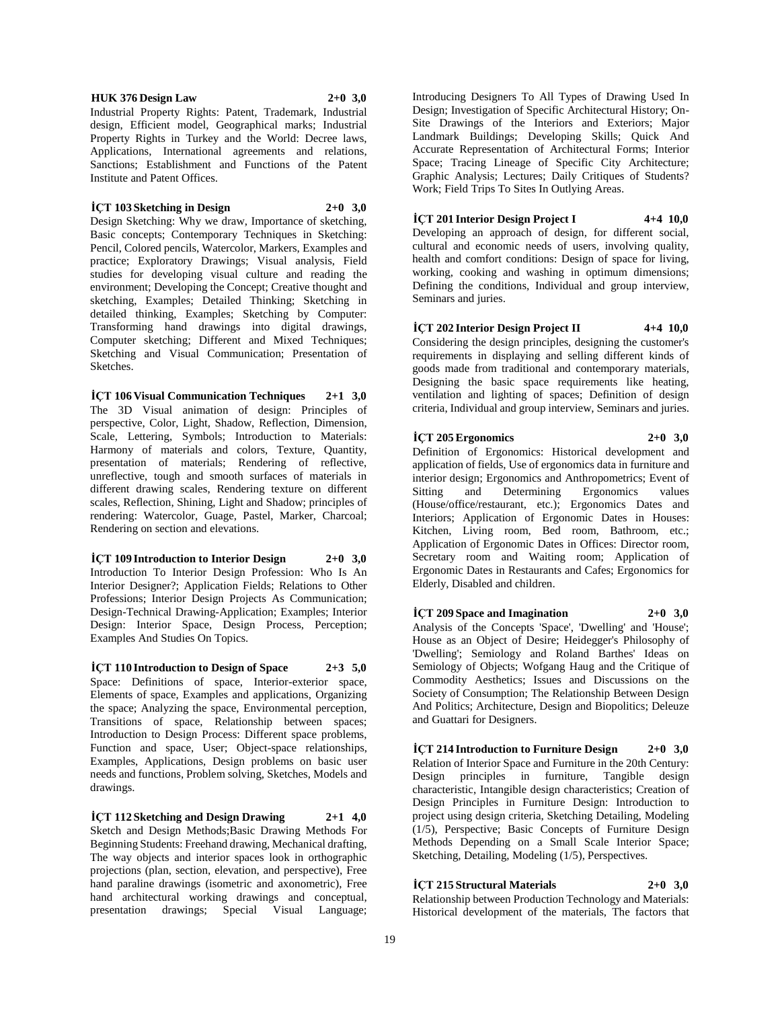**HUK 376 Design Law 2+0 3,0**

Industrial Property Rights: Patent, Trademark, Industrial design, Efficient model, Geographical marks; Industrial Property Rights in Turkey and the World: Decree laws, Applications, International agreements and relations, Sanctions; Establishment and Functions of the Patent Institute and Patent Offices.

#### **İÇT 103 Sketching in Design 2+0 3,0**

Design Sketching: Why we draw, Importance of sketching, Basic concepts; Contemporary Techniques in Sketching: Pencil, Colored pencils, Watercolor, Markers, Examples and practice; Exploratory Drawings; Visual analysis, Field studies for developing visual culture and reading the environment; Developing the Concept; Creative thought and sketching, Examples; Detailed Thinking; Sketching in detailed thinking, Examples; Sketching by Computer: Transforming hand drawings into digital drawings, Computer sketching; Different and Mixed Techniques; Sketching and Visual Communication; Presentation of Sketches.

**İÇT 106 Visual Communication Techniques 2+1 3,0** The 3D Visual animation of design: Principles of perspective, Color, Light, Shadow, Reflection, Dimension, Scale, Lettering, Symbols; Introduction to Materials: Harmony of materials and colors, Texture, Quantity, presentation of materials; Rendering of reflective, unreflective, tough and smooth surfaces of materials in different drawing scales, Rendering texture on different scales, Reflection, Shining, Light and Shadow; principles of rendering: Watercolor, Guage, Pastel, Marker, Charcoal; Rendering on section and elevations.

**İÇT 109 Introduction to Interior Design 2+0 3,0** Introduction To Interior Design Profession: Who Is An Interior Designer?; Application Fields; Relations to Other Professions; Interior Design Projects As Communication; Design-Technical Drawing-Application; Examples; Interior Design: Interior Space, Design Process, Perception; Examples And Studies On Topics.

**İÇT 110 Introduction to Design of Space 2+3 5,0** Space: Definitions of space, Interior-exterior space, Elements of space, Examples and applications, Organizing the space; Analyzing the space, Environmental perception, Transitions of space, Relationship between spaces; Introduction to Design Process: Different space problems, Function and space, User; Object-space relationships, Examples, Applications, Design problems on basic user needs and functions, Problem solving, Sketches, Models and drawings.

**İÇT 112 Sketching and Design Drawing 2+1 4,0** Sketch and Design Methods;Basic Drawing Methods For Beginning Students: Freehand drawing, Mechanical drafting, The way objects and interior spaces look in orthographic projections (plan, section, elevation, and perspective), Free hand paraline drawings (isometric and axonometric), Free hand architectural working drawings and conceptual, presentation drawings; Special Visual Language;

Introducing Designers To All Types of Drawing Used In Design; Investigation of Specific Architectural History; On-Site Drawings of the Interiors and Exteriors; Major Landmark Buildings; Developing Skills; Quick And Accurate Representation of Architectural Forms; Interior Space; Tracing Lineage of Specific City Architecture; Graphic Analysis; Lectures; Daily Critiques of Students? Work; Field Trips To Sites In Outlying Areas.

#### **İÇT 201 Interior Design Project I 4+4 10,0**

Developing an approach of design, for different social, cultural and economic needs of users, involving quality, health and comfort conditions: Design of space for living, working, cooking and washing in optimum dimensions; Defining the conditions, Individual and group interview, Seminars and juries.

#### **İÇT 202 Interior Design Project II 4+4 10,0** Considering the design principles, designing the customer's requirements in displaying and selling different kinds of

goods made from traditional and contemporary materials, Designing the basic space requirements like heating, ventilation and lighting of spaces; Definition of design criteria, Individual and group interview, Seminars and juries.

#### **İÇT 205 Ergonomics 2+0 3,0** Definition of Ergonomics: Historical development and application of fields, Use of ergonomics data in furniture and interior design; Ergonomics and Anthropometrics; Event of Sitting and Determining Ergonomics values (House/office/restaurant, etc.); Ergonomics Dates and Interiors; Application of Ergonomic Dates in Houses: Kitchen, Living room, Bed room, Bathroom, etc.; Application of Ergonomic Dates in Offices: Director room, Secretary room and Waiting room; Application of Ergonomic Dates in Restaurants and Cafes; Ergonomics for

Elderly, Disabled and children.

 $\text{ICT } 209$  Space and Imagination  $2+0$  3,0 Analysis of the Concepts 'Space', 'Dwelling' and 'House'; House as an Object of Desire; Heidegger's Philosophy of 'Dwelling'; Semiology and Roland Barthes' Ideas on Semiology of Objects; Wofgang Haug and the Critique of Commodity Aesthetics; Issues and Discussions on the Society of Consumption; The Relationship Between Design And Politics; Architecture, Design and Biopolitics; Deleuze and Guattari for Designers.

**İÇT 214 Introduction to Furniture Design 2+0 3,0** Relation of Interior Space and Furniture in the 20th Century: Design principles in furniture, Tangible design characteristic, Intangible design characteristics; Creation of Design Principles in Furniture Design: Introduction to project using design criteria, Sketching Detailing, Modeling (1/5), Perspective; Basic Concepts of Furniture Design Methods Depending on a Small Scale Interior Space; Sketching, Detailing, Modeling (1/5), Perspectives.

## **İÇT 215 Structural Materials 2+0 3,0**

Relationship between Production Technology and Materials: Historical development of the materials, The factors that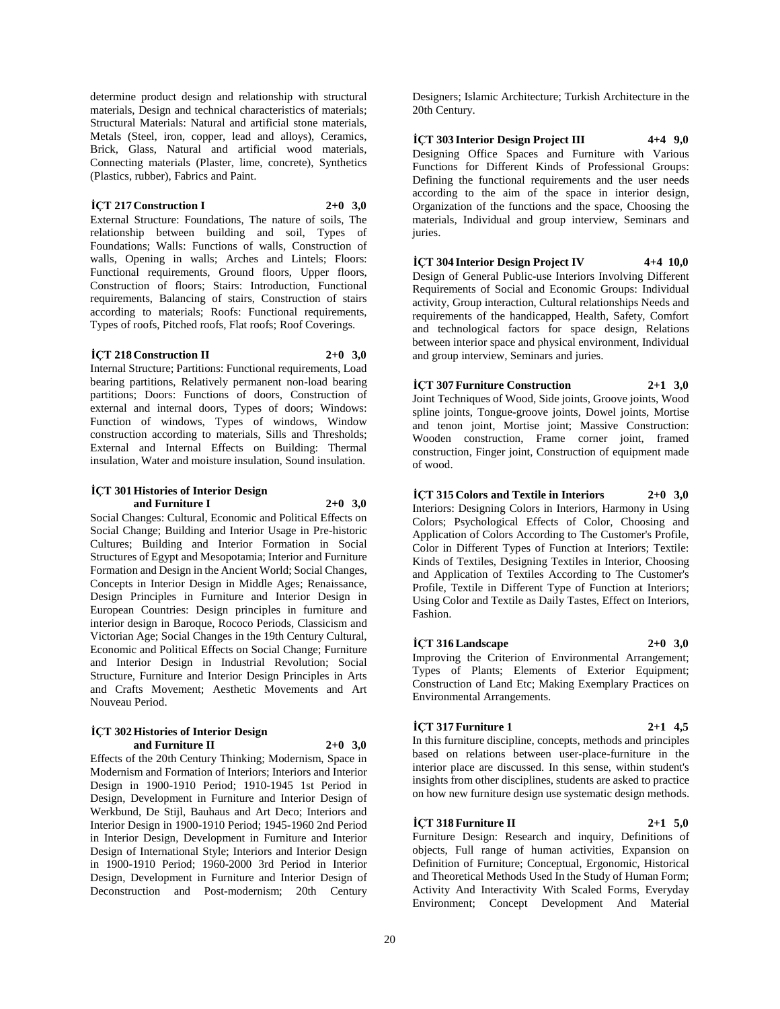determine product design and relationship with structural materials, Design and technical characteristics of materials; Structural Materials: Natural and artificial stone materials, Metals (Steel, iron, copper, lead and alloys), Ceramics, Brick, Glass, Natural and artificial wood materials, Connecting materials (Plaster, lime, concrete), Synthetics (Plastics, rubber), Fabrics and Paint.

#### **İÇT 217 Construction I 2+0 3,0**

External Structure: Foundations, The nature of soils, The relationship between building and soil, Types of Foundations; Walls: Functions of walls, Construction of walls, Opening in walls; Arches and Lintels; Floors: Functional requirements, Ground floors, Upper floors, Construction of floors; Stairs: Introduction, Functional requirements, Balancing of stairs, Construction of stairs according to materials; Roofs: Functional requirements, Types of roofs, Pitched roofs, Flat roofs; Roof Coverings.

#### **İÇT 218 Construction II 2+0 3,0**

Internal Structure; Partitions: Functional requirements, Load bearing partitions, Relatively permanent non-load bearing partitions; Doors: Functions of doors, Construction of external and internal doors, Types of doors; Windows: Function of windows, Types of windows, Window construction according to materials, Sills and Thresholds; External and Internal Effects on Building: Thermal insulation, Water and moisture insulation, Sound insulation.

#### **İÇT 301 Histories of Interior Design and Furniture I 2+0 3,0**

Social Changes: Cultural, Economic and Political Effects on Social Change; Building and Interior Usage in Pre-historic Cultures; Building and Interior Formation in Social Structures of Egypt and Mesopotamia; Interior and Furniture Formation and Design in the Ancient World; Social Changes, Concepts in Interior Design in Middle Ages; Renaissance, Design Principles in Furniture and Interior Design in European Countries: Design principles in furniture and interior design in Baroque, Rococo Periods, Classicism and Victorian Age; Social Changes in the 19th Century Cultural, Economic and Political Effects on Social Change; Furniture and Interior Design in Industrial Revolution; Social Structure, Furniture and Interior Design Principles in Arts and Crafts Movement; Aesthetic Movements and Art Nouveau Period.

#### **İÇT 302 Histories of Interior Design and Furniture II 2+0 3,0**

Effects of the 20th Century Thinking; Modernism, Space in Modernism and Formation of Interiors; Interiors and Interior Design in 1900-1910 Period; 1910-1945 1st Period in Design, Development in Furniture and Interior Design of Werkbund, De Stijl, Bauhaus and Art Deco; Interiors and Interior Design in 1900-1910 Period; 1945-1960 2nd Period in Interior Design, Development in Furniture and Interior Design of International Style; Interiors and Interior Design in 1900-1910 Period; 1960-2000 3rd Period in Interior Design, Development in Furniture and Interior Design of Deconstruction and Post-modernism; 20th Century

Designers; Islamic Architecture; Turkish Architecture in the 20th Century.

**İÇT 303 Interior Design Project III 4+4 9,0** Designing Office Spaces and Furniture with Various Functions for Different Kinds of Professional Groups: Defining the functional requirements and the user needs according to the aim of the space in interior design, Organization of the functions and the space, Choosing the materials, Individual and group interview, Seminars and juries.

**İÇT 304 Interior Design Project IV 4+4 10,0** Design of General Public-use Interiors Involving Different Requirements of Social and Economic Groups: Individual activity, Group interaction, Cultural relationships Needs and requirements of the handicapped, Health, Safety, Comfort and technological factors for space design, Relations between interior space and physical environment, Individual

and group interview, Seminars and juries.

## **İÇT 307 Furniture Construction 2+1 3,0**

Joint Techniques of Wood, Side joints, Groove joints, Wood spline joints, Tongue-groove joints, Dowel joints, Mortise and tenon joint, Mortise joint; Massive Construction: Wooden construction, Frame corner joint, framed construction, Finger joint, Construction of equipment made of wood.

**İÇT 315 Colors and Textile in Interiors 2+0 3,0**

Interiors: Designing Colors in Interiors, Harmony in Using Colors; Psychological Effects of Color, Choosing and Application of Colors According to The Customer's Profile, Color in Different Types of Function at Interiors; Textile: Kinds of Textiles, Designing Textiles in Interior, Choosing and Application of Textiles According to The Customer's Profile, Textile in Different Type of Function at Interiors; Using Color and Textile as Daily Tastes, Effect on Interiors, Fashion.

## **İÇT 316 Landscape 2+0 3,0**

Improving the Criterion of Environmental Arrangement; Types of Plants; Elements of Exterior Equipment; Construction of Land Etc; Making Exemplary Practices on Environmental Arrangements.

#### **İÇT 317 Furniture 1 2+1 4,5**

In this furniture discipline, concepts, methods and principles based on relations between user-place-furniture in the interior place are discussed. In this sense, within student's insights from other disciplines, students are asked to practice on how new furniture design use systematic design methods.

## **İÇT 318 Furniture II 2+1 5,0**

Furniture Design: Research and inquiry, Definitions of objects, Full range of human activities, Expansion on Definition of Furniture; Conceptual, Ergonomic, Historical and Theoretical Methods Used In the Study of Human Form; Activity And Interactivity With Scaled Forms, Everyday Environment; Concept Development And Material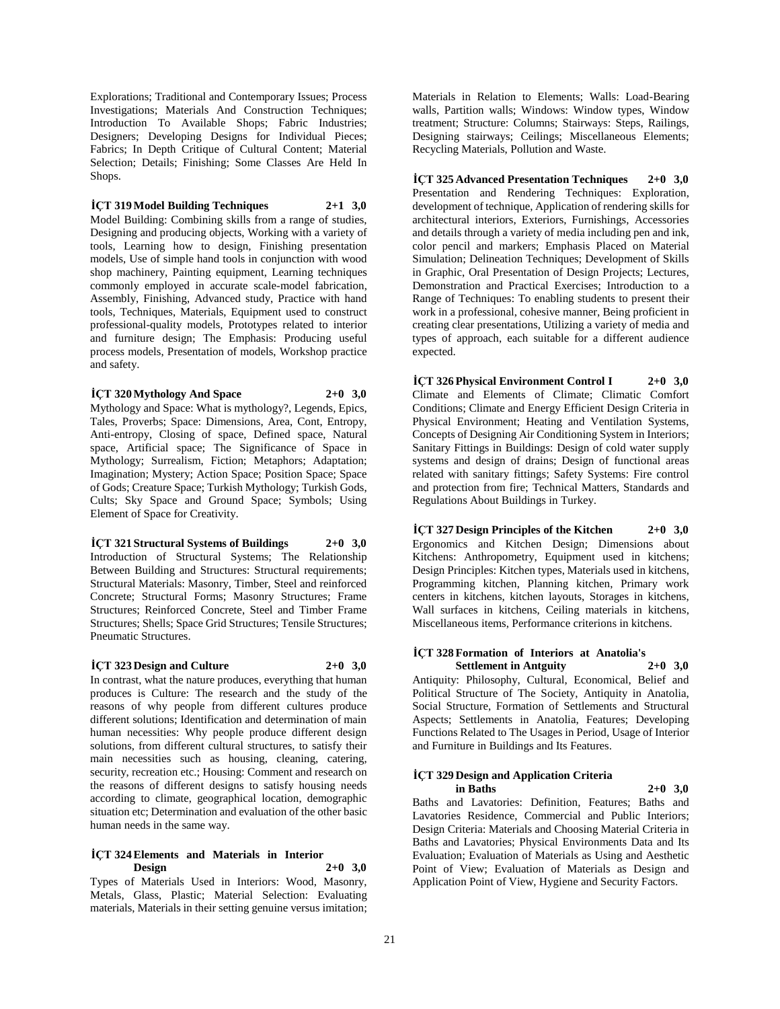Explorations; Traditional and Contemporary Issues; Process Investigations; Materials And Construction Techniques; Introduction To Available Shops; Fabric Industries; Designers; Developing Designs for Individual Pieces; Fabrics; In Depth Critique of Cultural Content; Material Selection; Details; Finishing; Some Classes Are Held In Shops.

#### **İÇT 319 Model Building Techniques 2+1 3,0**

Model Building: Combining skills from a range of studies, Designing and producing objects, Working with a variety of tools, Learning how to design, Finishing presentation models, Use of simple hand tools in conjunction with wood shop machinery, Painting equipment, Learning techniques commonly employed in accurate scale-model fabrication, Assembly, Finishing, Advanced study, Practice with hand tools, Techniques, Materials, Equipment used to construct professional-quality models, Prototypes related to interior and furniture design; The Emphasis: Producing useful process models, Presentation of models, Workshop practice and safety.

**İÇT 320 Mythology And Space 2+0 3,0**

Mythology and Space: What is mythology?, Legends, Epics, Tales, Proverbs; Space: Dimensions, Area, Cont, Entropy, Anti-entropy, Closing of space, Defined space, Natural space, Artificial space; The Significance of Space in Mythology; Surrealism, Fiction; Metaphors; Adaptation; Imagination; Mystery; Action Space; Position Space; Space of Gods; Creature Space; Turkish Mythology; Turkish Gods, Cults; Sky Space and Ground Space; Symbols; Using Element of Space for Creativity.

**İÇT 321 Structural Systems of Buildings 2+0 3,0** Introduction of Structural Systems; The Relationship Between Building and Structures: Structural requirements; Structural Materials: Masonry, Timber, Steel and reinforced Concrete; Structural Forms; Masonry Structures; Frame Structures; Reinforced Concrete, Steel and Timber Frame Structures; Shells; Space Grid Structures; Tensile Structures; Pneumatic Structures.

#### **İÇT 323 Design and Culture 2+0 3,0**

In contrast, what the nature produces, everything that human produces is Culture: The research and the study of the reasons of why people from different cultures produce different solutions; Identification and determination of main human necessities: Why people produce different design solutions, from different cultural structures, to satisfy their main necessities such as housing, cleaning, catering, security, recreation etc.; Housing: Comment and research on the reasons of different designs to satisfy housing needs according to climate, geographical location, demographic situation etc; Determination and evaluation of the other basic human needs in the same way.

#### **İÇT 324 Elements and Materials in Interior Design 2+0 3,0**

Types of Materials Used in Interiors: Wood, Masonry, Metals, Glass, Plastic; Material Selection: Evaluating materials, Materials in their setting genuine versus imitation; Materials in Relation to Elements; Walls: Load-Bearing walls, Partition walls; Windows: Window types, Window treatment; Structure: Columns; Stairways: Steps, Railings, Designing stairways; Ceilings; Miscellaneous Elements; Recycling Materials, Pollution and Waste.

**İÇT 325 Advanced Presentation Techniques 2+0 3,0** Presentation and Rendering Techniques: Exploration, development of technique, Application of rendering skills for architectural interiors, Exteriors, Furnishings, Accessories and details through a variety of media including pen and ink, color pencil and markers; Emphasis Placed on Material Simulation; Delineation Techniques; Development of Skills in Graphic, Oral Presentation of Design Projects; Lectures, Demonstration and Practical Exercises; Introduction to a Range of Techniques: To enabling students to present their work in a professional, cohesive manner, Being proficient in creating clear presentations, Utilizing a variety of media and types of approach, each suitable for a different audience expected.

**İÇT 326 Physical Environment Control I 2+0 3,0** Climate and Elements of Climate; Climatic Comfort Conditions; Climate and Energy Efficient Design Criteria in Physical Environment; Heating and Ventilation Systems, Concepts of Designing Air Conditioning System in Interiors; Sanitary Fittings in Buildings: Design of cold water supply systems and design of drains; Design of functional areas related with sanitary fittings; Safety Systems: Fire control and protection from fire; Technical Matters, Standards and Regulations About Buildings in Turkey.

**İÇT 327 Design Principles of the Kitchen 2+0 3,0** Ergonomics and Kitchen Design; Dimensions about Kitchens: Anthropometry, Equipment used in kitchens; Design Principles: Kitchen types, Materials used in kitchens, Programming kitchen, Planning kitchen, Primary work centers in kitchens, kitchen layouts, Storages in kitchens, Wall surfaces in kitchens, Ceiling materials in kitchens, Miscellaneous items, Performance criterions in kitchens.

#### **İÇT 328 Formation of Interiors at Anatolia's Settlement in Antguity 2+0 3,0**

Antiquity: Philosophy, Cultural, Economical, Belief and Political Structure of The Society, Antiquity in Anatolia, Social Structure, Formation of Settlements and Structural Aspects; Settlements in Anatolia, Features; Developing Functions Related to The Usages in Period, Usage of Interior and Furniture in Buildings and Its Features.

#### **İÇT 329 Design and Application Criteria in Baths 2+0 3,0**

Baths and Lavatories: Definition, Features; Baths and Lavatories Residence, Commercial and Public Interiors; Design Criteria: Materials and Choosing Material Criteria in Baths and Lavatories; Physical Environments Data and Its Evaluation; Evaluation of Materials as Using and Aesthetic Point of View; Evaluation of Materials as Design and Application Point of View, Hygiene and Security Factors.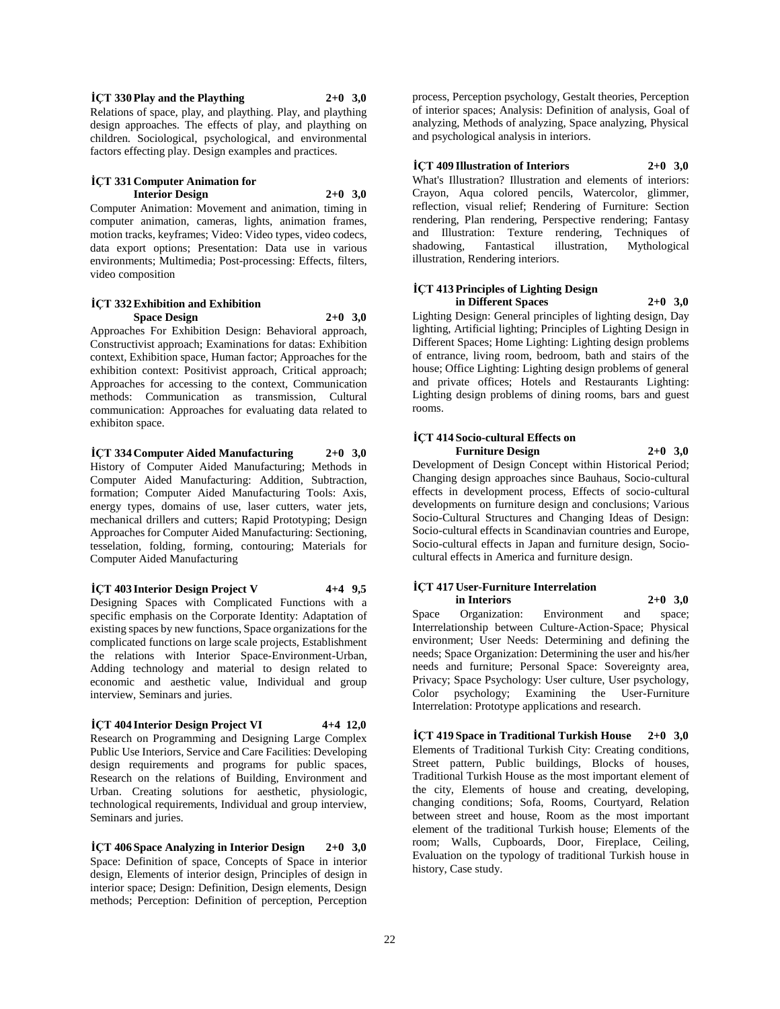$\text{ICT}$  **330 Play and the Plaything**  $2+0$  **3,0** Relations of space, play, and plaything. Play, and plaything design approaches. The effects of play, and plaything on children. Sociological, psychological, and environmental factors effecting play. Design examples and practices.

#### **İÇT 331 Computer Animation for Interior Design 2+0 3,0**

Computer Animation: Movement and animation, timing in computer animation, cameras, lights, animation frames, motion tracks, keyframes; Video: Video types, video codecs, data export options; Presentation: Data use in various environments; Multimedia; Post-processing: Effects, filters, video composition

#### **İÇT 332 Exhibition and Exhibition Space Design 2+0 3,0**

Approaches For Exhibition Design: Behavioral approach, Constructivist approach; Examinations for datas: Exhibition context, Exhibition space, Human factor; Approaches for the exhibition context: Positivist approach, Critical approach; Approaches for accessing to the context, Communication methods: Communication as transmission, Cultural communication: Approaches for evaluating data related to exhibiton space.

## **İÇT 334 Computer Aided Manufacturing 2+0 3,0**

History of Computer Aided Manufacturing; Methods in Computer Aided Manufacturing: Addition, Subtraction, formation; Computer Aided Manufacturing Tools: Axis, energy types, domains of use, laser cutters, water jets, mechanical drillers and cutters; Rapid Prototyping; Design Approaches for Computer Aided Manufacturing: Sectioning, tesselation, folding, forming, contouring; Materials for Computer Aided Manufacturing

## **İÇT 403 Interior Design Project V 4+4 9,5**

Designing Spaces with Complicated Functions with a specific emphasis on the Corporate Identity: Adaptation of existing spaces by new functions, Space organizations for the complicated functions on large scale projects, Establishment the relations with Interior Space-Environment-Urban, Adding technology and material to design related to economic and aesthetic value, Individual and group interview, Seminars and juries.

## **İÇT 404 Interior Design Project VI 4+4 12,0**

Research on Programming and Designing Large Complex Public Use Interiors, Service and Care Facilities: Developing design requirements and programs for public spaces, Research on the relations of Building, Environment and Urban. Creating solutions for aesthetic, physiologic, technological requirements, Individual and group interview, Seminars and juries.

**İÇT 406 Space Analyzing in Interior Design 2+0 3,0** Space: Definition of space, Concepts of Space in interior design, Elements of interior design, Principles of design in interior space; Design: Definition, Design elements, Design methods; Perception: Definition of perception, Perception process, Perception psychology, Gestalt theories, Perception of interior spaces; Analysis: Definition of analysis, Goal of analyzing, Methods of analyzing, Space analyzing, Physical and psychological analysis in interiors.

#### **İÇT 409 Illustration of Interiors 2+0 3,0**

What's Illustration? Illustration and elements of interiors: Crayon, Aqua colored pencils, Watercolor, glimmer, reflection, visual relief; Rendering of Furniture: Section rendering, Plan rendering, Perspective rendering; Fantasy and Illustration: Texture rendering, Techniques of shadowing, Fantastical illustration, Mythological illustration, Rendering interiors.

#### **İÇT 413 Principles of Lighting Design in Different Spaces 2+0 3,0**

Lighting Design: General principles of lighting design, Day lighting, Artificial lighting; Principles of Lighting Design in Different Spaces; Home Lighting: Lighting design problems of entrance, living room, bedroom, bath and stairs of the house; Office Lighting: Lighting design problems of general and private offices; Hotels and Restaurants Lighting: Lighting design problems of dining rooms, bars and guest rooms.

#### **İÇT 414 Socio-cultural Effects on Furniture Design 2+0 3,0**

Development of Design Concept within Historical Period; Changing design approaches since Bauhaus, Socio-cultural effects in development process, Effects of socio-cultural developments on furniture design and conclusions; Various Socio-Cultural Structures and Changing Ideas of Design: Socio-cultural effects in Scandinavian countries and Europe, Socio-cultural effects in Japan and furniture design, Sociocultural effects in America and furniture design.

#### **İÇT 417 User-Furniture Interrelation in Interiors 2+0 3,0**

Space Organization: Environment and space; Interrelationship between Culture-Action-Space; Physical environment; User Needs: Determining and defining the needs; Space Organization: Determining the user and his/her needs and furniture; Personal Space: Sovereignty area, Privacy; Space Psychology: User culture, User psychology, Color psychology; Examining the User-Furniture Interrelation: Prototype applications and research.

**İÇT 419 Space in Traditional Turkish House 2+0 3,0** Elements of Traditional Turkish City: Creating conditions, Street pattern, Public buildings, Blocks of houses, Traditional Turkish House as the most important element of the city, Elements of house and creating, developing, changing conditions; Sofa, Rooms, Courtyard, Relation between street and house, Room as the most important element of the traditional Turkish house; Elements of the room; Walls, Cupboards, Door, Fireplace, Ceiling, Evaluation on the typology of traditional Turkish house in history, Case study.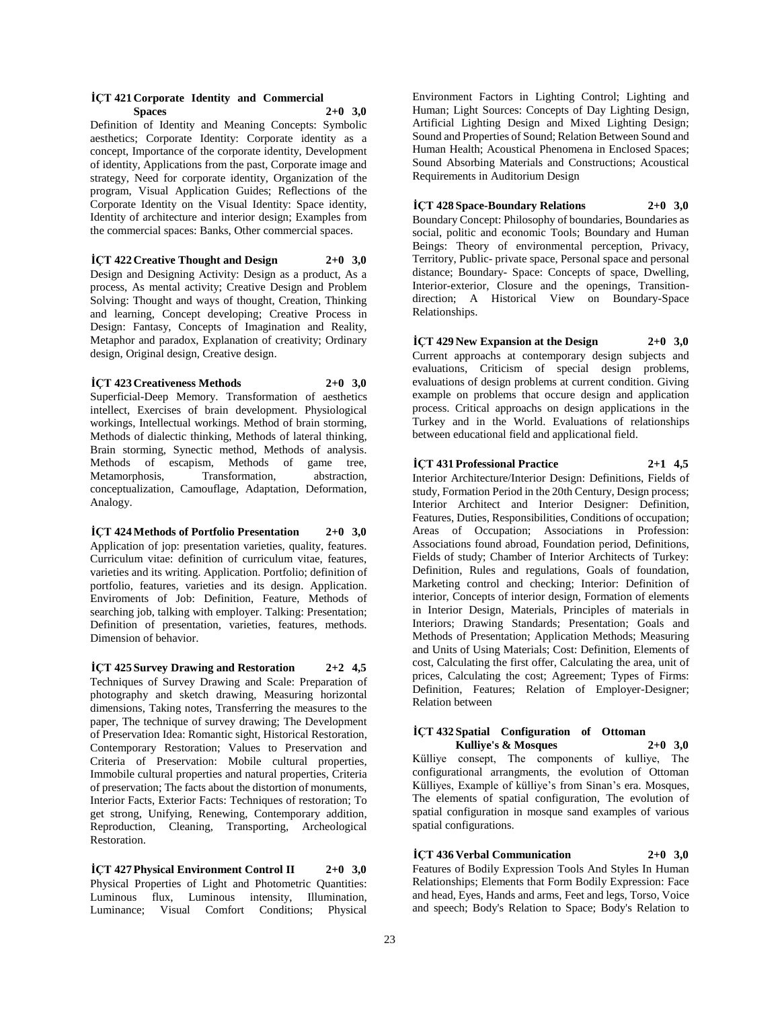#### **İÇT 421 Corporate Identity and Commercial Spaces 2+0 3,0**

Definition of Identity and Meaning Concepts: Symbolic aesthetics; Corporate Identity: Corporate identity as a concept, Importance of the corporate identity, Development of identity, Applications from the past, Corporate image and strategy, Need for corporate identity, Organization of the program, Visual Application Guides; Reflections of the Corporate Identity on the Visual Identity: Space identity, Identity of architecture and interior design; Examples from the commercial spaces: Banks, Other commercial spaces.

**İÇT 422 Creative Thought and Design 2+0 3,0** Design and Designing Activity: Design as a product, As a process, As mental activity; Creative Design and Problem Solving: Thought and ways of thought, Creation, Thinking and learning, Concept developing; Creative Process in Design: Fantasy, Concepts of Imagination and Reality, Metaphor and paradox, Explanation of creativity; Ordinary design, Original design, Creative design.

**İÇT 423 Creativeness Methods 2+0 3,0** Superficial-Deep Memory. Transformation of aesthetics intellect, Exercises of brain development. Physiological workings, Intellectual workings. Method of brain storming, Methods of dialectic thinking, Methods of lateral thinking, Brain storming, Synectic method, Methods of analysis. Methods of escapism, Methods of game tree, Metamorphosis, Transformation, abstraction, conceptualization, Camouflage, Adaptation, Deformation, Analogy.

**İÇT 424 Methods of Portfolio Presentation 2+0 3,0** Application of jop: presentation varieties, quality, features. Curriculum vitae: definition of curriculum vitae, features, varieties and its writing. Application. Portfolio; definition of portfolio, features, varieties and its design. Application. Enviroments of Job: Definition, Feature, Methods of searching job, talking with employer. Talking: Presentation; Definition of presentation, varieties, features, methods. Dimension of behavior.

**İÇT 425 Survey Drawing and Restoration 2+2 4,5** Techniques of Survey Drawing and Scale: Preparation of photography and sketch drawing, Measuring horizontal dimensions, Taking notes, Transferring the measures to the paper, The technique of survey drawing; The Development of Preservation Idea: Romantic sight, Historical Restoration, Contemporary Restoration; Values to Preservation and Criteria of Preservation: Mobile cultural properties, Immobile cultural properties and natural properties, Criteria of preservation; The facts about the distortion of monuments, Interior Facts, Exterior Facts: Techniques of restoration; To get strong, Unifying, Renewing, Contemporary addition, Reproduction, Cleaning, Transporting, Archeological Restoration.

**İÇT 427 Physical Environment Control II 2+0 3,0** Physical Properties of Light and Photometric Quantities: Luminous flux, Luminous intensity, Illumination, Luminance; Visual Comfort Conditions; Physical

Environment Factors in Lighting Control; Lighting and Human; Light Sources: Concepts of Day Lighting Design, Artificial Lighting Design and Mixed Lighting Design; Sound and Properties of Sound; Relation Between Sound and Human Health; Acoustical Phenomena in Enclosed Spaces; Sound Absorbing Materials and Constructions; Acoustical Requirements in Auditorium Design

**İÇT 428 Space-Boundary Relations 2+0 3,0**

Boundary Concept: Philosophy of boundaries, Boundaries as social, politic and economic Tools; Boundary and Human Beings: Theory of environmental perception, Privacy, Territory, Public- private space, Personal space and personal distance; Boundary- Space: Concepts of space, Dwelling, Interior-exterior, Closure and the openings, Transitiondirection; A Historical View on Boundary-Space Relationships.

**İÇT 429 New Expansion at the Design 2+0 3,0** Current approachs at contemporary design subjects and evaluations, Criticism of special design problems, evaluations of design problems at current condition. Giving example on problems that occure design and application process. Critical approachs on design applications in the Turkey and in the World. Evaluations of relationships between educational field and applicational field.

**İÇT 431 Professional Practice 2+1 4,5** Interior Architecture/Interior Design: Definitions, Fields of study, Formation Period in the 20th Century, Design process; Interior Architect and Interior Designer: Definition, Features, Duties, Responsibilities, Conditions of occupation; Areas of Occupation; Associations in Profession: Associations found abroad, Foundation period, Definitions, Fields of study; Chamber of Interior Architects of Turkey: Definition, Rules and regulations, Goals of foundation, Marketing control and checking; Interior: Definition of interior, Concepts of interior design, Formation of elements in Interior Design, Materials, Principles of materials in Interiors; Drawing Standards; Presentation; Goals and Methods of Presentation; Application Methods; Measuring and Units of Using Materials; Cost: Definition, Elements of cost, Calculating the first offer, Calculating the area, unit of prices, Calculating the cost; Agreement; Types of Firms: Definition, Features; Relation of Employer-Designer; Relation between

#### **İÇT 432 Spatial Configuration of Ottoman Kulliye's & Mosques 2+0 3,0**

Külliye consept, The components of kulliye, The configurational arrangments, the evolution of Ottoman Külliyes, Example of külliye's from Sinan's era. Mosques, The elements of spatial configuration, The evolution of spatial configuration in mosque sand examples of various spatial configurations.

**İÇT 436 Verbal Communication 2+0 3,0** Features of Bodily Expression Tools And Styles In Human Relationships; Elements that Form Bodily Expression: Face and head, Eyes, Hands and arms, Feet and legs, Torso, Voice and speech; Body's Relation to Space; Body's Relation to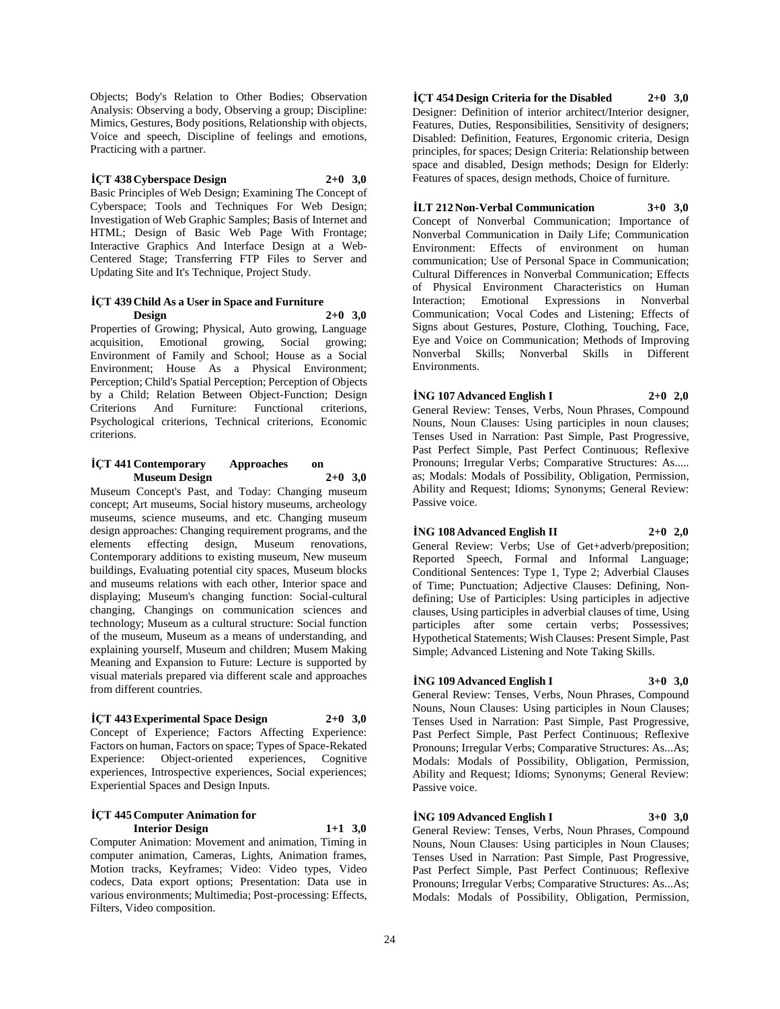Objects; Body's Relation to Other Bodies; Observation Analysis: Observing a body, Observing a group; Discipline: Mimics, Gestures, Body positions, Relationship with objects, Voice and speech, Discipline of feelings and emotions, Practicing with a partner.

#### **İÇT 438 Cyberspace Design 2+0 3,0**

Basic Principles of Web Design; Examining The Concept of Cyberspace; Tools and Techniques For Web Design; Investigation of Web Graphic Samples; Basis of Internet and HTML; Design of Basic Web Page With Frontage; Interactive Graphics And Interface Design at a Web-Centered Stage; Transferring FTP Files to Server and Updating Site and It's Technique, Project Study.

#### **İÇT 439 Child As a User in Space and Furniture Design 2+0 3,0**

Properties of Growing; Physical, Auto growing, Language acquisition, Emotional growing, Social growing; Environment of Family and School; House as a Social Environment; House As a Physical Environment; Perception; Child's Spatial Perception; Perception of Objects by a Child; Relation Between Object-Function; Design Criterions And Furniture: Functional criterions, Psychological criterions, Technical criterions, Economic criterions.

#### **İÇT 441 Contemporary Approaches on Museum Design 2+0 3,0**

Museum Concept's Past, and Today: Changing museum concept; Art museums, Social history museums, archeology museums, science museums, and etc. Changing museum design approaches: Changing requirement programs, and the elements effecting design, Museum renovations, Contemporary additions to existing museum, New museum buildings, Evaluating potential city spaces, Museum blocks and museums relations with each other, Interior space and displaying; Museum's changing function: Social-cultural changing, Changings on communication sciences and technology; Museum as a cultural structure: Social function of the museum, Museum as a means of understanding, and explaining yourself, Museum and children; Musem Making Meaning and Expansion to Future: Lecture is supported by visual materials prepared via different scale and approaches from different countries.

#### **İÇT 443 Experimental Space Design 2+0 3,0**

Concept of Experience; Factors Affecting Experience: Factors on human, Factors on space; Types of Space-Rekated Experience: Object-oriented experiences, Cognitive experiences, Introspective experiences, Social experiences; Experiential Spaces and Design Inputs.

#### **İÇT 445 Computer Animation for Interior Design 1+1 3,0**

Computer Animation: Movement and animation, Timing in computer animation, Cameras, Lights, Animation frames, Motion tracks, Keyframes; Video: Video types, Video codecs, Data export options; Presentation: Data use in various environments; Multimedia; Post-processing: Effects, Filters, Video composition.

**İÇT 454 Design Criteria for the Disabled 2+0 3,0** Designer: Definition of interior architect/Interior designer, Features, Duties, Responsibilities, Sensitivity of designers; Disabled: Definition, Features, Ergonomic criteria, Design principles, for spaces; Design Criteria: Relationship between space and disabled, Design methods; Design for Elderly: Features of spaces, design methods, Choice of furniture.

#### **İLT 212 Non-Verbal Communication 3+0 3,0**

Concept of Nonverbal Communication; Importance of Nonverbal Communication in Daily Life; Communication Environment: Effects of environment on human communication; Use of Personal Space in Communication; Cultural Differences in Nonverbal Communication; Effects of Physical Environment Characteristics on Human Interaction; Emotional Expressions in Nonverbal Communication; Vocal Codes and Listening; Effects of Signs about Gestures, Posture, Clothing, Touching, Face, Eye and Voice on Communication; Methods of Improving Nonverbal Skills; Nonverbal Skills in Different Environments.

## **İNG 107 Advanced English I 2+0 2,0** General Review: Tenses, Verbs, Noun Phrases, Compound Nouns, Noun Clauses: Using participles in noun clauses; Tenses Used in Narration: Past Simple, Past Progressive,

Past Perfect Simple, Past Perfect Continuous; Reflexive Pronouns; Irregular Verbs; Comparative Structures: As..... as; Modals: Modals of Possibility, Obligation, Permission, Ability and Request; Idioms; Synonyms; General Review: Passive voice.

#### **İNG 108 Advanced English II 2+0 2,0**

General Review: Verbs; Use of Get+adverb/preposition; Reported Speech, Formal and Informal Language; Conditional Sentences: Type 1, Type 2; Adverbial Clauses of Time; Punctuation; Adjective Clauses: Defining, Nondefining; Use of Participles: Using participles in adjective clauses, Using participles in adverbial clauses of time, Using participles after some certain verbs; Possessives; Hypothetical Statements; Wish Clauses: Present Simple, Past Simple; Advanced Listening and Note Taking Skills.

## **İNG 109 Advanced English I 3+0 3,0**

General Review: Tenses, Verbs, Noun Phrases, Compound Nouns, Noun Clauses: Using participles in Noun Clauses; Tenses Used in Narration: Past Simple, Past Progressive, Past Perfect Simple, Past Perfect Continuous; Reflexive Pronouns; Irregular Verbs; Comparative Structures: As...As; Modals: Modals of Possibility, Obligation, Permission, Ability and Request; Idioms; Synonyms; General Review: Passive voice.

#### **İNG 109 Advanced English I 3+0 3,0**

General Review: Tenses, Verbs, Noun Phrases, Compound Nouns, Noun Clauses: Using participles in Noun Clauses; Tenses Used in Narration: Past Simple, Past Progressive, Past Perfect Simple, Past Perfect Continuous; Reflexive Pronouns; Irregular Verbs; Comparative Structures: As...As; Modals: Modals of Possibility, Obligation, Permission,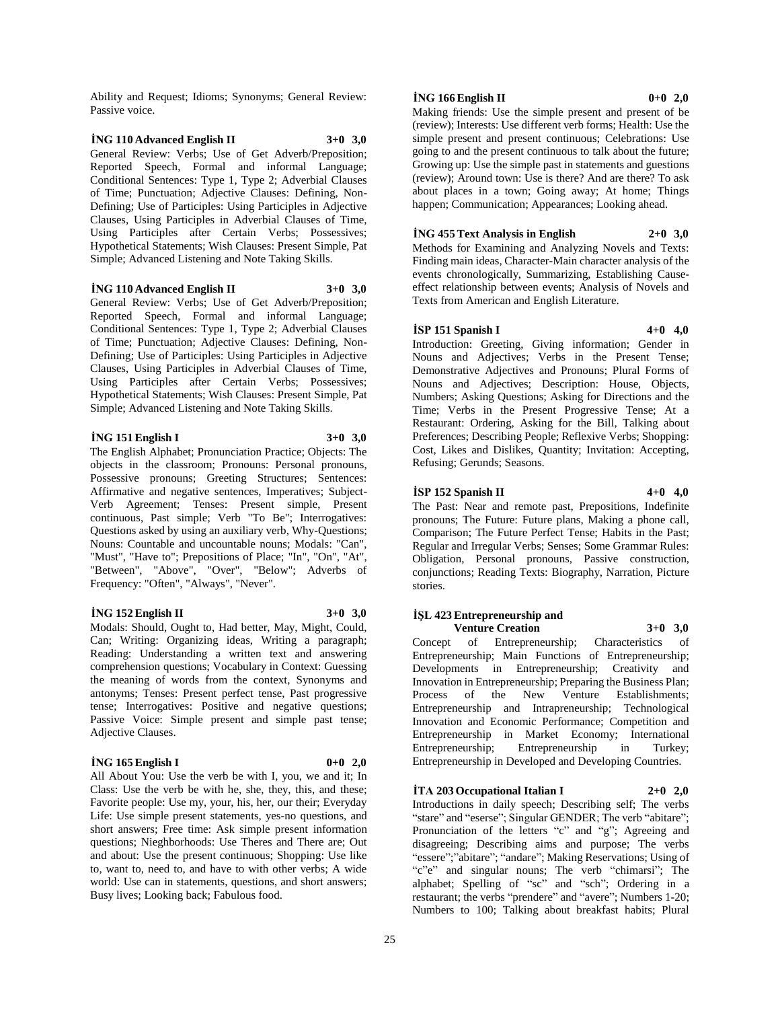Ability and Request; Idioms; Synonyms; General Review: Passive voice.

#### **İNG 110 Advanced English II 3+0 3,0** General Review: Verbs; Use of Get Adverb/Preposition; Reported Speech, Formal and informal Language; Conditional Sentences: Type 1, Type 2; Adverbial Clauses of Time; Punctuation; Adjective Clauses: Defining, Non-Defining; Use of Participles: Using Participles in Adjective Clauses, Using Participles in Adverbial Clauses of Time, Using Participles after Certain Verbs; Possessives; Hypothetical Statements; Wish Clauses: Present Simple, Pat Simple; Advanced Listening and Note Taking Skills.

#### **İNG 110 Advanced English II 3+0 3,0**

General Review: Verbs; Use of Get Adverb/Preposition; Reported Speech, Formal and informal Language; Conditional Sentences: Type 1, Type 2; Adverbial Clauses of Time; Punctuation; Adjective Clauses: Defining, Non-Defining; Use of Participles: Using Participles in Adjective Clauses, Using Participles in Adverbial Clauses of Time, Using Participles after Certain Verbs; Possessives; Hypothetical Statements; Wish Clauses: Present Simple, Pat Simple; Advanced Listening and Note Taking Skills.

#### **İNG 151 English I 3+0 3,0**

The English Alphabet; Pronunciation Practice; Objects: The objects in the classroom; Pronouns: Personal pronouns, Possessive pronouns; Greeting Structures; Sentences: Affirmative and negative sentences, Imperatives; Subject-Verb Agreement; Tenses: Present simple, Present continuous, Past simple; Verb "To Be"; Interrogatives: Questions asked by using an auxiliary verb, Why-Questions; Nouns: Countable and uncountable nouns; Modals: "Can", "Must", "Have to"; Prepositions of Place; "In", "On", "At", "Between", "Above", "Over", "Below"; Adverbs of Frequency: "Often", "Always", "Never".

#### **İNG 152 English II 3+0 3,0**

Modals: Should, Ought to, Had better, May, Might, Could, Can; Writing: Organizing ideas, Writing a paragraph; Reading: Understanding a written text and answering comprehension questions; Vocabulary in Context: Guessing the meaning of words from the context, Synonyms and antonyms; Tenses: Present perfect tense, Past progressive tense; Interrogatives: Positive and negative questions; Passive Voice: Simple present and simple past tense; Adjective Clauses.

#### **İNG 165 English I 0+0 2,0**

All About You: Use the verb be with I, you, we and it; In Class: Use the verb be with he, she, they, this, and these; Favorite people: Use my, your, his, her, our their; Everyday Life: Use simple present statements, yes-no questions, and short answers; Free time: Ask simple present information questions; Nieghborhoods: Use Theres and There are; Out and about: Use the present continuous; Shopping: Use like to, want to, need to, and have to with other verbs; A wide world: Use can in statements, questions, and short answers; Busy lives; Looking back; Fabulous food.

#### **İNG 166 English II 0+0 2,0**

Making friends: Use the simple present and present of be (review); Interests: Use different verb forms; Health: Use the simple present and present continuous; Celebrations: Use going to and the present continuous to talk about the future; Growing up: Use the simple past in statements and guestions (review); Around town: Use is there? And are there? To ask about places in a town; Going away; At home; Things happen; Communication; Appearances; Looking ahead.

#### **İNG 455 Text Analysis in English 2+0 3,0**

Methods for Examining and Analyzing Novels and Texts: Finding main ideas, Character-Main character analysis of the events chronologically, Summarizing, Establishing Causeeffect relationship between events; Analysis of Novels and Texts from American and English Literature.

#### **İSP 151 Spanish I 4+0 4,0**

Introduction: Greeting, Giving information; Gender in Nouns and Adjectives; Verbs in the Present Tense; Demonstrative Adjectives and Pronouns; Plural Forms of Nouns and Adjectives; Description: House, Objects, Numbers; Asking Questions; Asking for Directions and the Time; Verbs in the Present Progressive Tense; At a Restaurant: Ordering, Asking for the Bill, Talking about Preferences; Describing People; Reflexive Verbs; Shopping: Cost, Likes and Dislikes, Quantity; Invitation: Accepting, Refusing; Gerunds; Seasons.

#### **İSP 152 Spanish II 4+0 4,0**

The Past: Near and remote past, Prepositions, Indefinite pronouns; The Future: Future plans, Making a phone call, Comparison; The Future Perfect Tense; Habits in the Past; Regular and Irregular Verbs; Senses; Some Grammar Rules: Obligation, Personal pronouns, Passive construction, conjunctions; Reading Texts: Biography, Narration, Picture stories.

## **İŞL 423 Entrepreneurship and**

**Venture Creation 3+0 3,0** Concept of Entrepreneurship; Characteristics of Entrepreneurship; Main Functions of Entrepreneurship; Developments in Entrepreneurship; Creativity and Innovation in Entrepreneurship; Preparing the Business Plan; Process of the New Venture Establishments; Entrepreneurship and Intrapreneurship; Technological Innovation and Economic Performance; Competition and Entrepreneurship in Market Economy; International Entrepreneurship; Entrepreneurship in Turkey; Entrepreneurship in Developed and Developing Countries.

## $\dot{T}A$  **203 Occupational Italian I 2+0 2,0**

Introductions in daily speech; Describing self; The verbs "stare" and "eserse"; Singular GENDER; The verb "abitare"; Pronunciation of the letters "c" and "g"; Agreeing and disagreeing; Describing aims and purpose; The verbs "essere";"abitare"; "andare"; Making Reservations; Using of "c"e" and singular nouns; The verb "chimarsi"; The alphabet; Spelling of "sc" and "sch"; Ordering in a restaurant; the verbs "prendere" and "avere"; Numbers 1-20; Numbers to 100; Talking about breakfast habits; Plural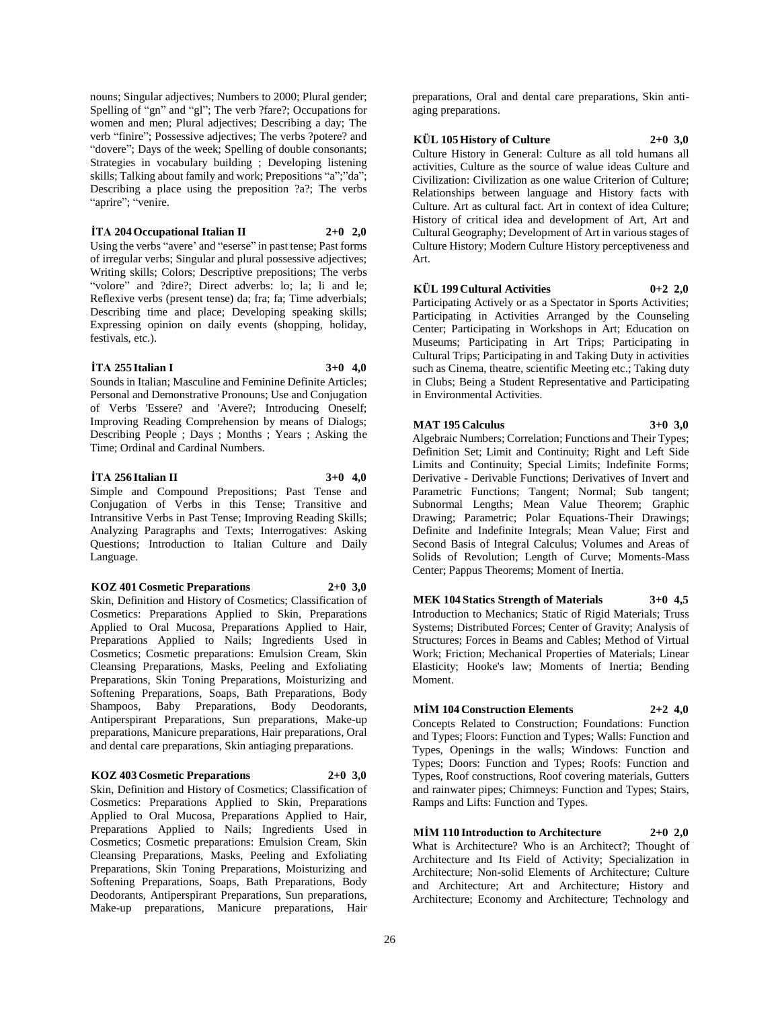nouns; Singular adjectives; Numbers to 2000; Plural gender; Spelling of "gn" and "gl"; The verb ?fare?; Occupations for women and men; Plural adjectives; Describing a day; The verb "finire"; Possessive adjectives; The verbs ?potere? and "dovere"; Days of the week; Spelling of double consonants; Strategies in vocabulary building ; Developing listening skills; Talking about family and work; Prepositions "a";"da"; Describing a place using the preposition ?a?; The verbs "aprire"; "venire.

#### $\dot{T}A$  **204 Occupational Italian II 2+0 2,0**

Using the verbs "avere' and "eserse" in past tense; Past forms of irregular verbs; Singular and plural possessive adjectives; Writing skills; Colors; Descriptive prepositions; The verbs "volore" and ?dire?; Direct adverbs: lo; la; li and le; Reflexive verbs (present tense) da; fra; fa; Time adverbials; Describing time and place; Developing speaking skills; Expressing opinion on daily events (shopping, holiday, festivals, etc.).

#### **İTA 255 Italian I 3+0 4,0**

Sounds in Italian; Masculine and Feminine Definite Articles; Personal and Demonstrative Pronouns; Use and Conjugation of Verbs 'Essere? and 'Avere?; Introducing Oneself; Improving Reading Comprehension by means of Dialogs; Describing People ; Days ; Months ; Years ; Asking the Time; Ordinal and Cardinal Numbers.

#### **İTA 256 Italian II 3+0 4,0**

Simple and Compound Prepositions; Past Tense and Conjugation of Verbs in this Tense; Transitive and Intransitive Verbs in Past Tense; Improving Reading Skills; Analyzing Paragraphs and Texts; Interrogatives: Asking Questions; Introduction to Italian Culture and Daily Language.

#### **KOZ 401 Cosmetic Preparations 2+0 3,0**

Skin, Definition and History of Cosmetics; Classification of Cosmetics: Preparations Applied to Skin, Preparations Applied to Oral Mucosa, Preparations Applied to Hair, Preparations Applied to Nails; Ingredients Used in Cosmetics; Cosmetic preparations: Emulsion Cream, Skin Cleansing Preparations, Masks, Peeling and Exfoliating Preparations, Skin Toning Preparations, Moisturizing and Softening Preparations, Soaps, Bath Preparations, Body Shampoos, Baby Preparations, Body Deodorants, Antiperspirant Preparations, Sun preparations, Make-up preparations, Manicure preparations, Hair preparations, Oral and dental care preparations, Skin antiaging preparations.

#### **KOZ 403 Cosmetic Preparations 2+0 3,0**

Skin, Definition and History of Cosmetics; Classification of Cosmetics: Preparations Applied to Skin, Preparations Applied to Oral Mucosa, Preparations Applied to Hair, Preparations Applied to Nails; Ingredients Used in Cosmetics; Cosmetic preparations: Emulsion Cream, Skin Cleansing Preparations, Masks, Peeling and Exfoliating Preparations, Skin Toning Preparations, Moisturizing and Softening Preparations, Soaps, Bath Preparations, Body Deodorants, Antiperspirant Preparations, Sun preparations, Make-up preparations, Manicure preparations, Hair

preparations, Oral and dental care preparations, Skin antiaging preparations.

## **KÜL 105 History of Culture 2+0 3,0**

Culture History in General: Culture as all told humans all activities, Culture as the source of walue ideas Culture and Civilization: Civilization as one walue Criterion of Culture; Relationships between language and History facts with Culture. Art as cultural fact. Art in context of idea Culture; History of critical idea and development of Art, Art and Cultural Geography; Development of Art in various stages of Culture History; Modern Culture History perceptiveness and Art.

## **KÜL 199 Cultural Activities 0+2 2,0**

Participating Actively or as a Spectator in Sports Activities; Participating in Activities Arranged by the Counseling Center; Participating in Workshops in Art; Education on Museums; Participating in Art Trips; Participating in Cultural Trips; Participating in and Taking Duty in activities such as Cinema, theatre, scientific Meeting etc.; Taking duty in Clubs; Being a Student Representative and Participating in Environmental Activities.

## **MAT 195 Calculus 3+0 3,0**

Algebraic Numbers; Correlation; Functions and Their Types; Definition Set; Limit and Continuity; Right and Left Side Limits and Continuity; Special Limits; Indefinite Forms; Derivative - Derivable Functions; Derivatives of Invert and Parametric Functions; Tangent; Normal; Sub tangent; Subnormal Lengths; Mean Value Theorem; Graphic Drawing; Parametric; Polar Equations-Their Drawings; Definite and Indefinite Integrals; Mean Value; First and Second Basis of Integral Calculus; Volumes and Areas of Solids of Revolution; Length of Curve; Moments-Mass Center; Pappus Theorems; Moment of Inertia.

## **MEK 104 Statics Strength of Materials 3+0 4,5**

Introduction to Mechanics; Static of Rigid Materials; Truss Systems; Distributed Forces; Center of Gravity; Analysis of Structures; Forces in Beams and Cables; Method of Virtual Work; Friction; Mechanical Properties of Materials; Linear Elasticity; Hooke's law; Moments of Inertia; Bending Moment.

## **MİM 104 Construction Elements 2+2 4,0**

Concepts Related to Construction; Foundations: Function and Types; Floors: Function and Types; Walls: Function and Types, Openings in the walls; Windows: Function and Types; Doors: Function and Types; Roofs: Function and Types, Roof constructions, Roof covering materials, Gutters and rainwater pipes; Chimneys: Function and Types; Stairs, Ramps and Lifts: Function and Types.

**MİM 110 Introduction to Architecture 2+0 2,0** What is Architecture? Who is an Architect?; Thought of

Architecture and Its Field of Activity; Specialization in Architecture; Non-solid Elements of Architecture; Culture and Architecture; Art and Architecture; History and Architecture; Economy and Architecture; Technology and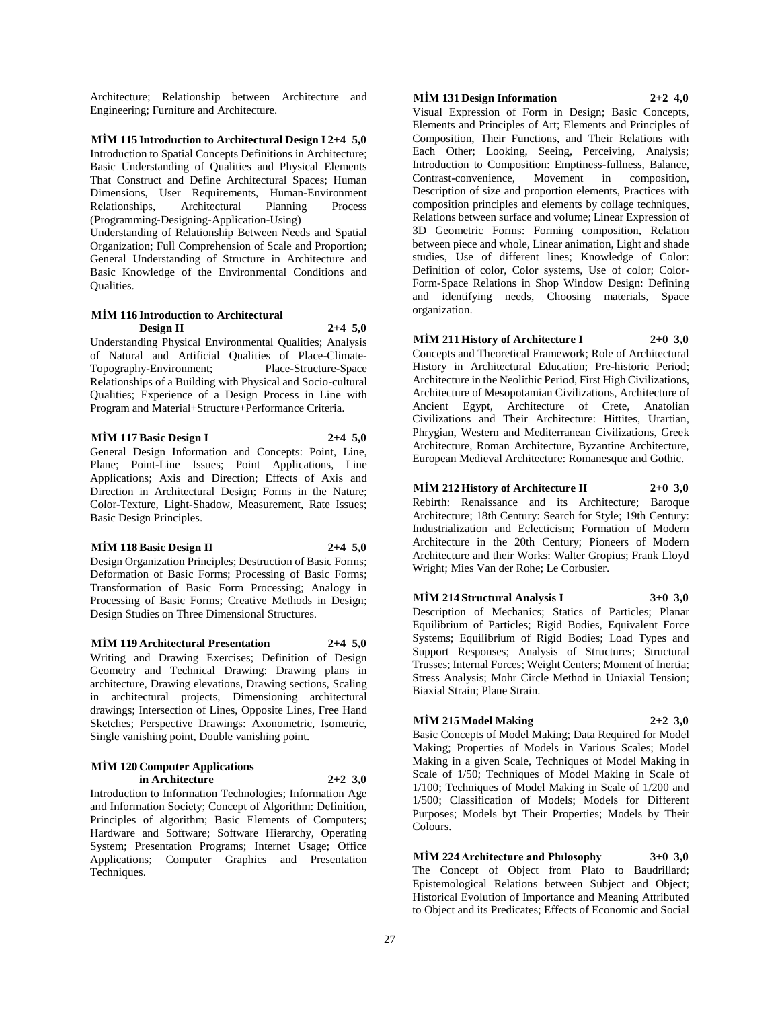Architecture; Relationship between Architecture and Engineering; Furniture and Architecture.

**MİM 115 Introduction to Architectural Design I 2+4 5,0**

Introduction to Spatial Concepts Definitions in Architecture; Basic Understanding of Qualities and Physical Elements That Construct and Define Architectural Spaces; Human Dimensions, User Requirements, Human-Environment Relationships, Architectural Planning Process (Programming-Designing-Application-Using)

Understanding of Relationship Between Needs and Spatial Organization; Full Comprehension of Scale and Proportion; General Understanding of Structure in Architecture and Basic Knowledge of the Environmental Conditions and Qualities.

#### **MİM 116 Introduction to Architectural Design II 2+4 5,0**

Understanding Physical Environmental Qualities; Analysis of Natural and Artificial Qualities of Place-Climate-Topography-Environment; Place-Structure-Space Relationships of a Building with Physical and Socio-cultural Qualities; Experience of a Design Process in Line with Program and Material+Structure+Performance Criteria.

**MİM 117 Basic Design I 2+4 5,0**

General Design Information and Concepts: Point, Line, Plane; Point-Line Issues; Point Applications, Line Applications; Axis and Direction; Effects of Axis and Direction in Architectural Design; Forms in the Nature; Color-Texture, Light-Shadow, Measurement, Rate Issues; Basic Design Principles.

#### **MİM 118 Basic Design II 2+4 5,0**

Design Organization Principles; Destruction of Basic Forms; Deformation of Basic Forms; Processing of Basic Forms; Transformation of Basic Form Processing; Analogy in Processing of Basic Forms; Creative Methods in Design; Design Studies on Three Dimensional Structures.

**MİM 119 Architectural Presentation 2+4 5,0** Writing and Drawing Exercises; Definition of Design Geometry and Technical Drawing: Drawing plans in architecture, Drawing elevations, Drawing sections, Scaling in architectural projects, Dimensioning architectural drawings; Intersection of Lines, Opposite Lines, Free Hand Sketches; Perspective Drawings: Axonometric, Isometric, Single vanishing point, Double vanishing point.

#### **MİM 120 Computer Applications in Architecture 2+2 3,0**

Introduction to Information Technologies; Information Age and Information Society; Concept of Algorithm: Definition, Principles of algorithm; Basic Elements of Computers; Hardware and Software; Software Hierarchy, Operating System; Presentation Programs; Internet Usage; Office Applications; Computer Graphics and Presentation Techniques.

#### **MİM 131 Design Information 2+2 4,0**

Visual Expression of Form in Design; Basic Concepts, Elements and Principles of Art; Elements and Principles of Composition, Their Functions, and Their Relations with Each Other; Looking, Seeing, Perceiving, Analysis; Introduction to Composition: Emptiness-fullness, Balance, Contrast-convenience, Movement in composition, Description of size and proportion elements, Practices with composition principles and elements by collage techniques, Relations between surface and volume; Linear Expression of 3D Geometric Forms: Forming composition, Relation between piece and whole, Linear animation, Light and shade studies, Use of different lines; Knowledge of Color: Definition of color, Color systems, Use of color; Color-Form-Space Relations in Shop Window Design: Defining and identifying needs, Choosing materials, Space organization.

#### **MİM 211 History of Architecture I 2+0 3,0**

Concepts and Theoretical Framework; Role of Architectural History in Architectural Education; Pre-historic Period; Architecture in the Neolithic Period, First High Civilizations, Architecture of Mesopotamian Civilizations, Architecture of Ancient Egypt, Architecture of Crete, Anatolian Civilizations and Their Architecture: Hittites, Urartian, Phrygian, Western and Mediterranean Civilizations, Greek Architecture, Roman Architecture, Byzantine Architecture, European Medieval Architecture: Romanesque and Gothic.

#### **MİM 212 History of Architecture II 2+0 3,0**

Rebirth: Renaissance and its Architecture; Baroque Architecture; 18th Century: Search for Style; 19th Century: Industrialization and Eclecticism; Formation of Modern Architecture in the 20th Century; Pioneers of Modern Architecture and their Works: Walter Gropius; Frank Lloyd Wright; Mies Van der Rohe; Le Corbusier.

#### **MİM 214 Structural Analysis I 3+0 3,0**

Description of Mechanics; Statics of Particles; Planar Equilibrium of Particles; Rigid Bodies, Equivalent Force Systems; Equilibrium of Rigid Bodies; Load Types and Support Responses; Analysis of Structures; Structural Trusses; Internal Forces; Weight Centers; Moment of Inertia; Stress Analysis; Mohr Circle Method in Uniaxial Tension; Biaxial Strain; Plane Strain.

#### **MİM 215 Model Making 2+2 3,0**

Basic Concepts of Model Making; Data Required for Model Making; Properties of Models in Various Scales; Model Making in a given Scale, Techniques of Model Making in Scale of 1/50; Techniques of Model Making in Scale of 1/100; Techniques of Model Making in Scale of 1/200 and 1/500; Classification of Models; Models for Different Purposes; Models byt Their Properties; Models by Their Colours.

**MİM 224 Architecture and Phılosophy 3+0 3,0** The Concept of Object from Plato to Baudrillard; Epistemological Relations between Subject and Object; Historical Evolution of Importance and Meaning Attributed to Object and its Predicates; Effects of Economic and Social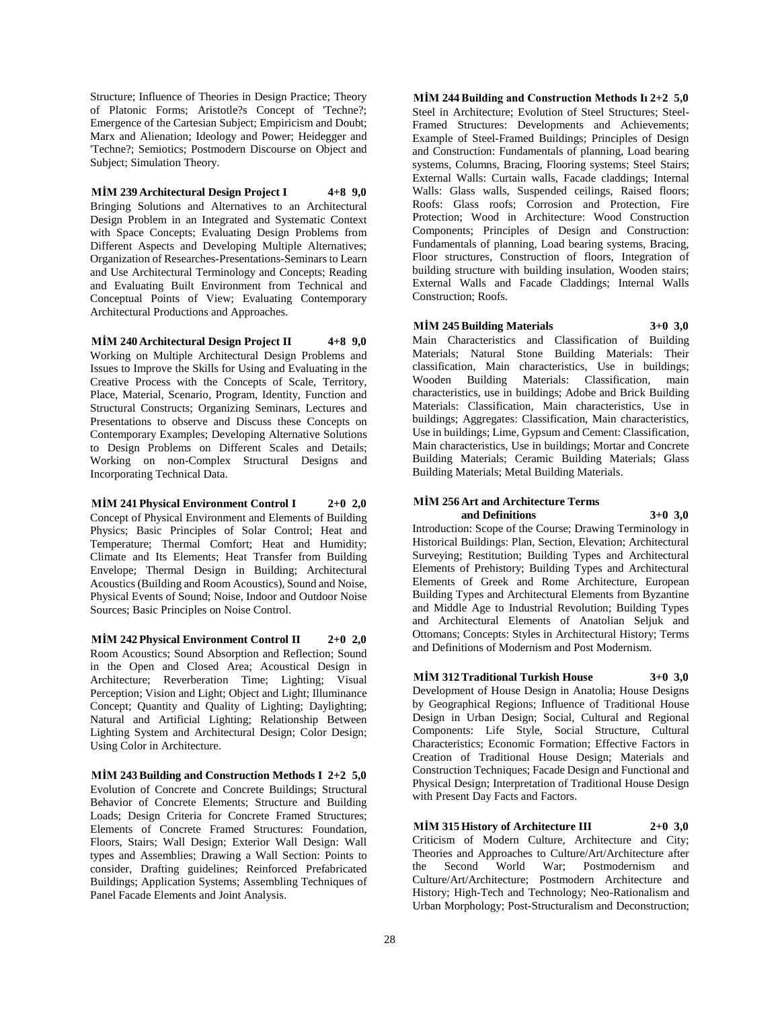Structure; Influence of Theories in Design Practice; Theory of Platonic Forms; Aristotle?s Concept of 'Techne?; Emergence of the Cartesian Subject; Empiricism and Doubt; Marx and Alienation; Ideology and Power; Heidegger and 'Techne?; Semiotics; Postmodern Discourse on Object and Subject; Simulation Theory.

#### **MİM 239 Architectural Design Project I 4+8 9,0**

Bringing Solutions and Alternatives to an Architectural Design Problem in an Integrated and Systematic Context with Space Concepts; Evaluating Design Problems from Different Aspects and Developing Multiple Alternatives; Organization of Researches-Presentations-Seminars to Learn and Use Architectural Terminology and Concepts; Reading and Evaluating Built Environment from Technical and Conceptual Points of View; Evaluating Contemporary Architectural Productions and Approaches.

#### **MİM 240 Architectural Design Project II 4+8 9,0**

Working on Multiple Architectural Design Problems and Issues to Improve the Skills for Using and Evaluating in the Creative Process with the Concepts of Scale, Territory, Place, Material, Scenario, Program, Identity, Function and Structural Constructs; Organizing Seminars, Lectures and Presentations to observe and Discuss these Concepts on Contemporary Examples; Developing Alternative Solutions to Design Problems on Different Scales and Details; Working on non-Complex Structural Designs and Incorporating Technical Data.

**MİM 241 Physical Environment Control I 2+0 2,0** Concept of Physical Environment and Elements of Building Physics; Basic Principles of Solar Control; Heat and Temperature; Thermal Comfort; Heat and Humidity; Climate and Its Elements; Heat Transfer from Building Envelope; Thermal Design in Building; Architectural Acoustics (Building and Room Acoustics), Sound and Noise, Physical Events of Sound; Noise, Indoor and Outdoor Noise Sources; Basic Principles on Noise Control.

**MİM 242 Physical Environment Control II 2+0 2,0** Room Acoustics; Sound Absorption and Reflection; Sound in the Open and Closed Area; Acoustical Design in Architecture; Reverberation Time; Lighting; Visual Perception; Vision and Light; Object and Light; Illuminance Concept; Quantity and Quality of Lighting; Daylighting; Natural and Artificial Lighting; Relationship Between Lighting System and Architectural Design; Color Design; Using Color in Architecture.

**MİM 243 Building and Construction Methods I 2+2 5,0** Evolution of Concrete and Concrete Buildings; Structural Behavior of Concrete Elements; Structure and Building Loads; Design Criteria for Concrete Framed Structures; Elements of Concrete Framed Structures: Foundation, Floors, Stairs; Wall Design; Exterior Wall Design: Wall types and Assemblies; Drawing a Wall Section: Points to consider, Drafting guidelines; Reinforced Prefabricated Buildings; Application Systems; Assembling Techniques of Panel Facade Elements and Joint Analysis.

**MİM 244 Building and Construction Methods Iı 2+2 5,0** Steel in Architecture; Evolution of Steel Structures; Steel-Framed Structures: Developments and Achievements; Example of Steel-Framed Buildings; Principles of Design and Construction: Fundamentals of planning, Load bearing systems, Columns, Bracing, Flooring systems; Steel Stairs; External Walls: Curtain walls, Facade claddings; Internal Walls: Glass walls, Suspended ceilings, Raised floors; Roofs: Glass roofs; Corrosion and Protection, Fire Protection; Wood in Architecture: Wood Construction Components; Principles of Design and Construction: Fundamentals of planning, Load bearing systems, Bracing, Floor structures, Construction of floors, Integration of building structure with building insulation, Wooden stairs; External Walls and Facade Claddings; Internal Walls Construction; Roofs.

#### **MİM 245 Building Materials 3+0 3,0**

Main Characteristics and Classification of Building Materials; Natural Stone Building Materials: Their classification, Main characteristics, Use in buildings; Wooden Building Materials: Classification, main characteristics, use in buildings; Adobe and Brick Building Materials: Classification, Main characteristics, Use in buildings; Aggregates: Classification, Main characteristics, Use in buildings; Lime, Gypsum and Cement: Classification, Main characteristics, Use in buildings; Mortar and Concrete Building Materials; Ceramic Building Materials; Glass Building Materials; Metal Building Materials.

#### **MİM 256 Art and Architecture Terms and Definitions 3+0 3,0**

Introduction: Scope of the Course; Drawing Terminology in Historical Buildings: Plan, Section, Elevation; Architectural Surveying; Restitution; Building Types and Architectural Elements of Prehistory; Building Types and Architectural Elements of Greek and Rome Architecture, European Building Types and Architectural Elements from Byzantine and Middle Age to Industrial Revolution; Building Types and Architectural Elements of Anatolian Seljuk and Ottomans; Concepts: Styles in Architectural History; Terms and Definitions of Modernism and Post Modernism.

#### **MİM 312 Traditional Turkish House 3+0 3,0** Development of House Design in Anatolia; House Designs by Geographical Regions; Influence of Traditional House Design in Urban Design; Social, Cultural and Regional Components: Life Style, Social Structure, Cultural Characteristics; Economic Formation; Effective Factors in Creation of Traditional House Design; Materials and Construction Techniques; Facade Design and Functional and Physical Design; Interpretation of Traditional House Design with Present Day Facts and Factors.

**MİM 315 History of Architecture III 2+0 3,0** Criticism of Modern Culture, Architecture and City; Theories and Approaches to Culture/Art/Architecture after<br>the Second World War; Postmodernism and the Second World War; Postmodernism and Culture/Art/Architecture; Postmodern Architecture and History; High-Tech and Technology; Neo-Rationalism and Urban Morphology; Post-Structuralism and Deconstruction;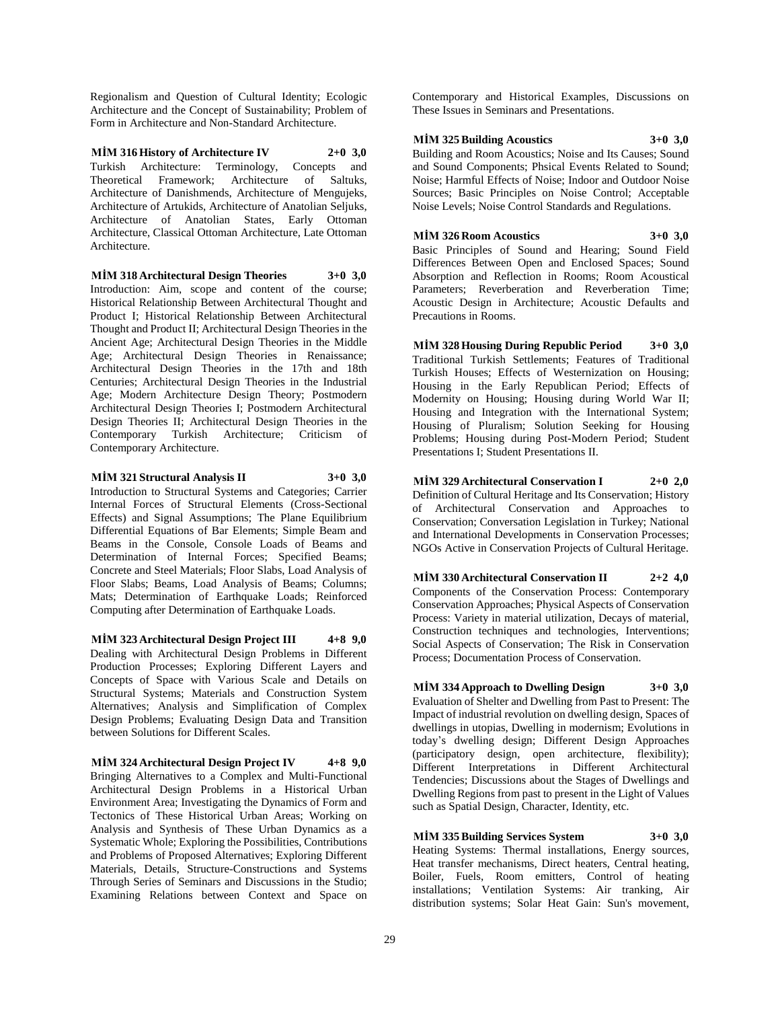Regionalism and Question of Cultural Identity; Ecologic Architecture and the Concept of Sustainability; Problem of Form in Architecture and Non-Standard Architecture.

**MİM 316 History of Architecture IV 2+0 3,0** Turkish Architecture: Terminology, Concepts and Theoretical Framework; Architecture of Saltuks, Architecture of Danishmends, Architecture of Mengujeks, Architecture of Artukids, Architecture of Anatolian Seljuks, Architecture of Anatolian States, Early Ottoman Architecture, Classical Ottoman Architecture, Late Ottoman Architecture.

**MİM 318 Architectural Design Theories 3+0 3,0**

Introduction: Aim, scope and content of the course; Historical Relationship Between Architectural Thought and Product I; Historical Relationship Between Architectural Thought and Product II; Architectural Design Theories in the Ancient Age; Architectural Design Theories in the Middle Age; Architectural Design Theories in Renaissance; Architectural Design Theories in the 17th and 18th Centuries; Architectural Design Theories in the Industrial Age; Modern Architecture Design Theory; Postmodern Architectural Design Theories I; Postmodern Architectural Design Theories II; Architectural Design Theories in the Contemporary Turkish Architecture; Criticism of Contemporary Architecture.

**MİM 321 Structural Analysis II 3+0 3,0** Introduction to Structural Systems and Categories; Carrier Internal Forces of Structural Elements (Cross-Sectional Effects) and Signal Assumptions; The Plane Equilibrium Differential Equations of Bar Elements; Simple Beam and Beams in the Console, Console Loads of Beams and Determination of Internal Forces; Specified Beams; Concrete and Steel Materials; Floor Slabs, Load Analysis of

Floor Slabs; Beams, Load Analysis of Beams; Columns; Mats; Determination of Earthquake Loads; Reinforced Computing after Determination of Earthquake Loads.

**MİM 323 Architectural Design Project III 4+8 9,0** Dealing with Architectural Design Problems in Different Production Processes; Exploring Different Layers and Concepts of Space with Various Scale and Details on Structural Systems; Materials and Construction System Alternatives; Analysis and Simplification of Complex Design Problems; Evaluating Design Data and Transition between Solutions for Different Scales.

**MİM 324 Architectural Design Project IV 4+8 9,0** Bringing Alternatives to a Complex and Multi-Functional Architectural Design Problems in a Historical Urban Environment Area; Investigating the Dynamics of Form and Tectonics of These Historical Urban Areas; Working on Analysis and Synthesis of These Urban Dynamics as a Systematic Whole; Exploring the Possibilities, Contributions and Problems of Proposed Alternatives; Exploring Different Materials, Details, Structure-Constructions and Systems Through Series of Seminars and Discussions in the Studio; Examining Relations between Context and Space on

Contemporary and Historical Examples, Discussions on These Issues in Seminars and Presentations.

## **MİM 325 Building Acoustics 3+0 3,0**

Building and Room Acoustics; Noise and Its Causes; Sound and Sound Components; Phsical Events Related to Sound; Noise; Harmful Effects of Noise; Indoor and Outdoor Noise Sources; Basic Principles on Noise Control; Acceptable Noise Levels; Noise Control Standards and Regulations.

#### **MİM 326 Room Acoustics 3+0 3,0**

Basic Principles of Sound and Hearing; Sound Field Differences Between Open and Enclosed Spaces; Sound Absorption and Reflection in Rooms; Room Acoustical Parameters; Reverberation and Reverberation Time; Acoustic Design in Architecture; Acoustic Defaults and Precautions in Rooms.

**MİM 328 Housing During Republic Period 3+0 3,0** Traditional Turkish Settlements; Features of Traditional Turkish Houses; Effects of Westernization on Housing; Housing in the Early Republican Period; Effects of Modernity on Housing; Housing during World War II; Housing and Integration with the International System; Housing of Pluralism; Solution Seeking for Housing Problems; Housing during Post-Modern Period; Student Presentations I; Student Presentations II.

**MİM 329 Architectural Conservation I 2+0 2,0** Definition of Cultural Heritage and Its Conservation; History of Architectural Conservation and Approaches to Conservation; Conversation Legislation in Turkey; National and International Developments in Conservation Processes; NGOs Active in Conservation Projects of Cultural Heritage.

**MİM 330 Architectural Conservation II 2+2 4,0** Components of the Conservation Process: Contemporary Conservation Approaches; Physical Aspects of Conservation Process: Variety in material utilization, Decays of material, Construction techniques and technologies, Interventions; Social Aspects of Conservation; The Risk in Conservation Process; Documentation Process of Conservation.

**MİM 334 Approach to Dwelling Design 3+0 3,0** Evaluation of Shelter and Dwelling from Past to Present: The Impact of industrial revolution on dwelling design, Spaces of dwellings in utopias, Dwelling in modernism; Evolutions in today's dwelling design; Different Design Approaches (participatory design, open architecture, flexibility); Different Interpretations in Different Architectural Tendencies; Discussions about the Stages of Dwellings and Dwelling Regions from past to present in the Light of Values such as Spatial Design, Character, Identity, etc.

**MİM 335 Building Services System 3+0 3,0** Heating Systems: Thermal installations, Energy sources, Heat transfer mechanisms, Direct heaters, Central heating, Boiler, Fuels, Room emitters, Control of heating installations; Ventilation Systems: Air tranking, Air distribution systems; Solar Heat Gain: Sun's movement,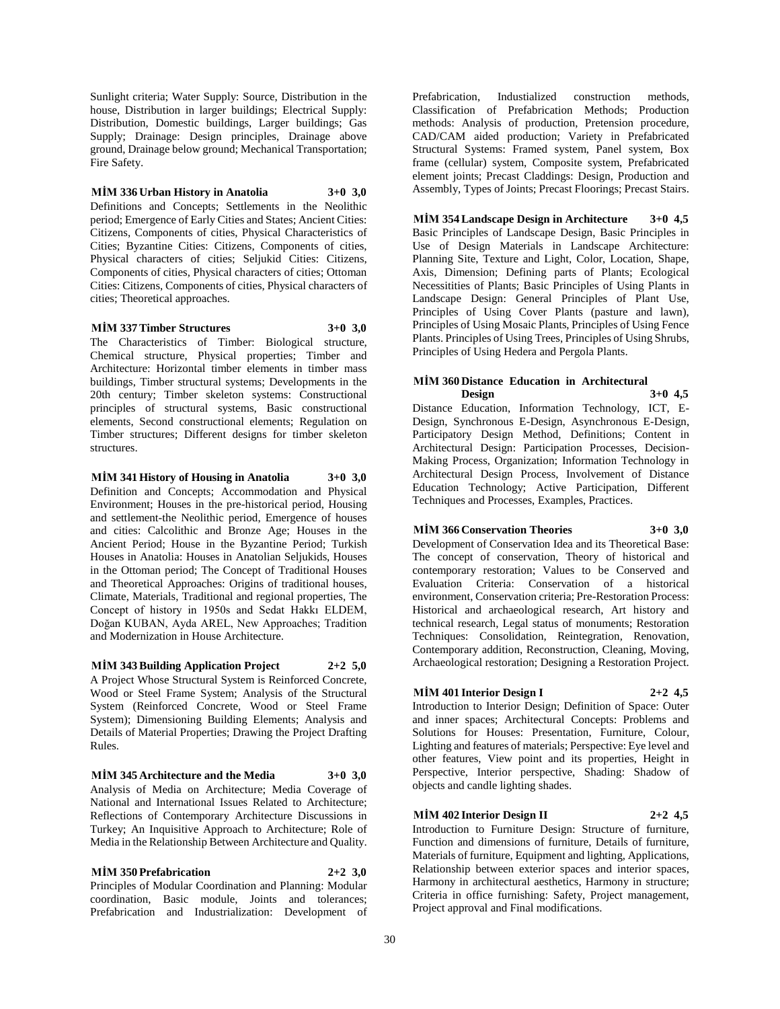Sunlight criteria; Water Supply: Source, Distribution in the house, Distribution in larger buildings; Electrical Supply: Distribution, Domestic buildings, Larger buildings; Gas Supply; Drainage: Design principles, Drainage above ground, Drainage below ground; Mechanical Transportation; Fire Safety.

**MİM 336 Urban History in Anatolia 3+0 3,0**

Definitions and Concepts; Settlements in the Neolithic period; Emergence of Early Cities and States; Ancient Cities: Citizens, Components of cities, Physical Characteristics of Cities; Byzantine Cities: Citizens, Components of cities, Physical characters of cities; Seljukid Cities: Citizens, Components of cities, Physical characters of cities; Ottoman Cities: Citizens, Components of cities, Physical characters of cities; Theoretical approaches.

#### **MİM 337 Timber Structures 3+0 3,0**

The Characteristics of Timber: Biological structure, Chemical structure, Physical properties; Timber and Architecture: Horizontal timber elements in timber mass buildings, Timber structural systems; Developments in the 20th century; Timber skeleton systems: Constructional principles of structural systems, Basic constructional elements, Second constructional elements; Regulation on Timber structures; Different designs for timber skeleton structures.

**MİM 341 History of Housing in Anatolia 3+0 3,0** Definition and Concepts; Accommodation and Physical Environment; Houses in the pre-historical period, Housing and settlement-the Neolithic period, Emergence of houses and cities: Calcolithic and Bronze Age; Houses in the Ancient Period; House in the Byzantine Period; Turkish Houses in Anatolia: Houses in Anatolian Seljukids, Houses in the Ottoman period; The Concept of Traditional Houses and Theoretical Approaches: Origins of traditional houses, Climate, Materials, Traditional and regional properties, The Concept of history in 1950s and Sedat Hakkı ELDEM, Doğan KUBAN, Ayda AREL, New Approaches; Tradition and Modernization in House Architecture.

**MİM 343 Building Application Project 2+2 5,0** A Project Whose Structural System is Reinforced Concrete, Wood or Steel Frame System; Analysis of the Structural System (Reinforced Concrete, Wood or Steel Frame System); Dimensioning Building Elements; Analysis and Details of Material Properties; Drawing the Project Drafting

Rules.

**MİM 345 Architecture and the Media 3+0 3,0** Analysis of Media on Architecture; Media Coverage of National and International Issues Related to Architecture; Reflections of Contemporary Architecture Discussions in Turkey; An Inquisitive Approach to Architecture; Role of Media in the Relationship Between Architecture and Quality.

**MİM 350 Prefabrication 2+2 3,0** Principles of Modular Coordination and Planning: Modular coordination, Basic module, Joints and tolerances; Prefabrication and Industrialization: Development of

Prefabrication, Industialized construction methods, Classification of Prefabrication Methods; Production methods: Analysis of production, Pretension procedure, CAD/CAM aided production; Variety in Prefabricated Structural Systems: Framed system, Panel system, Box frame (cellular) system, Composite system, Prefabricated element joints; Precast Claddings: Design, Production and Assembly, Types of Joints; Precast Floorings; Precast Stairs.

**MİM 354 Landscape Design in Architecture 3+0 4,5** Basic Principles of Landscape Design, Basic Principles in Use of Design Materials in Landscape Architecture: Planning Site, Texture and Light, Color, Location, Shape, Axis, Dimension; Defining parts of Plants; Ecological Necessitities of Plants; Basic Principles of Using Plants in Landscape Design: General Principles of Plant Use, Principles of Using Cover Plants (pasture and lawn), Principles of Using Mosaic Plants, Principles of Using Fence Plants. Principles of Using Trees, Principles of Using Shrubs, Principles of Using Hedera and Pergola Plants.

#### **MİM 360 Distance Education in Architectural Design 3+0 4,5**

Distance Education, Information Technology, ICT, E-Design, Synchronous E-Design, Asynchronous E-Design, Participatory Design Method, Definitions; Content in Architectural Design: Participation Processes, Decision-Making Process, Organization; Information Technology in Architectural Design Process, Involvement of Distance Education Technology; Active Participation, Different Techniques and Processes, Examples, Practices.

#### **MİM 366 Conservation Theories 3+0 3,0**

Development of Conservation Idea and its Theoretical Base: The concept of conservation, Theory of historical and contemporary restoration; Values to be Conserved and Evaluation Criteria: Conservation of a historical environment, Conservation criteria; Pre-Restoration Process: Historical and archaeological research, Art history and technical research, Legal status of monuments; Restoration Techniques: Consolidation, Reintegration, Renovation, Contemporary addition, Reconstruction, Cleaning, Moving, Archaeological restoration; Designing a Restoration Project.

## **MİM 401 Interior Design I 2+2 4,5**

Introduction to Interior Design; Definition of Space: Outer and inner spaces; Architectural Concepts: Problems and Solutions for Houses: Presentation, Furniture, Colour, Lighting and features of materials; Perspective: Eye level and other features, View point and its properties, Height in Perspective, Interior perspective, Shading: Shadow of objects and candle lighting shades.

## **MİM 402 Interior Design II 2+2 4,5**

Introduction to Furniture Design: Structure of furniture, Function and dimensions of furniture, Details of furniture, Materials of furniture, Equipment and lighting, Applications, Relationship between exterior spaces and interior spaces, Harmony in architectural aesthetics, Harmony in structure; Criteria in office furnishing: Safety, Project management, Project approval and Final modifications.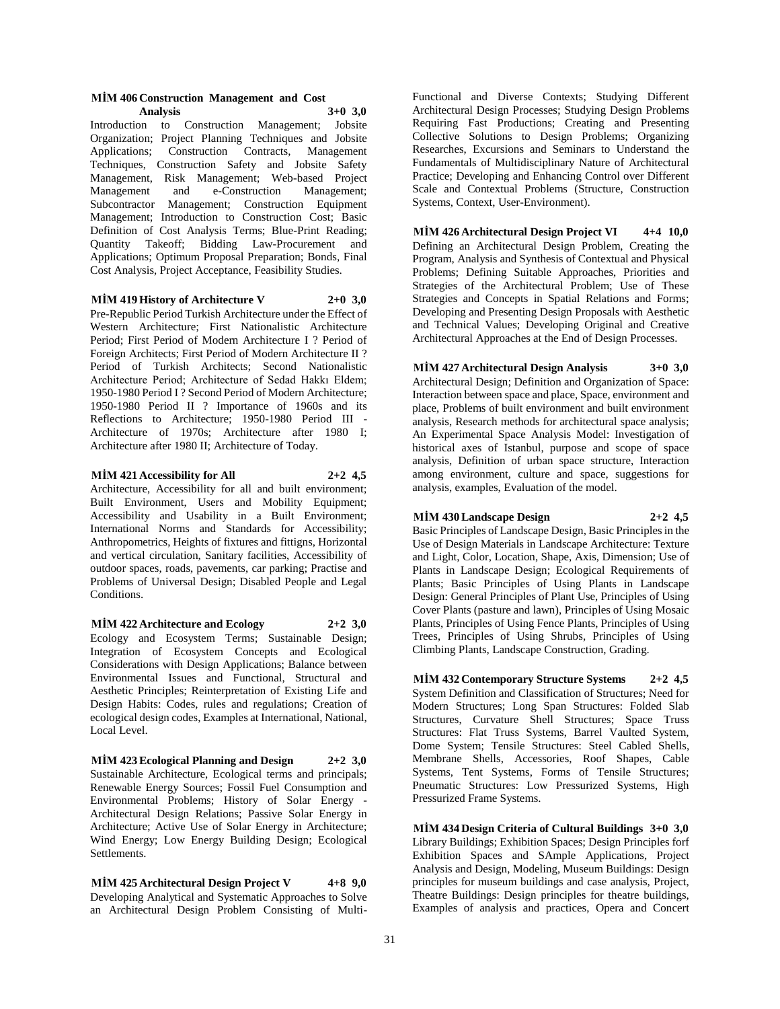#### **MİM 406 Construction Management and Cost Analysis 3+0 3,0**

Introduction to Construction Management; Jobsite Organization; Project Planning Techniques and Jobsite Applications; Construction Contracts, Management Techniques, Construction Safety and Jobsite Safety Management, Risk Management; Web-based Project Management and e-Construction Management; Subcontractor Management; Construction Equipment Management; Introduction to Construction Cost; Basic Definition of Cost Analysis Terms; Blue-Print Reading; Quantity Takeoff; Bidding Law-Procurement and Applications; Optimum Proposal Preparation; Bonds, Final Cost Analysis, Project Acceptance, Feasibility Studies.

#### **MİM 419 History of Architecture V 2+0 3,0**

Pre-Republic Period Turkish Architecture under the Effect of Western Architecture; First Nationalistic Architecture Period; First Period of Modern Architecture I ? Period of Foreign Architects; First Period of Modern Architecture II ? Period of Turkish Architects; Second Nationalistic Architecture Period; Architecture of Sedad Hakkı Eldem; 1950-1980 Period I ? Second Period of Modern Architecture; 1950-1980 Period II ? Importance of 1960s and its Reflections to Architecture; 1950-1980 Period III - Architecture of 1970s; Architecture after 1980 I; Architecture after 1980 II; Architecture of Today.

**MİM 421 Accessibility for All 2+2 4,5**

Architecture, Accessibility for all and built environment; Built Environment, Users and Mobility Equipment; Accessibility and Usability in a Built Environment; International Norms and Standards for Accessibility; Anthropometrics, Heights of fixtures and fittigns, Horizontal and vertical circulation, Sanitary facilities, Accessibility of outdoor spaces, roads, pavements, car parking; Practise and Problems of Universal Design; Disabled People and Legal Conditions.

**MİM 422 Architecture and Ecology 2+2 3,0** Ecology and Ecosystem Terms; Sustainable Design; Integration of Ecosystem Concepts and Ecological Considerations with Design Applications; Balance between Environmental Issues and Functional, Structural and Aesthetic Principles; Reinterpretation of Existing Life and Design Habits: Codes, rules and regulations; Creation of ecological design codes, Examples at International, National, Local Level.

**MİM 423 Ecological Planning and Design 2+2 3,0** Sustainable Architecture, Ecological terms and principals; Renewable Energy Sources; Fossil Fuel Consumption and Environmental Problems; History of Solar Energy - Architectural Design Relations; Passive Solar Energy in Architecture; Active Use of Solar Energy in Architecture; Wind Energy; Low Energy Building Design; Ecological Settlements.

**MİM 425 Architectural Design Project V 4+8 9,0** Developing Analytical and Systematic Approaches to Solve an Architectural Design Problem Consisting of Multi-

Functional and Diverse Contexts; Studying Different Architectural Design Processes; Studying Design Problems Requiring Fast Productions; Creating and Presenting Collective Solutions to Design Problems; Organizing Researches, Excursions and Seminars to Understand the Fundamentals of Multidisciplinary Nature of Architectural Practice; Developing and Enhancing Control over Different Scale and Contextual Problems (Structure, Construction Systems, Context, User-Environment).

**MİM 426 Architectural Design Project VI 4+4 10,0** Defining an Architectural Design Problem, Creating the Program, Analysis and Synthesis of Contextual and Physical Problems; Defining Suitable Approaches, Priorities and Strategies of the Architectural Problem; Use of These Strategies and Concepts in Spatial Relations and Forms; Developing and Presenting Design Proposals with Aesthetic and Technical Values; Developing Original and Creative Architectural Approaches at the End of Design Processes.

### **MİM 427 Architectural Design Analysis 3+0 3,0**

Architectural Design; Definition and Organization of Space: Interaction between space and place, Space, environment and place, Problems of built environment and built environment analysis, Research methods for architectural space analysis; An Experimental Space Analysis Model: Investigation of historical axes of Istanbul, purpose and scope of space analysis, Definition of urban space structure, Interaction among environment, culture and space, suggestions for analysis, examples, Evaluation of the model.

#### **MİM 430 Landscape Design 2+2 4,5**

Basic Principles of Landscape Design, Basic Principles in the Use of Design Materials in Landscape Architecture: Texture and Light, Color, Location, Shape, Axis, Dimension; Use of Plants in Landscape Design; Ecological Requirements of Plants; Basic Principles of Using Plants in Landscape Design: General Principles of Plant Use, Principles of Using Cover Plants (pasture and lawn), Principles of Using Mosaic Plants, Principles of Using Fence Plants, Principles of Using Trees, Principles of Using Shrubs, Principles of Using Climbing Plants, Landscape Construction, Grading.

**MİM 432 Contemporary Structure Systems 2+2 4,5** System Definition and Classification of Structures; Need for Modern Structures; Long Span Structures: Folded Slab Structures, Curvature Shell Structures; Space Truss Structures: Flat Truss Systems, Barrel Vaulted System, Dome System; Tensile Structures: Steel Cabled Shells, Membrane Shells, Accessories, Roof Shapes, Cable Systems, Tent Systems, Forms of Tensile Structures; Pneumatic Structures: Low Pressurized Systems, High Pressurized Frame Systems.

**MİM 434 Design Criteria of Cultural Buildings 3+0 3,0** Library Buildings; Exhibition Spaces; Design Principles forf Exhibition Spaces and SAmple Applications, Project Analysis and Design, Modeling, Museum Buildings: Design principles for museum buildings and case analysis, Project, Theatre Buildings: Design principles for theatre buildings, Examples of analysis and practices, Opera and Concert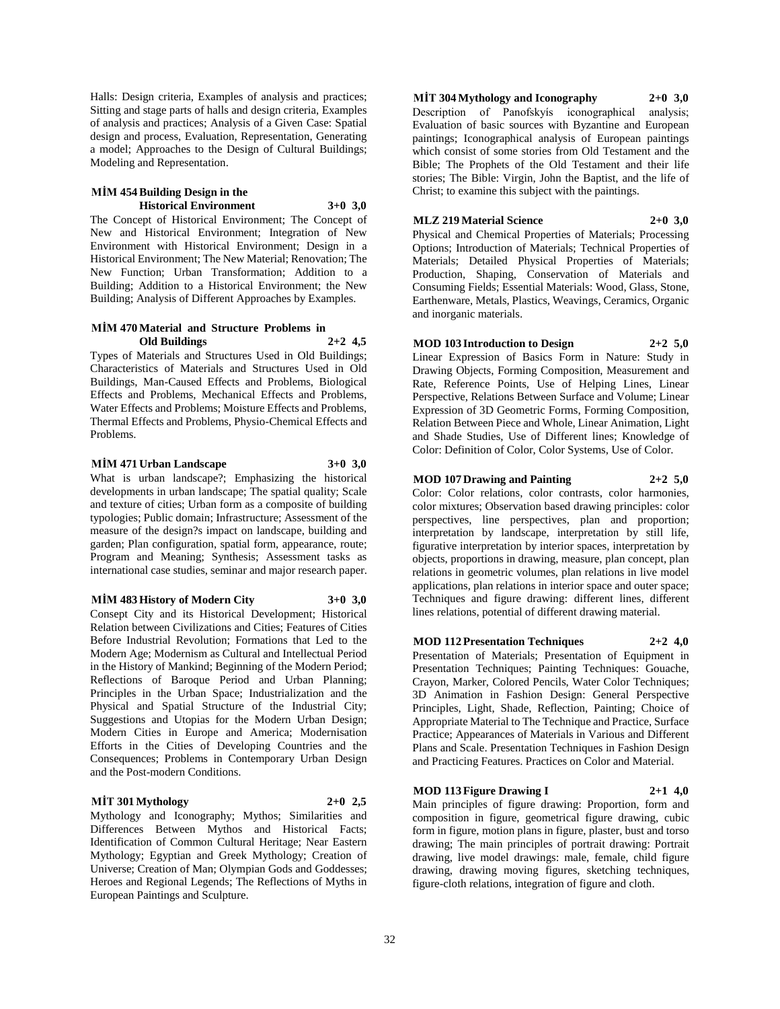Halls: Design criteria, Examples of analysis and practices; Sitting and stage parts of halls and design criteria, Examples of analysis and practices; Analysis of a Given Case: Spatial design and process, Evaluation, Representation, Generating a model; Approaches to the Design of Cultural Buildings; Modeling and Representation.

#### **MİM 454 Building Design in the Historical Environment 3+0 3,0**

The Concept of Historical Environment; The Concept of New and Historical Environment; Integration of New Environment with Historical Environment; Design in a Historical Environment; The New Material; Renovation; The New Function; Urban Transformation; Addition to a Building; Addition to a Historical Environment; the New Building; Analysis of Different Approaches by Examples.

#### **MİM 470 Material and Structure Problems in Old Buildings 2+2 4,5**

Types of Materials and Structures Used in Old Buildings; Characteristics of Materials and Structures Used in Old Buildings, Man-Caused Effects and Problems, Biological Effects and Problems, Mechanical Effects and Problems, Water Effects and Problems; Moisture Effects and Problems, Thermal Effects and Problems, Physio-Chemical Effects and Problems.

#### **MİM 471 Urban Landscape 3+0 3,0**

What is urban landscape?; Emphasizing the historical developments in urban landscape; The spatial quality; Scale and texture of cities; Urban form as a composite of building typologies; Public domain; Infrastructure; Assessment of the measure of the design?s impact on landscape, building and garden; Plan configuration, spatial form, appearance, route; Program and Meaning; Synthesis; Assessment tasks as international case studies, seminar and major research paper.

#### **MİM 483 History of Modern City 3+0 3,0**

Consept City and its Historical Development; Historical Relation between Civilizations and Cities; Features of Cities Before Industrial Revolution; Formations that Led to the Modern Age; Modernism as Cultural and Intellectual Period in the History of Mankind; Beginning of the Modern Period; Reflections of Baroque Period and Urban Planning; Principles in the Urban Space; Industrialization and the Physical and Spatial Structure of the Industrial City; Suggestions and Utopias for the Modern Urban Design; Modern Cities in Europe and America; Modernisation Efforts in the Cities of Developing Countries and the Consequences; Problems in Contemporary Urban Design and the Post-modern Conditions.

#### **MİT 301 Mythology 2+0 2,5**

Mythology and Iconography; Mythos; Similarities and Differences Between Mythos and Historical Facts; Identification of Common Cultural Heritage; Near Eastern Mythology; Egyptian and Greek Mythology; Creation of Universe; Creation of Man; Olympian Gods and Goddesses; Heroes and Regional Legends; The Reflections of Myths in European Paintings and Sculpture.

**MİT 304 Mythology and Iconography 2+0 3,0** Description of Panofskyís iconographical analysis; Evaluation of basic sources with Byzantine and European paintings; Iconographical analysis of European paintings

which consist of some stories from Old Testament and the Bible; The Prophets of the Old Testament and their life stories; The Bible: Virgin, John the Baptist, and the life of Christ; to examine this subject with the paintings.

## **MLZ 219 Material Science 2+0 3,0**

Physical and Chemical Properties of Materials; Processing Options; Introduction of Materials; Technical Properties of Materials; Detailed Physical Properties of Materials; Production, Shaping, Conservation of Materials and Consuming Fields; Essential Materials: Wood, Glass, Stone, Earthenware, Metals, Plastics, Weavings, Ceramics, Organic and inorganic materials.

## **MOD 103 Introduction to Design 2+2 5,0**

Linear Expression of Basics Form in Nature: Study in Drawing Objects, Forming Composition, Measurement and Rate, Reference Points, Use of Helping Lines, Linear Perspective, Relations Between Surface and Volume; Linear Expression of 3D Geometric Forms, Forming Composition, Relation Between Piece and Whole, Linear Animation, Light and Shade Studies, Use of Different lines; Knowledge of Color: Definition of Color, Color Systems, Use of Color.

## **MOD 107 Drawing and Painting 2+2 5,0**

Color: Color relations, color contrasts, color harmonies, color mixtures; Observation based drawing principles: color perspectives, line perspectives, plan and proportion; interpretation by landscape, interpretation by still life, figurative interpretation by interior spaces, interpretation by objects, proportions in drawing, measure, plan concept, plan relations in geometric volumes, plan relations in live model applications, plan relations in interior space and outer space; Techniques and figure drawing: different lines, different lines relations, potential of different drawing material.

#### **MOD 112 Presentation Techniques 2+2 4,0**

Presentation of Materials; Presentation of Equipment in Presentation Techniques; Painting Techniques: Gouache, Crayon, Marker, Colored Pencils, Water Color Techniques; 3D Animation in Fashion Design: General Perspective Principles, Light, Shade, Reflection, Painting; Choice of Appropriate Material to The Technique and Practice, Surface Practice; Appearances of Materials in Various and Different Plans and Scale. Presentation Techniques in Fashion Design and Practicing Features. Practices on Color and Material.

#### **MOD 113 Figure Drawing I 2+1 4,0**

Main principles of figure drawing: Proportion, form and composition in figure, geometrical figure drawing, cubic form in figure, motion plans in figure, plaster, bust and torso drawing; The main principles of portrait drawing: Portrait drawing, live model drawings: male, female, child figure drawing, drawing moving figures, sketching techniques, figure-cloth relations, integration of figure and cloth.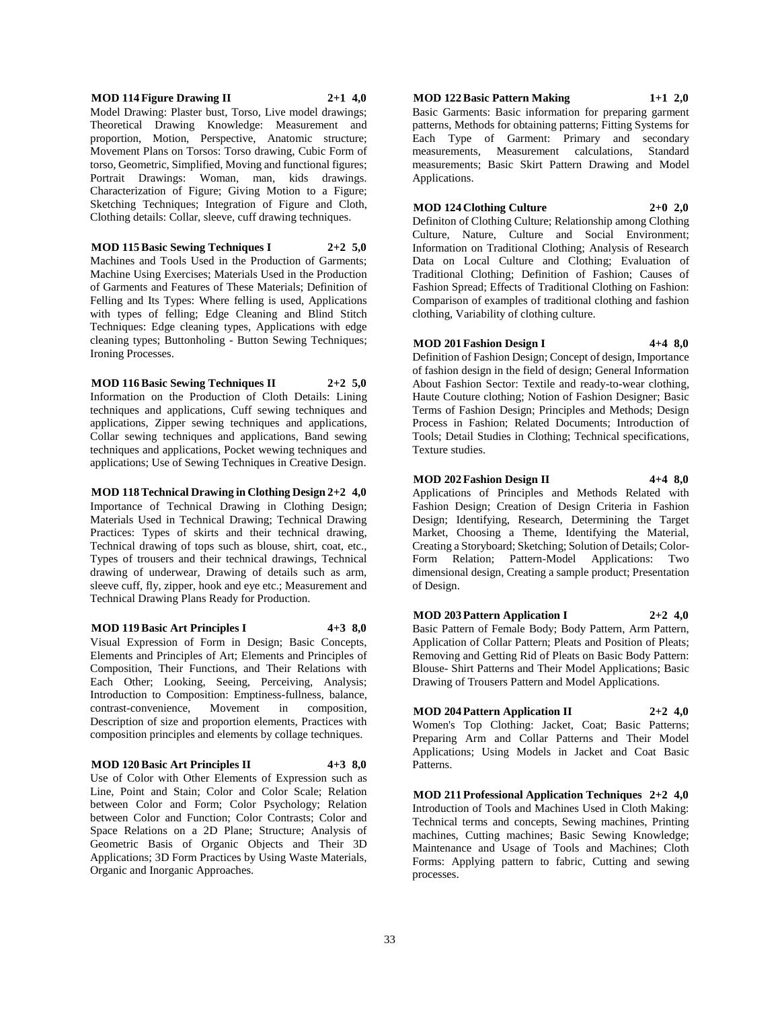## **MOD 114 Figure Drawing II 2+1 4,0** Model Drawing: Plaster bust, Torso, Live model drawings;

Theoretical Drawing Knowledge: Measurement and proportion, Motion, Perspective, Anatomic structure; Movement Plans on Torsos: Torso drawing, Cubic Form of torso, Geometric, Simplified, Moving and functional figures; Portrait Drawings: Woman, man, kids drawings. Characterization of Figure; Giving Motion to a Figure; Sketching Techniques; Integration of Figure and Cloth, Clothing details: Collar, sleeve, cuff drawing techniques.

**MOD 115 Basic Sewing Techniques I 2+2 5,0** Machines and Tools Used in the Production of Garments; Machine Using Exercises; Materials Used in the Production

of Garments and Features of These Materials; Definition of Felling and Its Types: Where felling is used, Applications with types of felling; Edge Cleaning and Blind Stitch Techniques: Edge cleaning types, Applications with edge cleaning types; Buttonholing - Button Sewing Techniques; Ironing Processes.

**MOD 116 Basic Sewing Techniques II 2+2 5,0** Information on the Production of Cloth Details: Lining techniques and applications, Cuff sewing techniques and applications, Zipper sewing techniques and applications, Collar sewing techniques and applications, Band sewing techniques and applications, Pocket wewing techniques and applications; Use of Sewing Techniques in Creative Design.

**MOD 118 Technical Drawing in Clothing Design 2+2 4,0**

Importance of Technical Drawing in Clothing Design; Materials Used in Technical Drawing; Technical Drawing Practices: Types of skirts and their technical drawing, Technical drawing of tops such as blouse, shirt, coat, etc., Types of trousers and their technical drawings, Technical drawing of underwear, Drawing of details such as arm, sleeve cuff, fly, zipper, hook and eye etc.; Measurement and Technical Drawing Plans Ready for Production.

**MOD 119 Basic Art Principles I 4+3 8,0** Visual Expression of Form in Design; Basic Concepts, Elements and Principles of Art; Elements and Principles of Composition, Their Functions, and Their Relations with Each Other; Looking, Seeing, Perceiving, Analysis; Introduction to Composition: Emptiness-fullness, balance,

contrast-convenience, Movement in composition, Description of size and proportion elements, Practices with composition principles and elements by collage techniques.

#### **MOD 120 Basic Art Principles II 4+3 8,0**

Use of Color with Other Elements of Expression such as Line, Point and Stain; Color and Color Scale; Relation between Color and Form; Color Psychology; Relation between Color and Function; Color Contrasts; Color and Space Relations on a 2D Plane; Structure; Analysis of Geometric Basis of Organic Objects and Their 3D Applications; 3D Form Practices by Using Waste Materials, Organic and Inorganic Approaches.

## **MOD 122 Basic Pattern Making 1+1 2,0**

Basic Garments: Basic information for preparing garment patterns, Methods for obtaining patterns; Fitting Systems for Each Type of Garment: Primary and secondary<br>measurements, Measurement calculations, Standard measurements, Measurement calculations, measurements; Basic Skirt Pattern Drawing and Model Applications.

#### **MOD 124 Clothing Culture 2+0 2,0**

Definiton of Clothing Culture; Relationship among Clothing Culture, Nature, Culture and Social Environment; Information on Traditional Clothing; Analysis of Research Data on Local Culture and Clothing; Evaluation of Traditional Clothing; Definition of Fashion; Causes of Fashion Spread; Effects of Traditional Clothing on Fashion: Comparison of examples of traditional clothing and fashion clothing, Variability of clothing culture.

#### **MOD 201 Fashion Design I 4+4 8,0**

Definition of Fashion Design; Concept of design, Importance of fashion design in the field of design; General Information About Fashion Sector: Textile and ready-to-wear clothing, Haute Couture clothing; Notion of Fashion Designer; Basic Terms of Fashion Design; Principles and Methods; Design Process in Fashion; Related Documents; Introduction of Tools; Detail Studies in Clothing; Technical specifications, Texture studies.

**MOD 202 Fashion Design II 4+4 8,0** Applications of Principles and Methods Related with Fashion Design; Creation of Design Criteria in Fashion Design; Identifying, Research, Determining the Target Market, Choosing a Theme, Identifying the Material, Creating a Storyboard; Sketching; Solution of Details; Color-Form Relation; Pattern-Model Applications: Two dimensional design, Creating a sample product; Presentation of Design.

**MOD 203 Pattern Application I 2+2 4,0** Basic Pattern of Female Body; Body Pattern, Arm Pattern, Application of Collar Pattern; Pleats and Position of Pleats; Removing and Getting Rid of Pleats on Basic Body Pattern: Blouse- Shirt Patterns and Their Model Applications; Basic Drawing of Trousers Pattern and Model Applications.

**MOD 204 Pattern Application II 2+2 4,0** Women's Top Clothing: Jacket, Coat; Basic Patterns; Preparing Arm and Collar Patterns and Their Model Applications; Using Models in Jacket and Coat Basic Patterns.

**MOD 211 Professional Application Techniques 2+2 4,0** Introduction of Tools and Machines Used in Cloth Making: Technical terms and concepts, Sewing machines, Printing machines, Cutting machines; Basic Sewing Knowledge; Maintenance and Usage of Tools and Machines; Cloth Forms: Applying pattern to fabric, Cutting and sewing processes.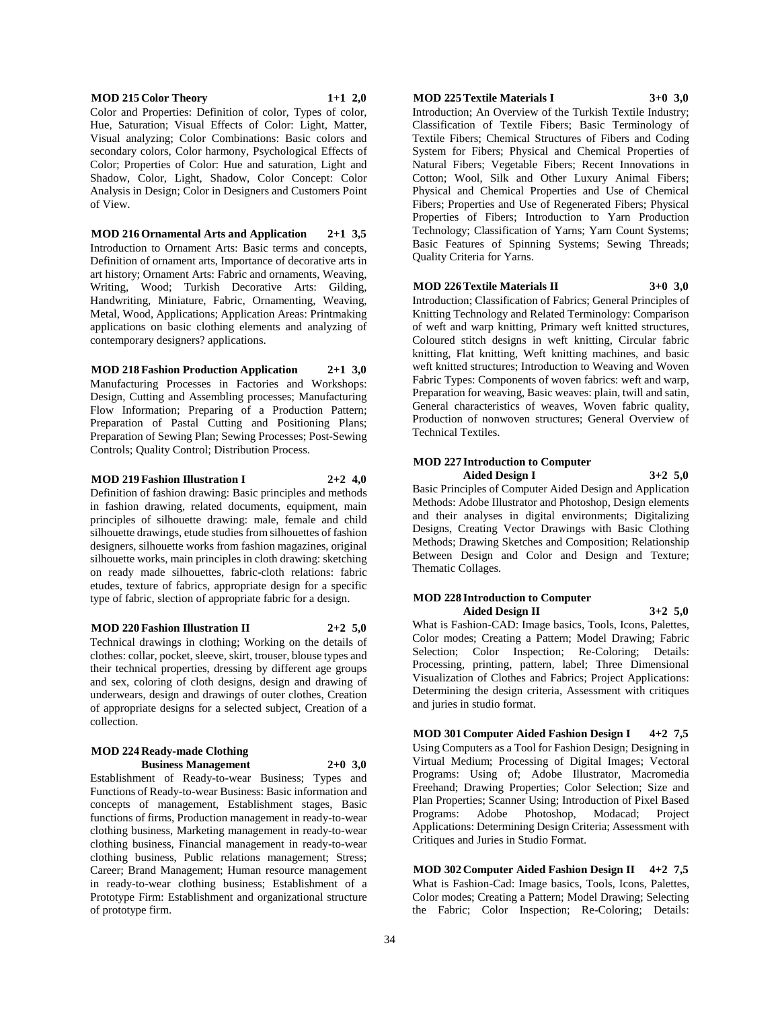#### **MOD 215 Color Theory 1+1 2,0**

Color and Properties: Definition of color, Types of color, Hue, Saturation; Visual Effects of Color: Light, Matter, Visual analyzing; Color Combinations: Basic colors and secondary colors, Color harmony, Psychological Effects of Color; Properties of Color: Hue and saturation, Light and Shadow, Color, Light, Shadow, Color Concept: Color Analysis in Design; Color in Designers and Customers Point of View.

**MOD 216 Ornamental Arts and Application 2+1 3,5** Introduction to Ornament Arts: Basic terms and concepts, Definition of ornament arts, Importance of decorative arts in art history; Ornament Arts: Fabric and ornaments, Weaving, Writing, Wood; Turkish Decorative Arts: Gilding, Handwriting, Miniature, Fabric, Ornamenting, Weaving, Metal, Wood, Applications; Application Areas: Printmaking applications on basic clothing elements and analyzing of contemporary designers? applications.

#### **MOD 218 Fashion Production Application 2+1 3,0**

Manufacturing Processes in Factories and Workshops: Design, Cutting and Assembling processes; Manufacturing Flow Information; Preparing of a Production Pattern; Preparation of Pastal Cutting and Positioning Plans; Preparation of Sewing Plan; Sewing Processes; Post-Sewing Controls; Quality Control; Distribution Process.

#### **MOD 219 Fashion Illustration I 2+2 4,0**

Definition of fashion drawing: Basic principles and methods in fashion drawing, related documents, equipment, main principles of silhouette drawing: male, female and child silhouette drawings, etude studies from silhouettes of fashion designers, silhouette works from fashion magazines, original silhouette works, main principles in cloth drawing: sketching on ready made silhouettes, fabric-cloth relations: fabric etudes, texture of fabrics, appropriate design for a specific type of fabric, slection of appropriate fabric for a design.

#### **MOD 220 Fashion Illustration II 2+2 5,0**

Technical drawings in clothing; Working on the details of clothes: collar, pocket, sleeve, skirt, trouser, blouse types and their technical properties, dressing by different age groups and sex, coloring of cloth designs, design and drawing of underwears, design and drawings of outer clothes, Creation of appropriate designs for a selected subject, Creation of a collection.

#### **MOD 224 Ready-made Clothing Business Management 2+0 3,0**

Establishment of Ready-to-wear Business; Types and Functions of Ready-to-wear Business: Basic information and concepts of management, Establishment stages, Basic functions of firms, Production management in ready-to-wear clothing business, Marketing management in ready-to-wear clothing business, Financial management in ready-to-wear clothing business, Public relations management; Stress; Career; Brand Management; Human resource management in ready-to-wear clothing business; Establishment of a Prototype Firm: Establishment and organizational structure of prototype firm.

#### **MOD 225 Textile Materials I 3+0 3,0**

Introduction; An Overview of the Turkish Textile Industry; Classification of Textile Fibers; Basic Terminology of Textile Fibers; Chemical Structures of Fibers and Coding System for Fibers; Physical and Chemical Properties of Natural Fibers; Vegetable Fibers; Recent Innovations in Cotton; Wool, Silk and Other Luxury Animal Fibers; Physical and Chemical Properties and Use of Chemical Fibers; Properties and Use of Regenerated Fibers; Physical Properties of Fibers; Introduction to Yarn Production Technology; Classification of Yarns; Yarn Count Systems; Basic Features of Spinning Systems; Sewing Threads; Quality Criteria for Yarns.

#### **MOD 226 Textile Materials II 3+0 3,0**

Introduction; Classification of Fabrics; General Principles of Knitting Technology and Related Terminology: Comparison of weft and warp knitting, Primary weft knitted structures, Coloured stitch designs in weft knitting, Circular fabric knitting, Flat knitting, Weft knitting machines, and basic weft knitted structures; Introduction to Weaving and Woven Fabric Types: Components of woven fabrics: weft and warp, Preparation for weaving, Basic weaves: plain, twill and satin, General characteristics of weaves, Woven fabric quality, Production of nonwoven structures; General Overview of Technical Textiles.

#### **MOD 227 Introduction to Computer Aided Design I 3+2 5,0**

Basic Principles of Computer Aided Design and Application Methods: Adobe Illustrator and Photoshop, Design elements and their analyses in digital environments; Digitalizing Designs, Creating Vector Drawings with Basic Clothing Methods; Drawing Sketches and Composition; Relationship Between Design and Color and Design and Texture; Thematic Collages.

#### **MOD 228 Introduction to Computer Aided Design II 3+2 5,0**

What is Fashion-CAD: Image basics, Tools, Icons, Palettes, Color modes; Creating a Pattern; Model Drawing; Fabric Selection; Color Inspection; Re-Coloring; Details: Processing, printing, pattern, label; Three Dimensional Visualization of Clothes and Fabrics; Project Applications: Determining the design criteria, Assessment with critiques and juries in studio format.

**MOD 301 Computer Aided Fashion Design I 4+2 7,5** Using Computers as a Tool for Fashion Design; Designing in Virtual Medium; Processing of Digital Images; Vectoral Programs: Using of; Adobe Illustrator, Macromedia Freehand; Drawing Properties; Color Selection; Size and Plan Properties; Scanner Using; Introduction of Pixel Based Programs: Adobe Photoshop, Modacad; Project Applications: Determining Design Criteria; Assessment with Critiques and Juries in Studio Format.

**MOD 302 Computer Aided Fashion Design II 4+2 7,5** What is Fashion-Cad: Image basics, Tools, Icons, Palettes, Color modes; Creating a Pattern; Model Drawing; Selecting the Fabric; Color Inspection; Re-Coloring; Details: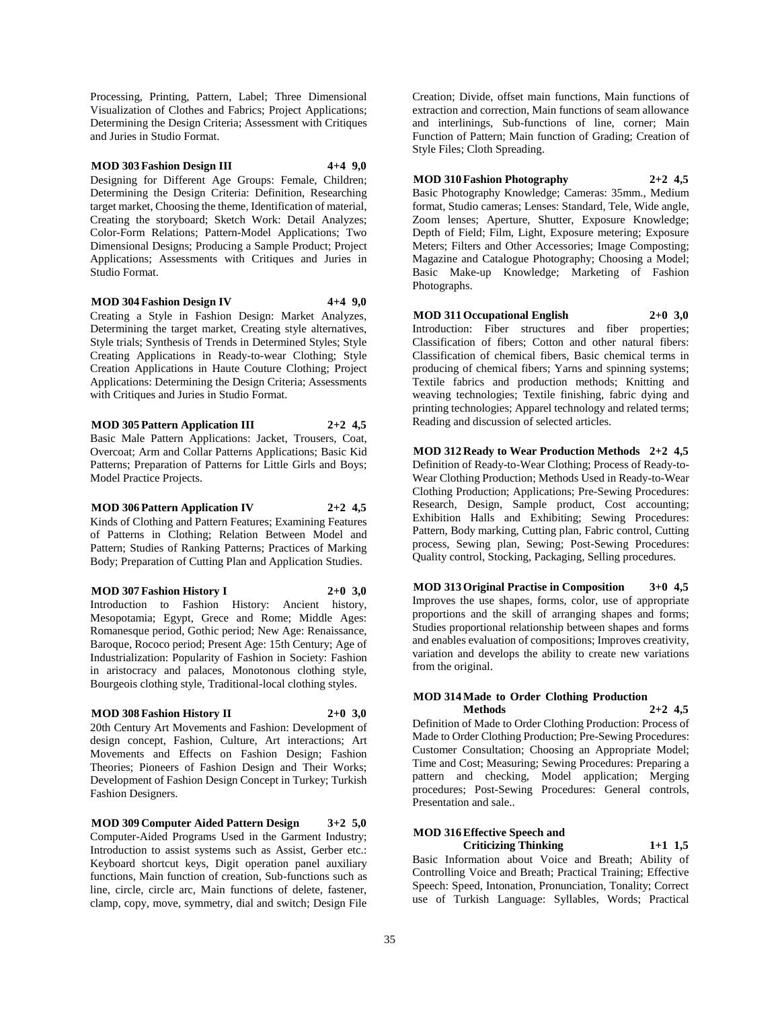Processing, Printing, Pattern, Label; Three Dimensional Visualization of Clothes and Fabrics; Project Applications; Determining the Design Criteria; Assessment with Critiques and Juries in Studio Format.

#### **MOD 303 Fashion Design III 4+4 9,0**

Designing for Different Age Groups: Female, Children; Determining the Design Criteria: Definition, Researching target market, Choosing the theme, Identification of material, Creating the storyboard; Sketch Work: Detail Analyzes; Color-Form Relations; Pattern-Model Applications; Two Dimensional Designs; Producing a Sample Product; Project Applications; Assessments with Critiques and Juries in Studio Format.

**MOD 304 Fashion Design IV 4+4 9,0**

Creating a Style in Fashion Design: Market Analyzes, Determining the target market, Creating style alternatives, Style trials; Synthesis of Trends in Determined Styles; Style Creating Applications in Ready-to-wear Clothing; Style Creation Applications in Haute Couture Clothing; Project Applications: Determining the Design Criteria; Assessments with Critiques and Juries in Studio Format.

**MOD 305 Pattern Application III 2+2 4,5** Basic Male Pattern Applications: Jacket, Trousers, Coat, Overcoat; Arm and Collar Patterns Applications; Basic Kid Patterns; Preparation of Patterns for Little Girls and Boys; Model Practice Projects.

**MOD 306 Pattern Application IV 2+2 4,5** Kinds of Clothing and Pattern Features; Examining Features of Patterns in Clothing; Relation Between Model and Pattern; Studies of Ranking Patterns; Practices of Marking Body; Preparation of Cutting Plan and Application Studies.

**MOD 307 Fashion History I 2+0 3,0** Introduction to Fashion History: Ancient history, Mesopotamia; Egypt, Grece and Rome; Middle Ages: Romanesque period, Gothic period; New Age: Renaissance, Baroque, Rococo period; Present Age: 15th Century; Age of Industrialization: Popularity of Fashion in Society: Fashion in aristocracy and palaces, Monotonous clothing style, Bourgeois clothing style, Traditional-local clothing styles.

#### **MOD 308 Fashion History II 2+0 3,0**

20th Century Art Movements and Fashion: Development of design concept, Fashion, Culture, Art interactions; Art Movements and Effects on Fashion Design; Fashion Theories; Pioneers of Fashion Design and Their Works; Development of Fashion Design Concept in Turkey; Turkish Fashion Designers.

**MOD 309 Computer Aided Pattern Design 3+2 5,0** Computer-Aided Programs Used in the Garment Industry; Introduction to assist systems such as Assist, Gerber etc.: Keyboard shortcut keys, Digit operation panel auxiliary functions, Main function of creation, Sub-functions such as line, circle, circle arc, Main functions of delete, fastener, clamp, copy, move, symmetry, dial and switch; Design File

Creation; Divide, offset main functions, Main functions of extraction and correction, Main functions of seam allowance and interlinings, Sub-functions of line, corner; Main Function of Pattern; Main function of Grading; Creation of Style Files; Cloth Spreading.

**MOD 310 Fashion Photography 2+2 4,5** Basic Photography Knowledge; Cameras: 35mm., Medium format, Studio cameras; Lenses: Standard, Tele, Wide angle, Zoom lenses; Aperture, Shutter, Exposure Knowledge; Depth of Field; Film, Light, Exposure metering; Exposure Meters; Filters and Other Accessories; Image Composting; Magazine and Catalogue Photography; Choosing a Model; Basic Make-up Knowledge; Marketing of Fashion Photographs.

**MOD 311 Occupational English 2+0 3,0** Introduction: Fiber structures and fiber properties; Classification of fibers; Cotton and other natural fibers: Classification of chemical fibers, Basic chemical terms in producing of chemical fibers; Yarns and spinning systems; Textile fabrics and production methods; Knitting and weaving technologies; Textile finishing, fabric dying and printing technologies; Apparel technology and related terms; Reading and discussion of selected articles.

**MOD 312 Ready to Wear Production Methods 2+2 4,5** Definition of Ready-to-Wear Clothing; Process of Ready-to-Wear Clothing Production; Methods Used in Ready-to-Wear Clothing Production; Applications; Pre-Sewing Procedures: Research, Design, Sample product, Cost accounting; Exhibition Halls and Exhibiting; Sewing Procedures: Pattern, Body marking, Cutting plan, Fabric control, Cutting process, Sewing plan, Sewing; Post-Sewing Procedures: Quality control, Stocking, Packaging, Selling procedures.

**MOD 313 Original Practise in Composition 3+0 4,5** Improves the use shapes, forms, color, use of appropriate proportions and the skill of arranging shapes and forms; Studies proportional relationship between shapes and forms and enables evaluation of compositions; Improves creativity, variation and develops the ability to create new variations from the original.

#### **MOD 314 Made to Order Clothing Production Methods 2+2 4,5**

Definition of Made to Order Clothing Production: Process of Made to Order Clothing Production; Pre-Sewing Procedures: Customer Consultation; Choosing an Appropriate Model; Time and Cost; Measuring; Sewing Procedures: Preparing a pattern and checking, Model application; Merging procedures; Post-Sewing Procedures: General controls, Presentation and sale..

## **MOD 316 Effective Speech and Criticizing Thinking 1+1 1,5**

Basic Information about Voice and Breath; Ability of Controlling Voice and Breath; Practical Training; Effective Speech: Speed, Intonation, Pronunciation, Tonality; Correct use of Turkish Language: Syllables, Words; Practical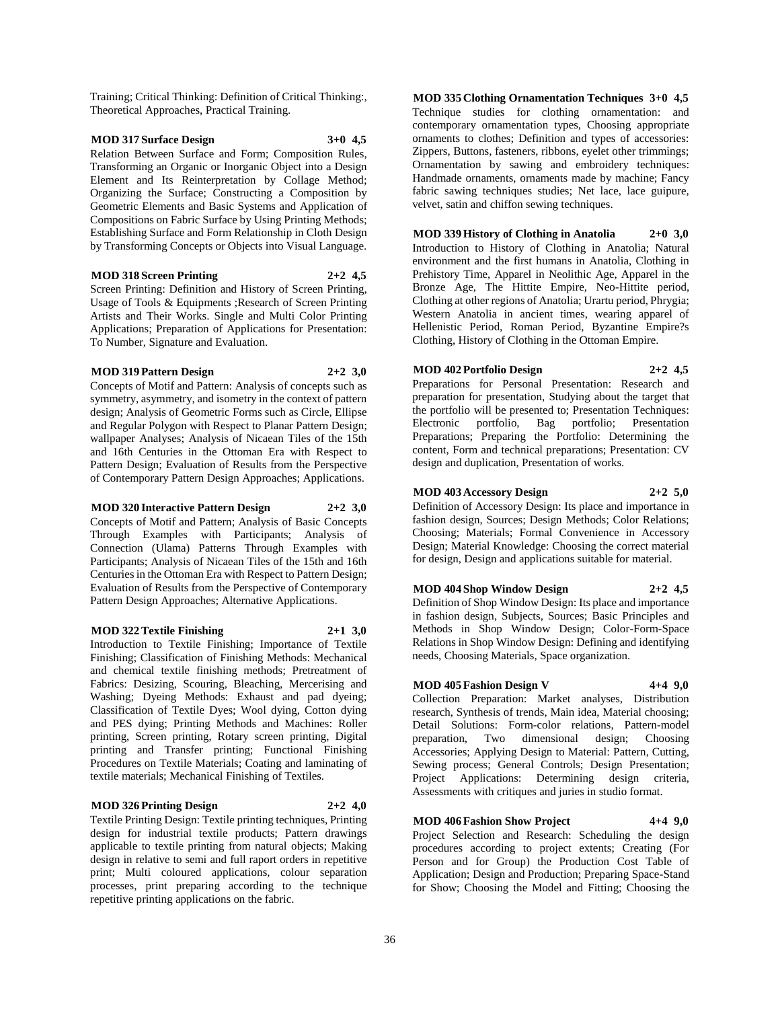Training; Critical Thinking: Definition of Critical Thinking:, Theoretical Approaches, Practical Training.

## **MOD 317 Surface Design 3+0 4,5**

Relation Between Surface and Form; Composition Rules, Transforming an Organic or Inorganic Object into a Design Element and Its Reinterpretation by Collage Method; Organizing the Surface; Constructing a Composition by Geometric Elements and Basic Systems and Application of Compositions on Fabric Surface by Using Printing Methods; Establishing Surface and Form Relationship in Cloth Design by Transforming Concepts or Objects into Visual Language.

#### **MOD 318 Screen Printing 2+2 4,5**

Screen Printing: Definition and History of Screen Printing, Usage of Tools & Equipments ;Research of Screen Printing Artists and Their Works. Single and Multi Color Printing Applications; Preparation of Applications for Presentation: To Number, Signature and Evaluation.

#### **MOD 319 Pattern Design 2+2 3,0**

Concepts of Motif and Pattern: Analysis of concepts such as symmetry, asymmetry, and isometry in the context of pattern design; Analysis of Geometric Forms such as Circle, Ellipse and Regular Polygon with Respect to Planar Pattern Design; wallpaper Analyses; Analysis of Nicaean Tiles of the 15th and 16th Centuries in the Ottoman Era with Respect to Pattern Design; Evaluation of Results from the Perspective of Contemporary Pattern Design Approaches; Applications.

#### **MOD 320 Interactive Pattern Design 2+2 3,0**

Concepts of Motif and Pattern; Analysis of Basic Concepts Through Examples with Participants; Analysis of Connection (Ulama) Patterns Through Examples with Participants; Analysis of Nicaean Tiles of the 15th and 16th Centuries in the Ottoman Era with Respect to Pattern Design; Evaluation of Results from the Perspective of Contemporary Pattern Design Approaches; Alternative Applications.

#### **MOD 322 Textile Finishing 2+1 3,0**

Introduction to Textile Finishing; Importance of Textile Finishing; Classification of Finishing Methods: Mechanical and chemical textile finishing methods; Pretreatment of Fabrics: Desizing, Scouring, Bleaching, Mercerising and Washing; Dyeing Methods: Exhaust and pad dyeing; Classification of Textile Dyes; Wool dying, Cotton dying and PES dying; Printing Methods and Machines: Roller printing, Screen printing, Rotary screen printing, Digital printing and Transfer printing; Functional Finishing Procedures on Textile Materials; Coating and laminating of textile materials; Mechanical Finishing of Textiles.

#### **MOD 326 Printing Design 2+2 4,0**

Textile Printing Design: Textile printing techniques, Printing design for industrial textile products; Pattern drawings applicable to textile printing from natural objects; Making design in relative to semi and full raport orders in repetitive print; Multi coloured applications, colour separation processes, print preparing according to the technique repetitive printing applications on the fabric.

**MOD 335 Clothing Ornamentation Techniques 3+0 4,5** Technique studies for clothing ornamentation: and contemporary ornamentation types, Choosing appropriate ornaments to clothes; Definition and types of accessories: Zippers, Buttons, fasteners, ribbons, eyelet other trimmings; Ornamentation by sawing and embroidery techniques: Handmade ornaments, ornaments made by machine; Fancy fabric sawing techniques studies; Net lace, lace guipure, velvet, satin and chiffon sewing techniques.

## **MOD 339 History of Clothing in Anatolia 2+0 3,0**

Introduction to History of Clothing in Anatolia; Natural environment and the first humans in Anatolia, Clothing in Prehistory Time, Apparel in Neolithic Age, Apparel in the Bronze Age, The Hittite Empire, Neo-Hittite period, Clothing at other regions of Anatolia; Urartu period, Phrygia; Western Anatolia in ancient times, wearing apparel of Hellenistic Period, Roman Period, Byzantine Empire?s Clothing, History of Clothing in the Ottoman Empire.

#### **MOD 402 Portfolio Design 2+2 4,5**

Preparations for Personal Presentation: Research and preparation for presentation, Studying about the target that the portfolio will be presented to; Presentation Techniques: Electronic portfolio, Bag portfolio; Presentation Preparations; Preparing the Portfolio: Determining the content, Form and technical preparations; Presentation: CV design and duplication, Presentation of works.

#### **MOD 403 Accessory Design 2+2 5,0**

Definition of Accessory Design: Its place and importance in fashion design, Sources; Design Methods; Color Relations; Choosing; Materials; Formal Convenience in Accessory Design; Material Knowledge: Choosing the correct material

#### **MOD 404 Shop Window Design 2+2 4,5**

Definition of Shop Window Design: Its place and importance in fashion design, Subjects, Sources; Basic Principles and Methods in Shop Window Design; Color-Form-Space Relations in Shop Window Design: Defining and identifying needs, Choosing Materials, Space organization.

for design, Design and applications suitable for material.

#### **MOD 405 Fashion Design V 4+4 9,0**

Collection Preparation: Market analyses, Distribution research, Synthesis of trends, Main idea, Material choosing; Detail Solutions: Form-color relations, Pattern-model preparation, Two dimensional design; Choosing Accessories; Applying Design to Material: Pattern, Cutting, Sewing process; General Controls; Design Presentation; Project Applications: Determining design criteria, Assessments with critiques and juries in studio format.

#### **MOD 406 Fashion Show Project 4+4 9,0**

Project Selection and Research: Scheduling the design procedures according to project extents; Creating (For Person and for Group) the Production Cost Table of Application; Design and Production; Preparing Space-Stand for Show; Choosing the Model and Fitting; Choosing the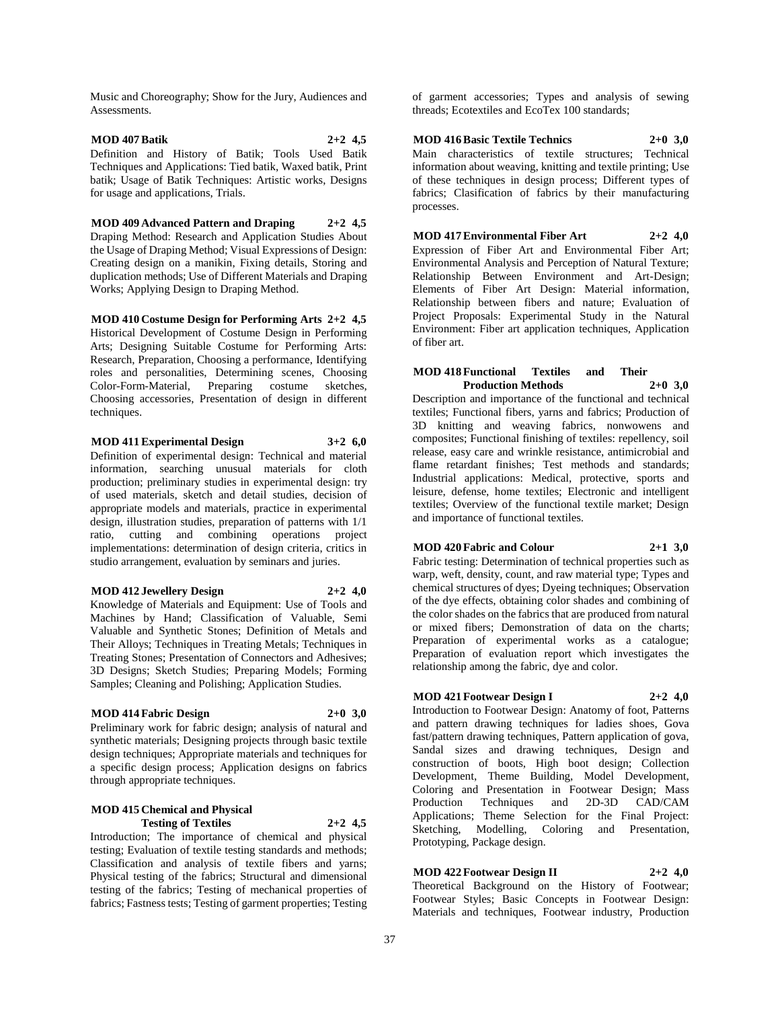Music and Choreography; Show for the Jury, Audiences and Assessments.

#### **MOD 407 Batik 2+2 4,5** Definition and History of Batik; Tools Used Batik Techniques and Applications: Tied batik, Waxed batik, Print batik; Usage of Batik Techniques: Artistic works, Designs for usage and applications, Trials.

**MOD 409 Advanced Pattern and Draping 2+2 4,5** Draping Method: Research and Application Studies About the Usage of Draping Method; Visual Expressions of Design: Creating design on a manikin, Fixing details, Storing and duplication methods; Use of Different Materials and Draping Works; Applying Design to Draping Method.

**MOD 410 Costume Design for Performing Arts 2+2 4,5** Historical Development of Costume Design in Performing Arts; Designing Suitable Costume for Performing Arts: Research, Preparation, Choosing a performance, Identifying roles and personalities, Determining scenes, Choosing Color-Form-Material, Preparing costume sketches, Choosing accessories, Presentation of design in different techniques.

#### **MOD 411 Experimental Design 3+2 6,0**

Definition of experimental design: Technical and material information, searching unusual materials for cloth production; preliminary studies in experimental design: try of used materials, sketch and detail studies, decision of appropriate models and materials, practice in experimental design, illustration studies, preparation of patterns with 1/1 ratio, cutting and combining operations project implementations: determination of design criteria, critics in studio arrangement, evaluation by seminars and juries.

#### **MOD 412 Jewellery Design 2+2 4,0**

Knowledge of Materials and Equipment: Use of Tools and Machines by Hand; Classification of Valuable, Semi Valuable and Synthetic Stones; Definition of Metals and Their Alloys; Techniques in Treating Metals; Techniques in Treating Stones; Presentation of Connectors and Adhesives; 3D Designs; Sketch Studies; Preparing Models; Forming Samples; Cleaning and Polishing; Application Studies.

#### **MOD 414 Fabric Design 2+0 3,0**

Preliminary work for fabric design; analysis of natural and synthetic materials; Designing projects through basic textile design techniques; Appropriate materials and techniques for a specific design process; Application designs on fabrics through appropriate techniques.

## **MOD 415 Chemical and Physical Testing of Textiles 2+2 4,5**

Introduction; The importance of chemical and physical testing; Evaluation of textile testing standards and methods; Classification and analysis of textile fibers and yarns; Physical testing of the fabrics; Structural and dimensional testing of the fabrics; Testing of mechanical properties of fabrics; Fastness tests; Testing of garment properties; Testing

of garment accessories; Types and analysis of sewing threads; Ecotextiles and EcoTex 100 standards;

#### **MOD 416 Basic Textile Technics 2+0 3,0**

Main characteristics of textile structures; Technical information about weaving, knitting and textile printing; Use of these techniques in design process; Different types of fabrics; Clasification of fabrics by their manufacturing processes.

**MOD 417 Environmental Fiber Art 2+2 4,0**

Expression of Fiber Art and Environmental Fiber Art; Environmental Analysis and Perception of Natural Texture; Relationship Between Environment and Art-Design; Elements of Fiber Art Design: Material information, Relationship between fibers and nature; Evaluation of Project Proposals: Experimental Study in the Natural Environment: Fiber art application techniques, Application of fiber art.

#### **MOD 418 Functional Textiles and Their Production Methods**

Description and importance of the functional and technical textiles; Functional fibers, yarns and fabrics; Production of 3D knitting and weaving fabrics, nonwowens and composites; Functional finishing of textiles: repellency, soil release, easy care and wrinkle resistance, antimicrobial and flame retardant finishes; Test methods and standards; Industrial applications: Medical, protective, sports and leisure, defense, home textiles; Electronic and intelligent textiles; Overview of the functional textile market; Design and importance of functional textiles.

#### **MOD 420 Fabric and Colour 2+1 3,0**

Fabric testing: Determination of technical properties such as warp, weft, density, count, and raw material type; Types and chemical structures of dyes; Dyeing techniques; Observation of the dye effects, obtaining color shades and combining of the color shades on the fabrics that are produced from natural or mixed fibers; Demonstration of data on the charts; Preparation of experimental works as a catalogue; Preparation of evaluation report which investigates the relationship among the fabric, dye and color.

#### **MOD 421 Footwear Design I 2+2 4,0**

Introduction to Footwear Design: Anatomy of foot, Patterns and pattern drawing techniques for ladies shoes, Gova fast/pattern drawing techniques, Pattern application of gova, Sandal sizes and drawing techniques, Design and construction of boots, High boot design; Collection Development, Theme Building, Model Development, Coloring and Presentation in Footwear Design; Mass Production Techniques and 2D-3D CAD/CAM Applications; Theme Selection for the Final Project: Sketching, Modelling, Coloring and Presentation, Prototyping, Package design.

### **MOD 422 Footwear Design II 2+2 4,0**

Theoretical Background on the History of Footwear; Footwear Styles; Basic Concepts in Footwear Design: Materials and techniques, Footwear industry, Production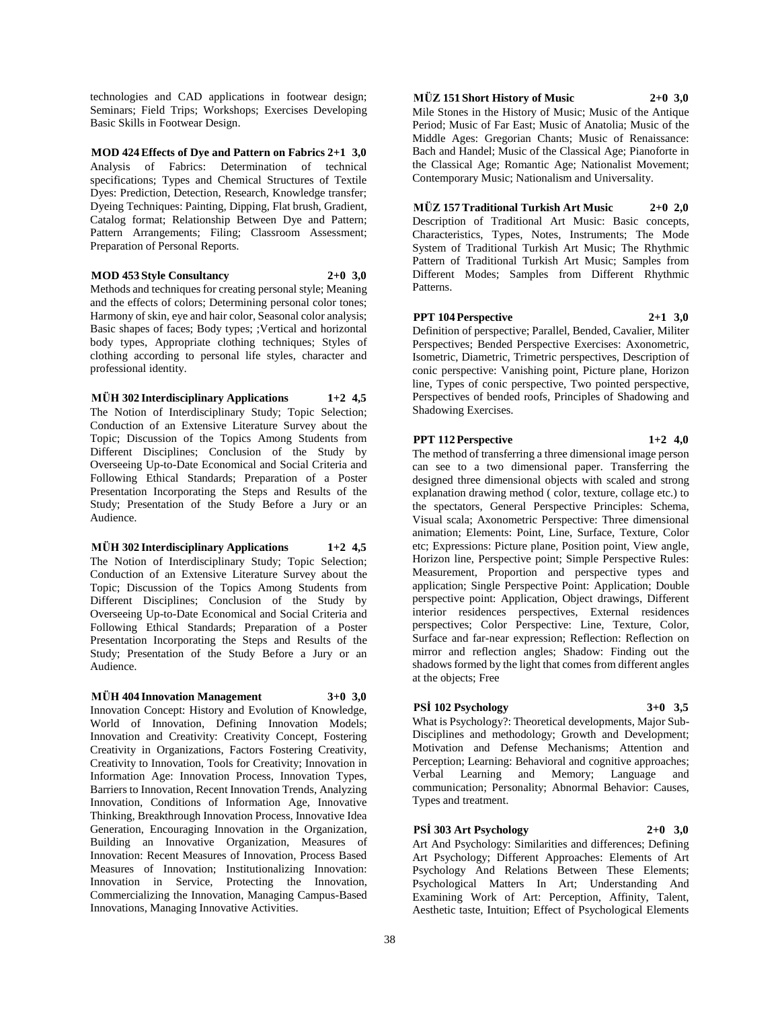technologies and CAD applications in footwear design; Seminars; Field Trips; Workshops; Exercises Developing Basic Skills in Footwear Design.

**MOD 424 Effects of Dye and Pattern on Fabrics 2+1 3,0** Analysis of Fabrics: Determination of technical specifications; Types and Chemical Structures of Textile Dyes: Prediction, Detection, Research, Knowledge transfer; Dyeing Techniques: Painting, Dipping, Flat brush, Gradient, Catalog format; Relationship Between Dye and Pattern; Pattern Arrangements; Filing; Classroom Assessment; Preparation of Personal Reports.

#### **MOD 453 Style Consultancy 2+0 3,0**

Methods and techniques for creating personal style; Meaning and the effects of colors; Determining personal color tones; Harmony of skin, eye and hair color, Seasonal color analysis; Basic shapes of faces; Body types; ;Vertical and horizontal body types, Appropriate clothing techniques; Styles of clothing according to personal life styles, character and professional identity.

**MÜH 302 Interdisciplinary Applications 1+2 4,5** The Notion of Interdisciplinary Study; Topic Selection; Conduction of an Extensive Literature Survey about the Topic; Discussion of the Topics Among Students from Different Disciplines; Conclusion of the Study by Overseeing Up-to-Date Economical and Social Criteria and Following Ethical Standards; Preparation of a Poster Presentation Incorporating the Steps and Results of the Study; Presentation of the Study Before a Jury or an Audience.

**MÜH 302 Interdisciplinary Applications 1+2 4,5** The Notion of Interdisciplinary Study; Topic Selection; Conduction of an Extensive Literature Survey about the Topic; Discussion of the Topics Among Students from Different Disciplines; Conclusion of the Study by Overseeing Up-to-Date Economical and Social Criteria and Following Ethical Standards; Preparation of a Poster Presentation Incorporating the Steps and Results of the Study; Presentation of the Study Before a Jury or an Audience.

#### **MÜH 404 Innovation Management 3+0 3,0**

Innovation Concept: History and Evolution of Knowledge, World of Innovation, Defining Innovation Models; Innovation and Creativity: Creativity Concept, Fostering Creativity in Organizations, Factors Fostering Creativity, Creativity to Innovation, Tools for Creativity; Innovation in Information Age: Innovation Process, Innovation Types, Barriers to Innovation, Recent Innovation Trends, Analyzing Innovation, Conditions of Information Age, Innovative Thinking, Breakthrough Innovation Process, Innovative Idea Generation, Encouraging Innovation in the Organization, Building an Innovative Organization, Measures of Innovation: Recent Measures of Innovation, Process Based Measures of Innovation; Institutionalizing Innovation: Innovation in Service, Protecting the Innovation, Commercializing the Innovation, Managing Campus-Based Innovations, Managing Innovative Activities.

**MÜZ 151 Short History of Music 2+0 3,0**

Mile Stones in the History of Music; Music of the Antique Period; Music of Far East; Music of Anatolia; Music of the Middle Ages: Gregorian Chants; Music of Renaissance: Bach and Handel; Music of the Classical Age; Pianoforte in the Classical Age; Romantic Age; Nationalist Movement; Contemporary Music; Nationalism and Universality.

## **MÜZ 157 Traditional Turkish Art Music 2+0 2,0**

Description of Traditional Art Music: Basic concepts, Characteristics, Types, Notes, Instruments; The Mode System of Traditional Turkish Art Music; The Rhythmic Pattern of Traditional Turkish Art Music; Samples from Different Modes; Samples from Different Rhythmic Patterns.

#### **PPT 104 Perspective 2+1 3,0**

Definition of perspective; Parallel, Bended, Cavalier, Militer Perspectives; Bended Perspective Exercises: Axonometric, Isometric, Diametric, Trimetric perspectives, Description of conic perspective: Vanishing point, Picture plane, Horizon line, Types of conic perspective, Two pointed perspective, Perspectives of bended roofs, Principles of Shadowing and Shadowing Exercises.

#### **PPT 112 Perspective 1+2 4,0**

The method of transferring a three dimensional image person can see to a two dimensional paper. Transferring the designed three dimensional objects with scaled and strong explanation drawing method ( color, texture, collage etc.) to the spectators, General Perspective Principles: Schema, Visual scala; Axonometric Perspective: Three dimensional animation; Elements: Point, Line, Surface, Texture, Color etc; Expressions: Picture plane, Position point, View angle, Horizon line, Perspective point; Simple Perspective Rules: Measurement, Proportion and perspective types and application; Single Perspective Point: Application; Double perspective point: Application, Object drawings, Different interior residences perspectives, External residences perspectives; Color Perspective: Line, Texture, Color, Surface and far-near expression; Reflection: Reflection on mirror and reflection angles; Shadow: Finding out the shadows formed by the light that comes from different angles at the objects; Free

## **PSİ 102 Psychology 3+0 3,5**

What is Psychology?: Theoretical developments, Major Sub-Disciplines and methodology; Growth and Development; Motivation and Defense Mechanisms; Attention and Perception; Learning: Behavioral and cognitive approaches; Verbal Learning and Memory; Language and communication; Personality; Abnormal Behavior: Causes, Types and treatment.

#### **PSİ 303 Art Psychology 2+0 3,0**

Art And Psychology: Similarities and differences; Defining Art Psychology; Different Approaches: Elements of Art Psychology And Relations Between These Elements; Psychological Matters In Art; Understanding And Examining Work of Art: Perception, Affinity, Talent, Aesthetic taste, Intuition; Effect of Psychological Elements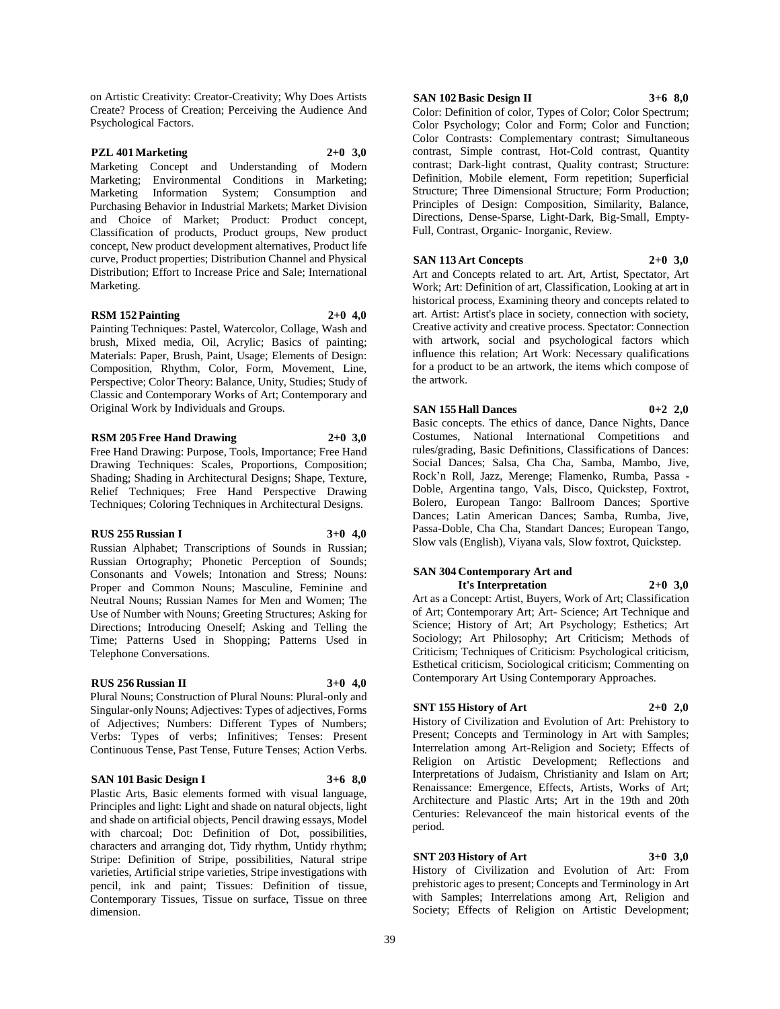on Artistic Creativity: Creator-Creativity; Why Does Artists Create? Process of Creation; Perceiving the Audience And Psychological Factors.

#### **PZL 401 Marketing 2+0 3,0**

Marketing Concept and Understanding of Modern Marketing; Environmental Conditions in Marketing; Marketing Information System; Consumption and Purchasing Behavior in Industrial Markets; Market Division and Choice of Market; Product: Product concept, Classification of products, Product groups, New product concept, New product development alternatives, Product life curve, Product properties; Distribution Channel and Physical Distribution; Effort to Increase Price and Sale; International Marketing.

#### **RSM 152 Painting 2+0 4,0**

Painting Techniques: Pastel, Watercolor, Collage, Wash and brush, Mixed media, Oil, Acrylic; Basics of painting; Materials: Paper, Brush, Paint, Usage; Elements of Design: Composition, Rhythm, Color, Form, Movement, Line, Perspective; Color Theory: Balance, Unity, Studies; Study of Classic and Contemporary Works of Art; Contemporary and Original Work by Individuals and Groups.

#### **RSM 205 Free Hand Drawing 2+0 3,0**

Free Hand Drawing: Purpose, Tools, Importance; Free Hand Drawing Techniques: Scales, Proportions, Composition; Shading; Shading in Architectural Designs; Shape, Texture, Relief Techniques; Free Hand Perspective Drawing Techniques; Coloring Techniques in Architectural Designs.

#### **RUS 255 Russian I 3+0 4,0**

Russian Alphabet; Transcriptions of Sounds in Russian; Russian Ortography; Phonetic Perception of Sounds; Consonants and Vowels; Intonation and Stress; Nouns: Proper and Common Nouns; Masculine, Feminine and Neutral Nouns; Russian Names for Men and Women; The Use of Number with Nouns; Greeting Structures; Asking for Directions; Introducing Oneself; Asking and Telling the Time; Patterns Used in Shopping; Patterns Used in Telephone Conversations.

#### **RUS 256 Russian II 3+0 4,0**

Plural Nouns; Construction of Plural Nouns: Plural-only and Singular-only Nouns; Adjectives: Types of adjectives, Forms of Adjectives; Numbers: Different Types of Numbers; Verbs: Types of verbs; Infinitives; Tenses: Present Continuous Tense, Past Tense, Future Tenses; Action Verbs.

#### **SAN 101 Basic Design I 3+6 8,0**

Plastic Arts, Basic elements formed with visual language, Principles and light: Light and shade on natural objects, light and shade on artificial objects, Pencil drawing essays, Model with charcoal; Dot: Definition of Dot, possibilities, characters and arranging dot, Tidy rhythm, Untidy rhythm; Stripe: Definition of Stripe, possibilities, Natural stripe varieties, Artificial stripe varieties, Stripe investigations with pencil, ink and paint; Tissues: Definition of tissue, Contemporary Tissues, Tissue on surface, Tissue on three dimension.

#### **SAN 102 Basic Design II 3+6 8,0**

Color: Definition of color, Types of Color; Color Spectrum; Color Psychology; Color and Form; Color and Function; Color Contrasts: Complementary contrast; Simultaneous contrast, Simple contrast, Hot-Cold contrast, Quantity contrast; Dark-light contrast, Quality contrast; Structure: Definition, Mobile element, Form repetition; Superficial Structure; Three Dimensional Structure; Form Production; Principles of Design: Composition, Similarity, Balance, Directions, Dense-Sparse, Light-Dark, Big-Small, Empty-Full, Contrast, Organic- Inorganic, Review.

#### **SAN 113 Art Concepts 2+0 3,0**

Art and Concepts related to art. Art, Artist, Spectator, Art Work; Art: Definition of art, Classification, Looking at art in historical process, Examining theory and concepts related to art. Artist: Artist's place in society, connection with society, Creative activity and creative process. Spectator: Connection with artwork, social and psychological factors which influence this relation; Art Work: Necessary qualifications for a product to be an artwork, the items which compose of the artwork.

#### **SAN 155 Hall Dances 0+2 2,0**

Basic concepts. The ethics of dance, Dance Nights, Dance Costumes, National International Competitions and rules/grading, Basic Definitions, Classifications of Dances: Social Dances; Salsa, Cha Cha, Samba, Mambo, Jive, Rock'n Roll, Jazz, Merenge; Flamenko, Rumba, Passa - Doble, Argentina tango, Vals, Disco, Quickstep, Foxtrot, Bolero, European Tango: Ballroom Dances; Sportive Dances; Latin American Dances; Samba, Rumba, Jive, Passa-Doble, Cha Cha, Standart Dances; European Tango, Slow vals (English), Viyana vals, Slow foxtrot, Quickstep.

#### **SAN 304 Contemporary Art and It's Interpretation 2+0 3,0**

Art as a Concept: Artist, Buyers, Work of Art; Classification of Art; Contemporary Art; Art- Science; Art Technique and Science; History of Art; Art Psychology; Esthetics; Art Sociology; Art Philosophy; Art Criticism; Methods of Criticism; Techniques of Criticism: Psychological criticism, Esthetical criticism, Sociological criticism; Commenting on Contemporary Art Using Contemporary Approaches.

## **SNT 155 History of Art 2+0 2,0**

History of Civilization and Evolution of Art: Prehistory to Present; Concepts and Terminology in Art with Samples; Interrelation among Art-Religion and Society; Effects of Religion on Artistic Development; Reflections and Interpretations of Judaism, Christianity and Islam on Art; Renaissance: Emergence, Effects, Artists, Works of Art; Architecture and Plastic Arts; Art in the 19th and 20th Centuries: Relevanceof the main historical events of the period.

## **SNT 203 History of Art 3+0 3,0**

History of Civilization and Evolution of Art: From prehistoric ages to present; Concepts and Terminology in Art with Samples; Interrelations among Art, Religion and Society; Effects of Religion on Artistic Development;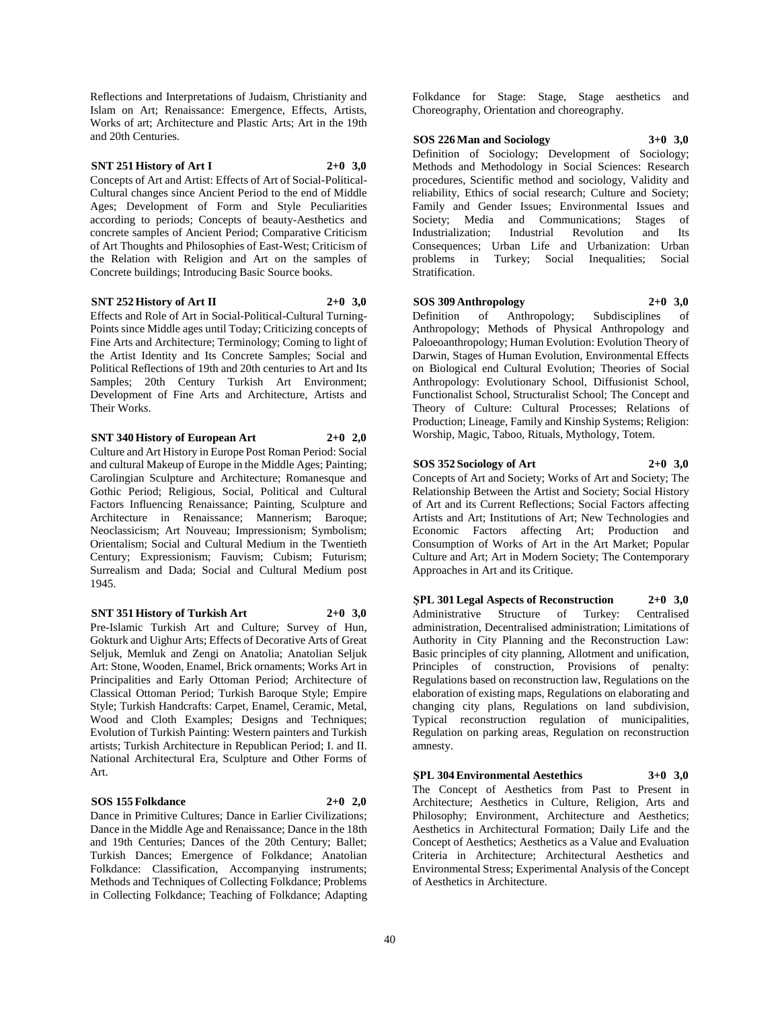Reflections and Interpretations of Judaism, Christianity and Islam on Art; Renaissance: Emergence, Effects, Artists, Works of art; Architecture and Plastic Arts; Art in the 19th and 20th Centuries.

#### **SNT 251 History of Art I 2+0 3,0**

Concepts of Art and Artist: Effects of Art of Social-Political-Cultural changes since Ancient Period to the end of Middle Ages; Development of Form and Style Peculiarities according to periods; Concepts of beauty-Aesthetics and concrete samples of Ancient Period; Comparative Criticism of Art Thoughts and Philosophies of East-West; Criticism of the Relation with Religion and Art on the samples of Concrete buildings; Introducing Basic Source books.

#### **SNT 252 History of Art II 2+0 3,0**

Effects and Role of Art in Social-Political-Cultural Turning-Points since Middle ages until Today; Criticizing concepts of Fine Arts and Architecture; Terminology; Coming to light of the Artist Identity and Its Concrete Samples; Social and Political Reflections of 19th and 20th centuries to Art and Its Samples; 20th Century Turkish Art Environment; Development of Fine Arts and Architecture, Artists and Their Works.

**SNT 340 History of European Art 2+0 2,0**

Culture and Art History in Europe Post Roman Period: Social and cultural Makeup of Europe in the Middle Ages; Painting; Carolingian Sculpture and Architecture; Romanesque and Gothic Period; Religious, Social, Political and Cultural Factors Influencing Renaissance; Painting, Sculpture and Architecture in Renaissance; Mannerism; Baroque; Neoclassicism; Art Nouveau; Impressionism; Symbolism; Orientalism; Social and Cultural Medium in the Twentieth Century; Expressionism; Fauvism; Cubism; Futurism; Surrealism and Dada; Social and Cultural Medium post 1945.

#### **SNT 351 History of Turkish Art 2+0 3,0**

Pre-Islamic Turkish Art and Culture; Survey of Hun, Gokturk and Uighur Arts; Effects of Decorative Arts of Great Seljuk, Memluk and Zengi on Anatolia; Anatolian Seljuk Art: Stone, Wooden, Enamel, Brick ornaments; Works Art in Principalities and Early Ottoman Period; Architecture of Classical Ottoman Period; Turkish Baroque Style; Empire Style; Turkish Handcrafts: Carpet, Enamel, Ceramic, Metal, Wood and Cloth Examples; Designs and Techniques; Evolution of Turkish Painting: Western painters and Turkish artists; Turkish Architecture in Republican Period; I. and II. National Architectural Era, Sculpture and Other Forms of Art.

#### **SOS 155 Folkdance 2+0 2,0**

Dance in Primitive Cultures; Dance in Earlier Civilizations; Dance in the Middle Age and Renaissance; Dance in the 18th and 19th Centuries; Dances of the 20th Century; Ballet; Turkish Dances; Emergence of Folkdance; Anatolian Folkdance: Classification, Accompanying instruments; Methods and Techniques of Collecting Folkdance; Problems in Collecting Folkdance; Teaching of Folkdance; Adapting

Folkdance for Stage: Stage, Stage aesthetics and Choreography, Orientation and choreography.

#### **SOS 226 Man and Sociology 3+0 3,0**

Definition of Sociology; Development of Sociology; Methods and Methodology in Social Sciences: Research procedures, Scientific method and sociology, Validity and reliability, Ethics of social research; Culture and Society; Family and Gender Issues; Environmental Issues and Society: Media and Communications: Stages of Industrialization; Industrial Revolution and Its Consequences; Urban Life and Urbanization: Urban problems in Turkey; Social Inequalities; Social Stratification.

#### **SOS 309 Anthropology 2+0 3,0**

Definition of Anthropology; Subdisciplines of Anthropology; Methods of Physical Anthropology and Paloeoanthropology; Human Evolution: Evolution Theory of Darwin, Stages of Human Evolution, Environmental Effects on Biological end Cultural Evolution; Theories of Social Anthropology: Evolutionary School, Diffusionist School, Functionalist School, Structuralist School; The Concept and Theory of Culture: Cultural Processes; Relations of Production; Lineage, Family and Kinship Systems; Religion: Worship, Magic, Taboo, Rituals, Mythology, Totem.

#### **SOS 352 Sociology of Art 2+0 3,0**

Concepts of Art and Society; Works of Art and Society; The Relationship Between the Artist and Society; Social History of Art and its Current Reflections; Social Factors affecting Artists and Art; Institutions of Art; New Technologies and Economic Factors affecting Art; Production and Consumption of Works of Art in the Art Market; Popular Culture and Art; Art in Modern Society; The Contemporary Approaches in Art and its Critique.

**ŞPL 301 Legal Aspects of Reconstruction 2+0 3,0** Administrative Structure of Turkey: Centralised administration, Decentralised administration; Limitations of Authority in City Planning and the Reconstruction Law: Basic principles of city planning, Allotment and unification, Principles of construction, Provisions of penalty: Regulations based on reconstruction law, Regulations on the elaboration of existing maps, Regulations on elaborating and changing city plans, Regulations on land subdivision, Typical reconstruction regulation of municipalities, Regulation on parking areas, Regulation on reconstruction amnesty.

**ŞPL 304 Environmental Aestethics 3+0 3,0** The Concept of Aesthetics from Past to Present in Architecture; Aesthetics in Culture, Religion, Arts and Philosophy; Environment, Architecture and Aesthetics; Aesthetics in Architectural Formation; Daily Life and the Concept of Aesthetics; Aesthetics as a Value and Evaluation Criteria in Architecture; Architectural Aesthetics and Environmental Stress; Experimental Analysis of the Concept of Aesthetics in Architecture.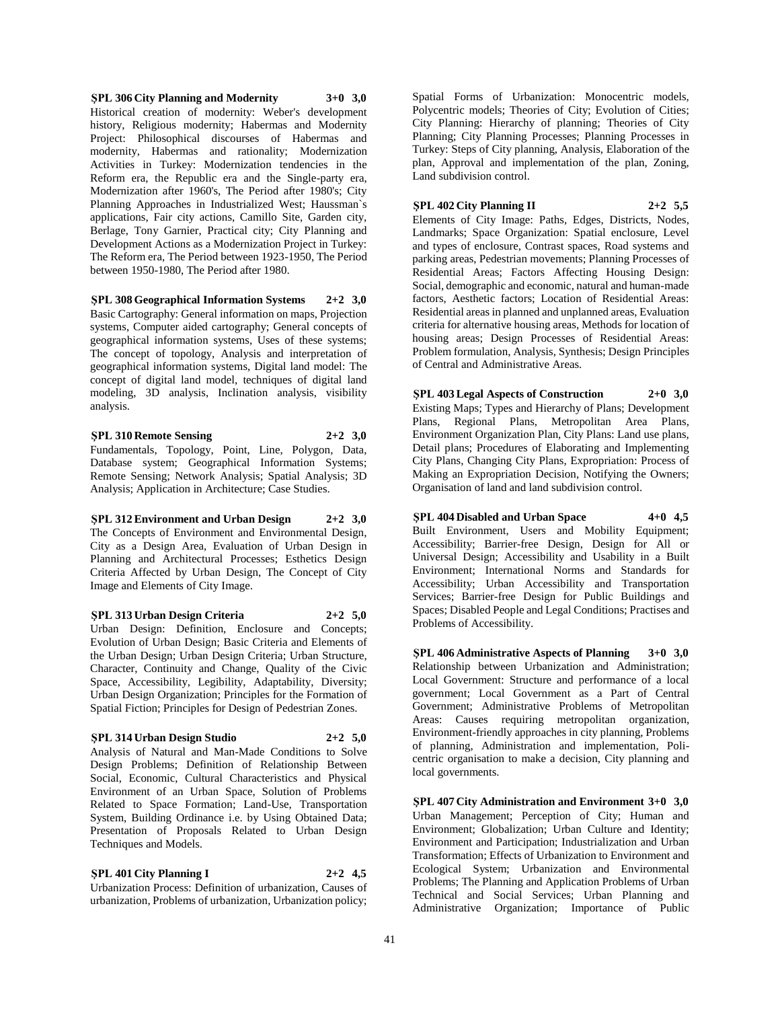**ŞPL 306 City Planning and Modernity 3+0 3,0** Historical creation of modernity: Weber's development history, Religious modernity; Habermas and Modernity Project: Philosophical discourses of Habermas and modernity, Habermas and rationality; Modernization Activities in Turkey: Modernization tendencies in the Reform era, the Republic era and the Single-party era, Modernization after 1960's, The Period after 1980's; City Planning Approaches in Industrialized West; Haussman`s applications, Fair city actions, Camillo Site, Garden city, Berlage, Tony Garnier, Practical city; City Planning and Development Actions as a Modernization Project in Turkey: The Reform era, The Period between 1923-1950, The Period between 1950-1980, The Period after 1980.

**ŞPL 308 Geographical Information Systems 2+2 3,0** Basic Cartography: General information on maps, Projection systems, Computer aided cartography; General concepts of geographical information systems, Uses of these systems; The concept of topology, Analysis and interpretation of geographical information systems, Digital land model: The concept of digital land model, techniques of digital land modeling, 3D analysis, Inclination analysis, visibility analysis.

**ŞPL 310 Remote Sensing 2+2 3,0** Fundamentals, Topology, Point, Line, Polygon, Data, Database system; Geographical Information Systems; Remote Sensing; Network Analysis; Spatial Analysis; 3D Analysis; Application in Architecture; Case Studies.

**ŞPL 312 Environment and Urban Design 2+2 3,0** The Concepts of Environment and Environmental Design, City as a Design Area, Evaluation of Urban Design in Planning and Architectural Processes; Esthetics Design Criteria Affected by Urban Design, The Concept of City Image and Elements of City Image.

**ŞPL 313 Urban Design Criteria 2+2 5,0** Urban Design: Definition, Enclosure and Concepts; Evolution of Urban Design; Basic Criteria and Elements of the Urban Design; Urban Design Criteria; Urban Structure, Character, Continuity and Change, Quality of the Civic Space, Accessibility, Legibility, Adaptability, Diversity; Urban Design Organization; Principles for the Formation of Spatial Fiction; Principles for Design of Pedestrian Zones.

#### **ŞPL 314 Urban Design Studio 2+2 5,0**

Analysis of Natural and Man-Made Conditions to Solve Design Problems; Definition of Relationship Between Social, Economic, Cultural Characteristics and Physical Environment of an Urban Space, Solution of Problems Related to Space Formation; Land-Use, Transportation System, Building Ordinance i.e. by Using Obtained Data; Presentation of Proposals Related to Urban Design Techniques and Models.

**ŞPL 401 City Planning I 2+2 4,5** Urbanization Process: Definition of urbanization, Causes of urbanization, Problems of urbanization, Urbanization policy;

Spatial Forms of Urbanization: Monocentric models, Polycentric models; Theories of City; Evolution of Cities; City Planning: Hierarchy of planning; Theories of City Planning; City Planning Processes; Planning Processes in Turkey: Steps of City planning, Analysis, Elaboration of the plan, Approval and implementation of the plan, Zoning, Land subdivision control.

**ŞPL 402 City Planning II 2+2 5,5**

Elements of City Image: Paths, Edges, Districts, Nodes, Landmarks; Space Organization: Spatial enclosure, Level and types of enclosure, Contrast spaces, Road systems and parking areas, Pedestrian movements; Planning Processes of Residential Areas; Factors Affecting Housing Design: Social, demographic and economic, natural and human-made factors, Aesthetic factors; Location of Residential Areas: Residential areas in planned and unplanned areas, Evaluation criteria for alternative housing areas, Methods for location of housing areas; Design Processes of Residential Areas: Problem formulation, Analysis, Synthesis; Design Principles of Central and Administrative Areas.

**ŞPL 403 Legal Aspects of Construction 2+0 3,0** Existing Maps; Types and Hierarchy of Plans; Development Plans, Regional Plans, Metropolitan Area Plans, Environment Organization Plan, City Plans: Land use plans, Detail plans; Procedures of Elaborating and Implementing City Plans, Changing City Plans, Expropriation: Process of Making an Expropriation Decision, Notifying the Owners; Organisation of land and land subdivision control.

**ŞPL 404 Disabled and Urban Space 4+0 4,5** Built Environment, Users and Mobility Equipment; Accessibility; Barrier-free Design, Design for All or Universal Design; Accessibility and Usability in a Built Environment; International Norms and Standards for Accessibility; Urban Accessibility and Transportation Services; Barrier-free Design for Public Buildings and Spaces; Disabled People and Legal Conditions; Practises and Problems of Accessibility.

**ŞPL 406 Administrative Aspects of Planning 3+0 3,0** Relationship between Urbanization and Administration; Local Government: Structure and performance of a local government; Local Government as a Part of Central Government; Administrative Problems of Metropolitan Areas: Causes requiring metropolitan organization, Environment-friendly approaches in city planning, Problems of planning, Administration and implementation, Policentric organisation to make a decision, City planning and local governments.

**ŞPL 407 City Administration and Environment 3+0 3,0** Urban Management; Perception of City; Human and Environment; Globalization; Urban Culture and Identity; Environment and Participation; Industrialization and Urban Transformation; Effects of Urbanization to Environment and Ecological System; Urbanization and Environmental Problems; The Planning and Application Problems of Urban Technical and Social Services; Urban Planning and Administrative Organization; Importance of Public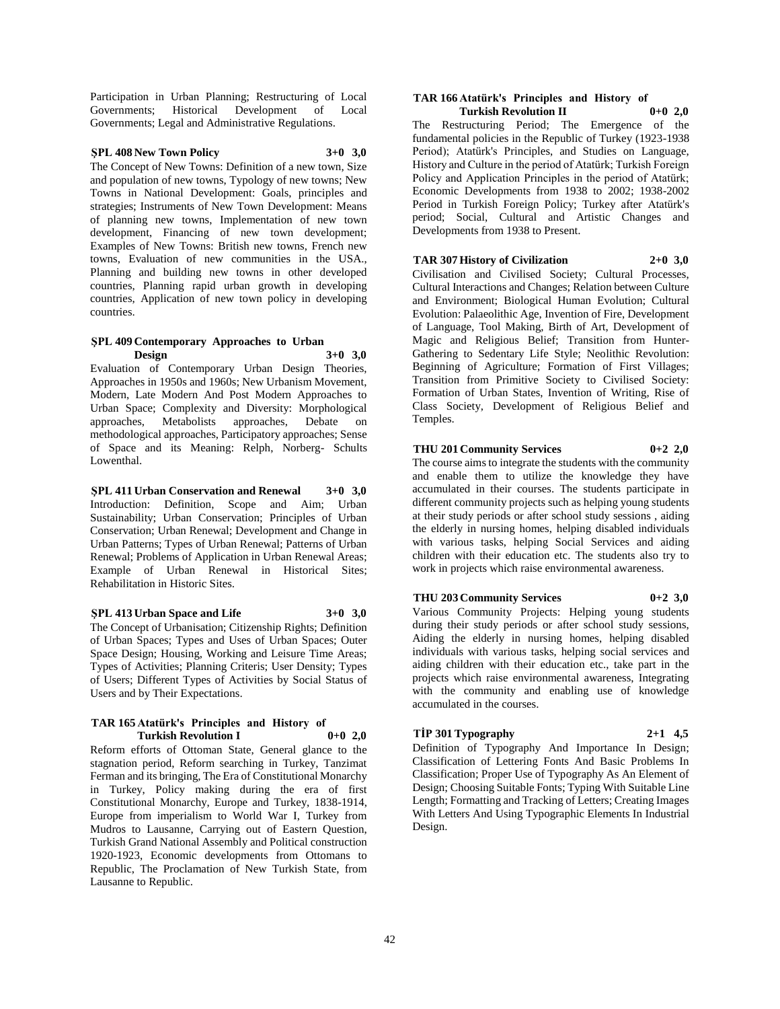Participation in Urban Planning; Restructuring of Local Governments; Historical Development of Local Governments; Legal and Administrative Regulations.

#### **ŞPL 408 New Town Policy 3+0 3,0**

The Concept of New Towns: Definition of a new town, Size and population of new towns, Typology of new towns; New Towns in National Development: Goals, principles and strategies; Instruments of New Town Development: Means of planning new towns, Implementation of new town development, Financing of new town development; Examples of New Towns: British new towns, French new towns, Evaluation of new communities in the USA., Planning and building new towns in other developed countries, Planning rapid urban growth in developing countries, Application of new town policy in developing countries.

#### **ŞPL 409 Contemporary Approaches to Urban Design 3+0 3,0**

Evaluation of Contemporary Urban Design Theories, Approaches in 1950s and 1960s; New Urbanism Movement, Modern, Late Modern And Post Modern Approaches to Urban Space; Complexity and Diversity: Morphological approaches, Metabolists approaches, Debate on methodological approaches, Participatory approaches; Sense of Space and its Meaning: Relph, Norberg- Schults Lowenthal.

**ŞPL 411 Urban Conservation and Renewal 3+0 3,0** Introduction: Definition, Scope and Aim; Urban Sustainability; Urban Conservation; Principles of Urban Conservation; Urban Renewal; Development and Change in Urban Patterns; Types of Urban Renewal; Patterns of Urban Renewal; Problems of Application in Urban Renewal Areas; Example of Urban Renewal in Historical Sites; Rehabilitation in Historic Sites.

#### **ŞPL 413 Urban Space and Life 3+0 3,0**

The Concept of Urbanisation; Citizenship Rights; Definition of Urban Spaces; Types and Uses of Urban Spaces; Outer Space Design; Housing, Working and Leisure Time Areas; Types of Activities; Planning Criteris; User Density; Types of Users; Different Types of Activities by Social Status of Users and by Their Expectations.

#### **TAR 165 Atatürk's Principles and History of Turkish Revolution I 0+0 2,0**

Reform efforts of Ottoman State, General glance to the stagnation period, Reform searching in Turkey, Tanzimat Ferman and its bringing, The Era of Constitutional Monarchy in Turkey, Policy making during the era of first Constitutional Monarchy, Europe and Turkey, 1838-1914, Europe from imperialism to World War I, Turkey from Mudros to Lausanne, Carrying out of Eastern Question, Turkish Grand National Assembly and Political construction 1920-1923, Economic developments from Ottomans to Republic, The Proclamation of New Turkish State, from Lausanne to Republic.

#### **TAR 166 Atatürk's Principles and History of Turkish Revolution II 0+0 2,0**

The Restructuring Period; The Emergence of the fundamental policies in the Republic of Turkey (1923-1938 Period); Atatürk's Principles, and Studies on Language, History and Culture in the period of Atatürk; Turkish Foreign Policy and Application Principles in the period of Atatürk; Economic Developments from 1938 to 2002; 1938-2002 Period in Turkish Foreign Policy; Turkey after Atatürk's period; Social, Cultural and Artistic Changes and Developments from 1938 to Present.

## **TAR 307 History of Civilization 2+0 3,0**

Civilisation and Civilised Society; Cultural Processes, Cultural Interactions and Changes; Relation between Culture and Environment; Biological Human Evolution; Cultural Evolution: Palaeolithic Age, Invention of Fire, Development of Language, Tool Making, Birth of Art, Development of Magic and Religious Belief; Transition from Hunter-Gathering to Sedentary Life Style; Neolithic Revolution: Beginning of Agriculture; Formation of First Villages; Transition from Primitive Society to Civilised Society: Formation of Urban States, Invention of Writing, Rise of Class Society, Development of Religious Belief and Temples.

#### **THU 201 Community Services 0+2 2,0**

The course aims to integrate the students with the community and enable them to utilize the knowledge they have accumulated in their courses. The students participate in different community projects such as helping young students at their study periods or after school study sessions , aiding the elderly in nursing homes, helping disabled individuals with various tasks, helping Social Services and aiding children with their education etc. The students also try to work in projects which raise environmental awareness.

#### **THU 203 Community Services 0+2 3,0**

Various Community Projects: Helping young students during their study periods or after school study sessions, Aiding the elderly in nursing homes, helping disabled individuals with various tasks, helping social services and aiding children with their education etc., take part in the projects which raise environmental awareness, Integrating with the community and enabling use of knowledge accumulated in the courses.

#### **TİP 301 Typography 2+1 4,5**

Definition of Typography And Importance In Design; Classification of Lettering Fonts And Basic Problems In Classification; Proper Use of Typography As An Element of Design; Choosing Suitable Fonts; Typing With Suitable Line Length; Formatting and Tracking of Letters; Creating Images With Letters And Using Typographic Elements In Industrial Design.